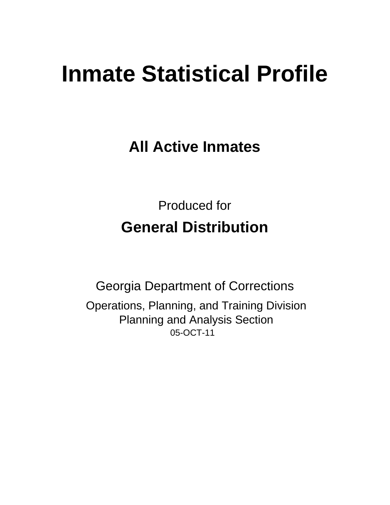# **Inmate Statistical Profile**

**All Active Inmates** 

**Produced for General Distribution** 

**Georgia Department of Corrections** Operations, Planning, and Training Division **Planning and Analysis Section** 05-OCT-11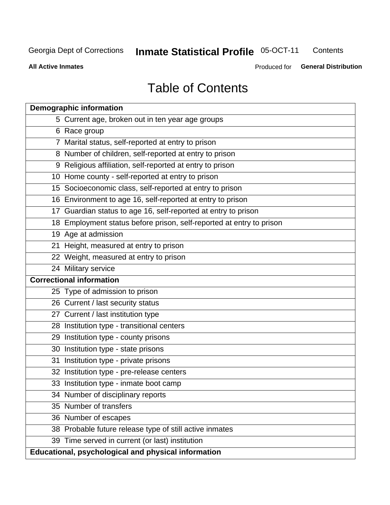## **Inmate Statistical Profile 05-OCT-11**

Contents

**All Active Inmates** 

Produced for General Distribution

## **Table of Contents**

| <b>Demographic information</b>                                       |
|----------------------------------------------------------------------|
| 5 Current age, broken out in ten year age groups                     |
| 6 Race group                                                         |
| 7 Marital status, self-reported at entry to prison                   |
| 8 Number of children, self-reported at entry to prison               |
| 9 Religious affiliation, self-reported at entry to prison            |
| 10 Home county - self-reported at entry to prison                    |
| 15 Socioeconomic class, self-reported at entry to prison             |
| 16 Environment to age 16, self-reported at entry to prison           |
| 17 Guardian status to age 16, self-reported at entry to prison       |
| 18 Employment status before prison, self-reported at entry to prison |
| 19 Age at admission                                                  |
| 21 Height, measured at entry to prison                               |
| 22 Weight, measured at entry to prison                               |
| 24 Military service                                                  |
| <b>Correctional information</b>                                      |
| 25 Type of admission to prison                                       |
| 26 Current / last security status                                    |
| 27 Current / last institution type                                   |
| 28 Institution type - transitional centers                           |
| 29 Institution type - county prisons                                 |
| 30 Institution type - state prisons                                  |
| 31 Institution type - private prisons                                |
| 32 Institution type - pre-release centers                            |
| 33 Institution type - inmate boot camp                               |
| 34 Number of disciplinary reports                                    |
| 35 Number of transfers                                               |
| 36 Number of escapes                                                 |
| 38 Probable future release type of still active inmates              |
| 39 Time served in current (or last) institution                      |
| Educational, psychological and physical information                  |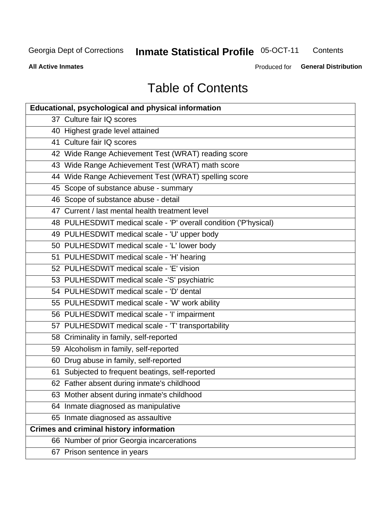## **Inmate Statistical Profile 05-OCT-11**

Contents

**All Active Inmates** 

Produced for General Distribution

## **Table of Contents**

| <b>Educational, psychological and physical information</b>       |
|------------------------------------------------------------------|
| 37 Culture fair IQ scores                                        |
| 40 Highest grade level attained                                  |
| 41 Culture fair IQ scores                                        |
| 42 Wide Range Achievement Test (WRAT) reading score              |
| 43 Wide Range Achievement Test (WRAT) math score                 |
| 44 Wide Range Achievement Test (WRAT) spelling score             |
| 45 Scope of substance abuse - summary                            |
| 46 Scope of substance abuse - detail                             |
| 47 Current / last mental health treatment level                  |
| 48 PULHESDWIT medical scale - 'P' overall condition ('P'hysical) |
| 49 PULHESDWIT medical scale - 'U' upper body                     |
| 50 PULHESDWIT medical scale - 'L' lower body                     |
| 51 PULHESDWIT medical scale - 'H' hearing                        |
| 52 PULHESDWIT medical scale - 'E' vision                         |
| 53 PULHESDWIT medical scale -'S' psychiatric                     |
| 54 PULHESDWIT medical scale - 'D' dental                         |
| 55 PULHESDWIT medical scale - 'W' work ability                   |
| 56 PULHESDWIT medical scale - 'I' impairment                     |
| 57 PULHESDWIT medical scale - 'T' transportability               |
| 58 Criminality in family, self-reported                          |
| 59 Alcoholism in family, self-reported                           |
| 60 Drug abuse in family, self-reported                           |
| 61 Subjected to frequent beatings, self-reported                 |
| 62 Father absent during inmate's childhood                       |
| 63 Mother absent during inmate's childhood                       |
| 64 Inmate diagnosed as manipulative                              |
| 65 Inmate diagnosed as assaultive                                |
| <b>Crimes and criminal history information</b>                   |
| 66 Number of prior Georgia incarcerations                        |
| 67 Prison sentence in years                                      |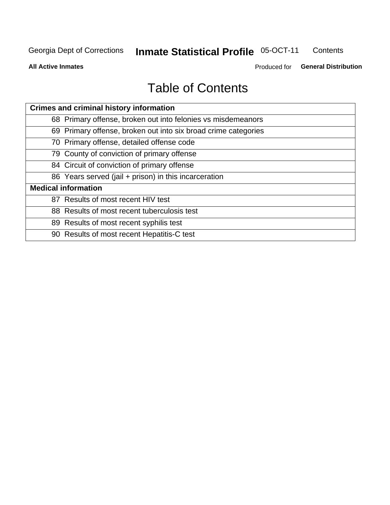#### **Inmate Statistical Profile 05-OCT-11** Contents

**All Active Inmates** 

Produced for General Distribution

## **Table of Contents**

| <b>Crimes and criminal history information</b>                 |
|----------------------------------------------------------------|
| 68 Primary offense, broken out into felonies vs misdemeanors   |
| 69 Primary offense, broken out into six broad crime categories |
| 70 Primary offense, detailed offense code                      |
| 79 County of conviction of primary offense                     |
| 84 Circuit of conviction of primary offense                    |
| 86 Years served (jail + prison) in this incarceration          |
| <b>Medical information</b>                                     |
| 87 Results of most recent HIV test                             |
| 88 Results of most recent tuberculosis test                    |
| 89 Results of most recent syphilis test                        |
| 90 Results of most recent Hepatitis-C test                     |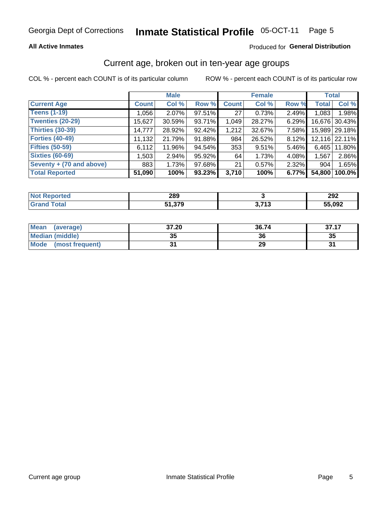#### **All Active Inmates**

#### Produced for General Distribution

## Current age, broken out in ten-year age groups

COL % - percent each COUNT is of its particular column

|                          |              | <b>Male</b> |        |              | <b>Female</b> |          |              | <b>Total</b>  |
|--------------------------|--------------|-------------|--------|--------------|---------------|----------|--------------|---------------|
| <b>Current Age</b>       | <b>Count</b> | Col %       | Row %  | <b>Count</b> | Col %         | Row %    | <b>Total</b> | Col %         |
| <b>Teens (1-19)</b>      | 1,056        | $2.07\%$    | 97.51% | 27           | 0.73%         | 2.49%    | 1,083        | 1.98%         |
| <b>Twenties (20-29)</b>  | 15,627       | 30.59%      | 93.71% | 1,049        | 28.27%        | 6.29%    | 16,676       | 30.43%        |
| <b>Thirties (30-39)</b>  | 14,777       | 28.92%      | 92.42% | 1,212        | 32.67%        | $7.58\%$ |              | 15,989 29.18% |
| <b>Forties (40-49)</b>   | 11,132       | 21.79%      | 91.88% | 984          | 26.52%        | 8.12%    |              | 12,116 22.11% |
| <b>Fifties (50-59)</b>   | 6,112        | 11.96%      | 94.54% | 353          | 9.51%         | 5.46%    | 6.465        | 11.80%        |
| <b>Sixties (60-69)</b>   | 1,503        | 2.94%       | 95.92% | 64           | 1.73%         | 4.08%    | 1,567        | 2.86%         |
| Seventy + (70 and above) | 883          | 1.73%       | 97.68% | 21           | 0.57%         | 2.32%    | 904          | 1.65%         |
| <b>Total Reported</b>    | 51,090       | 100%        | 93.23% | 3,710        | 100%          | 6.77%    | 54,800       | 100.0%        |

| <b>Not Reported</b> | າດດ<br>∠ວສ |                         | ാറ^<br>Z9Z. |
|---------------------|------------|-------------------------|-------------|
| Total               | 270<br>.   | <b>2.742</b><br>- 1 - 4 | 55,092      |

| <b>Mean</b><br>(average)       | 37.20     | 36.74 | 37.17 |
|--------------------------------|-----------|-------|-------|
| Median (middle)                | -25<br>vu | 36    | 35    |
| <b>Mode</b><br>(most frequent) |           | 29    |       |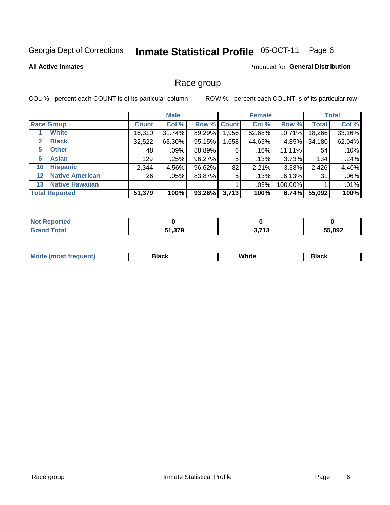#### **Inmate Statistical Profile 05-OCT-11** Page 6

#### **All Active Inmates**

#### **Produced for General Distribution**

#### Race group

COL % - percent each COUNT is of its particular column

|              |                        |              | <b>Male</b> |        |                    | <b>Female</b> |         |              | <b>Total</b> |
|--------------|------------------------|--------------|-------------|--------|--------------------|---------------|---------|--------------|--------------|
|              | <b>Race Group</b>      | <b>Count</b> | Col %       |        | <b>Row % Count</b> | Col %         | Row %   | <b>Total</b> | Col %        |
|              | <b>White</b>           | 16,310       | 31.74%      | 89.29% | 1,956              | 52.68%        | 10.71%  | 18,266       | 33.16%       |
| $\mathbf{2}$ | <b>Black</b>           | 32,522       | 63.30%      | 95.15% | .658               | 44.65%        | 4.85%   | 34,180       | 62.04%       |
| 5            | <b>Other</b>           | 48           | .09%        | 88.89% | 6                  | .16%          | 11.11%  | 54           | .10%         |
| 6            | <b>Asian</b>           | 129          | .25%        | 96.27% | 5                  | .13%          | 3.73%   | 134          | .24%         |
| 10           | <b>Hispanic</b>        | 2,344        | 4.56%       | 96.62% | 82                 | 2.21%         | 3.38%   | 2,426        | 4.40%        |
| $12 \,$      | <b>Native American</b> | 26           | .05%        | 83.87% | 5                  | .13%          | 16.13%  | 31           | .06%         |
| 13           | <b>Native Hawaiian</b> |              |             |        |                    | $.03\%$       | 100.00% |              | .01%         |
|              | <b>Total Reported</b>  | 51,379       | 100%        | 93.26% | 3,713              | 100%          | 6.74%   | 55,092       | 100%         |

| Reported<br><b>NOT</b> |        |      |        |
|------------------------|--------|------|--------|
| <b>Total</b>           | 51,379 | 2742 | 55,092 |
| "Granu                 | E4.    | . .  |        |

| M.<br>____ | . | ------- |
|------------|---|---------|
|            |   |         |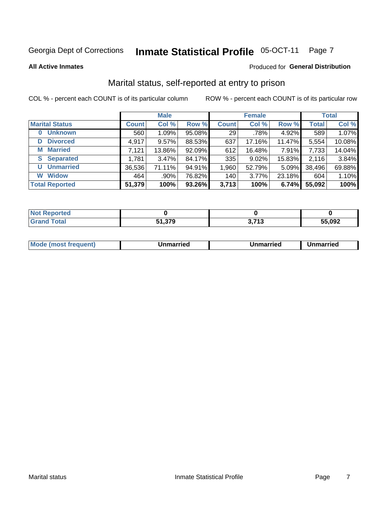#### **Inmate Statistical Profile 05-OCT-11** Page 7

**All Active Inmates** 

#### Produced for General Distribution

## Marital status, self-reported at entry to prison

COL % - percent each COUNT is of its particular column

|                            |              | <b>Male</b> |        |              | <b>Female</b> |          |              | <b>Total</b> |
|----------------------------|--------------|-------------|--------|--------------|---------------|----------|--------------|--------------|
| <b>Marital Status</b>      | <b>Count</b> | Col %       | Row %  | <b>Count</b> | Col %         | Row %    | <b>Total</b> | Col %        |
| <b>Unknown</b><br>$\bf{0}$ | 560          | 1.09%       | 95.08% | 29           | .78%          | 4.92%    | 589          | 1.07%        |
| <b>Divorced</b><br>D       | 4,917        | $9.57\%$    | 88.53% | 637          | 17.16%        | 11.47%   | 5,554        | 10.08%       |
| <b>Married</b><br>М        | 7,121        | 13.86%      | 92.09% | 612          | 16.48%        | 7.91%    | 7,733        | 14.04%       |
| <b>Separated</b><br>S.     | 1,781        | 3.47%       | 84.17% | 335          | 9.02%         | 15.83%   | 2,116        | 3.84%        |
| <b>Unmarried</b><br>U      | 36,536       | 71.11%      | 94.91% | 1,960        | 52.79%        | $5.09\%$ | 38,496       | 69.88%       |
| <b>Widow</b><br>W          | 464          | .90%        | 76.82% | 140          | 3.77%         | 23.18%   | 604          | 1.10%        |
| <b>Total Reported</b>      | 51,379       | 100%        | 93.26% | 3,713        | 100%          | 6.74%    | 55,092       | 100%         |

| <b>Not Reported</b> |      |                    |        |
|---------------------|------|--------------------|--------|
| Total               | .27c | <b>742</b><br>טווט | 55,092 |

|--|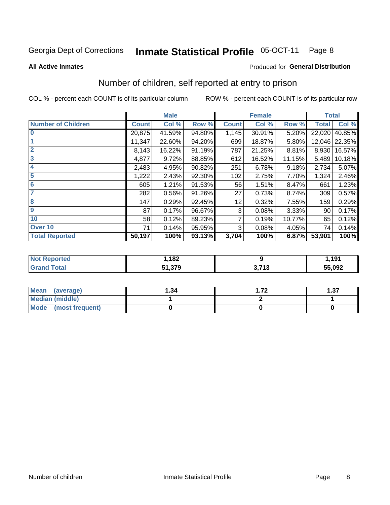#### **Inmate Statistical Profile 05-OCT-11** Page 8

#### **All Active Inmates**

#### Produced for General Distribution

## Number of children, self reported at entry to prison

COL % - percent each COUNT is of its particular column

|                           |              | <b>Male</b> |        |              | <b>Female</b> |        | <b>Total</b> |               |
|---------------------------|--------------|-------------|--------|--------------|---------------|--------|--------------|---------------|
| <b>Number of Children</b> | <b>Count</b> | Col %       | Row %  | <b>Count</b> | Col %         | Row %  | <b>Total</b> | Col %         |
| $\bf{0}$                  | 20,875       | 41.59%      | 94.80% | 1,145        | 30.91%        | 5.20%  | 22,020       | 40.85%        |
|                           | 11,347       | 22.60%      | 94.20% | 699          | 18.87%        | 5.80%  |              | 12,046 22.35% |
| $\overline{2}$            | 8,143        | 16.22%      | 91.19% | 787          | 21.25%        | 8.81%  | 8,930        | 16.57%        |
| 3                         | 4,877        | 9.72%       | 88.85% | 612          | 16.52%        | 11.15% | 5,489        | 10.18%        |
| 4                         | 2,483        | 4.95%       | 90.82% | 251          | 6.78%         | 9.18%  | 2,734        | 5.07%         |
| 5                         | 1,222        | 2.43%       | 92.30% | 102          | 2.75%         | 7.70%  | 1,324        | 2.46%         |
| 6                         | 605          | 1.21%       | 91.53% | 56           | 1.51%         | 8.47%  | 661          | 1.23%         |
| 7                         | 282          | 0.56%       | 91.26% | 27           | 0.73%         | 8.74%  | 309          | 0.57%         |
| 8                         | 147          | 0.29%       | 92.45% | 12           | 0.32%         | 7.55%  | 159          | 0.29%         |
| $\boldsymbol{9}$          | 87           | 0.17%       | 96.67% | 3            | 0.08%         | 3.33%  | 90           | 0.17%         |
| 10                        | 58           | 0.12%       | 89.23% | 7            | 0.19%         | 10.77% | 65           | 0.12%         |
| Over 10                   | 71           | 0.14%       | 95.95% | 3            | 0.08%         | 4.05%  | 74           | 0.14%         |
| <b>Total Reported</b>     | 50,197       | 100%        | 93.13% | 3,704        | 100%          | 6.87%  | 53,901       | 100%          |

| rtec<br>NO  | ,182   |                         | 191<br>1 J I |
|-------------|--------|-------------------------|--------------|
| $C = 4 - 7$ | 51,379 | <b>742</b><br>. .<br>J. | 55,092       |

| <b>Mean</b><br>(average)       | 1.34 | 72 | l.37 |
|--------------------------------|------|----|------|
| Median (middle)                |      |    |      |
| <b>Mode</b><br>(most frequent) |      |    |      |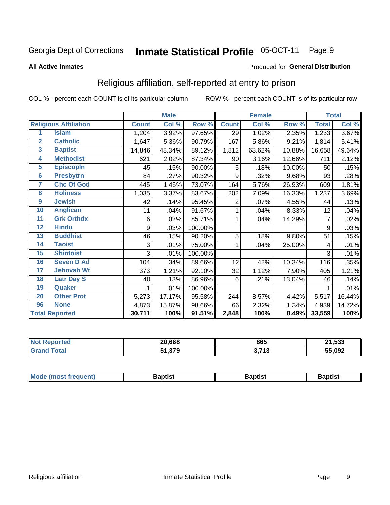#### **Inmate Statistical Profile 05-OCT-11** Page 9

#### **All Active Inmates**

#### Produced for General Distribution

## Religious affiliation, self-reported at entry to prison

COL % - percent each COUNT is of its particular column

|                         |                              |              | <b>Male</b> |         |                | <b>Female</b> |        |                | <b>Total</b> |
|-------------------------|------------------------------|--------------|-------------|---------|----------------|---------------|--------|----------------|--------------|
|                         | <b>Religious Affiliation</b> | <b>Count</b> | Col %       | Row %   | <b>Count</b>   | Col %         | Row %  | <b>Total</b>   | Col %        |
| 1                       | <b>Islam</b>                 | 1,204        | 3.92%       | 97.65%  | 29             | 1.02%         | 2.35%  | 1,233          | 3.67%        |
| $\mathbf{2}$            | <b>Catholic</b>              | 1,647        | 5.36%       | 90.79%  | 167            | 5.86%         | 9.21%  | 1,814          | 5.41%        |
| 3                       | <b>Baptist</b>               | 14,846       | 48.34%      | 89.12%  | 1,812          | 63.62%        | 10.88% | 16,658         | 49.64%       |
| $\overline{\mathbf{4}}$ | <b>Methodist</b>             | 621          | 2.02%       | 87.34%  | 90             | 3.16%         | 12.66% | 711            | 2.12%        |
| $\overline{5}$          | <b>EpiscopIn</b>             | 45           | .15%        | 90.00%  | 5              | .18%          | 10.00% | 50             | .15%         |
| $6\overline{6}$         | <b>Presbytrn</b>             | 84           | .27%        | 90.32%  | 9              | .32%          | 9.68%  | 93             | .28%         |
| 7                       | <b>Chc Of God</b>            | 445          | 1.45%       | 73.07%  | 164            | 5.76%         | 26.93% | 609            | 1.81%        |
| 8                       | <b>Holiness</b>              | 1,035        | 3.37%       | 83.67%  | 202            | 7.09%         | 16.33% | 1,237          | 3.69%        |
| $\boldsymbol{9}$        | <b>Jewish</b>                | 42           | .14%        | 95.45%  | $\overline{2}$ | .07%          | 4.55%  | 44             | .13%         |
| 10                      | <b>Anglican</b>              | 11           | .04%        | 91.67%  |                | .04%          | 8.33%  | 12             | .04%         |
| 11                      | <b>Grk Orthdx</b>            | 6            | .02%        | 85.71%  |                | .04%          | 14.29% | $\overline{7}$ | .02%         |
| 12                      | <b>Hindu</b>                 | 9            | .03%        | 100.00% |                |               |        | 9              | .03%         |
| 13                      | <b>Buddhist</b>              | 46           | .15%        | 90.20%  | 5              | .18%          | 9.80%  | 51             | .15%         |
| 14                      | <b>Taoist</b>                | 3            | .01%        | 75.00%  | 1              | .04%          | 25.00% | 4              | .01%         |
| 15                      | <b>Shintoist</b>             | 3            | .01%        | 100.00% |                |               |        | 3              | .01%         |
| 16                      | <b>Seven D Ad</b>            | 104          | .34%        | 89.66%  | 12             | .42%          | 10.34% | 116            | .35%         |
| 17                      | <b>Jehovah Wt</b>            | 373          | 1.21%       | 92.10%  | 32             | 1.12%         | 7.90%  | 405            | 1.21%        |
| 18                      | <b>Latr Day S</b>            | 40           | .13%        | 86.96%  | 6              | .21%          | 13.04% | 46             | .14%         |
| 19                      | Quaker                       |              | .01%        | 100.00% |                |               |        |                | .01%         |
| 20                      | <b>Other Prot</b>            | 5,273        | 17.17%      | 95.58%  | 244            | 8.57%         | 4.42%  | 5,517          | 16.44%       |
| 96                      | <b>None</b>                  | 4,873        | 15.87%      | 98.66%  | 66             | 2.32%         | 1.34%  | 4,939          | 14.72%       |
|                         | <b>Total Reported</b>        | 30,711       | 100%        | 91.51%  | 2,848          | 100%          | 8.49%  | 33,559         | 100%         |

| Reported<br>NO | 20,668 | 865               | 21,533 |
|----------------|--------|-------------------|--------|
| `otal          | 51,379 | 2742<br>- 19<br>. | 55,092 |

| Mod<br>: (most frequent) | 3aptist<br>$  -$<br>$\sim$ | 3aptist | aptist |
|--------------------------|----------------------------|---------|--------|
|                          |                            |         |        |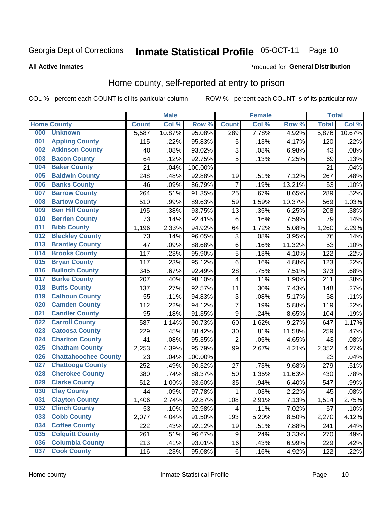#### Inmate Statistical Profile 05-OCT-11 Page 10

**All Active Inmates** 

#### Produced for General Distribution

### Home county, self-reported at entry to prison

COL % - percent each COUNT is of its particular column

|     |                             |              | <b>Male</b> |         |                  | <b>Female</b> |        | <b>Total</b> |        |
|-----|-----------------------------|--------------|-------------|---------|------------------|---------------|--------|--------------|--------|
|     | <b>Home County</b>          | <b>Count</b> | Col %       | Row %   | <b>Count</b>     | Col %         | Row %  | <b>Total</b> | Col %  |
| 000 | <b>Unknown</b>              | 5,587        | 10.87%      | 95.08%  | 289              | 7.78%         | 4.92%  | 5,876        | 10.67% |
| 001 | <b>Appling County</b>       | 115          | .22%        | 95.83%  | 5                | .13%          | 4.17%  | 120          | .22%   |
| 002 | <b>Atkinson County</b>      | 40           | .08%        | 93.02%  | 3                | .08%          | 6.98%  | 43           | .08%   |
| 003 | <b>Bacon County</b>         | 64           | .12%        | 92.75%  | 5                | .13%          | 7.25%  | 69           | .13%   |
| 004 | <b>Baker County</b>         | 21           | .04%        | 100.00% |                  |               |        | 21           | .04%   |
| 005 | <b>Baldwin County</b>       | 248          | .48%        | 92.88%  | 19               | .51%          | 7.12%  | 267          | .48%   |
| 006 | <b>Banks County</b>         | 46           | .09%        | 86.79%  | $\overline{7}$   | .19%          | 13.21% | 53           | .10%   |
| 007 | <b>Barrow County</b>        | 264          | .51%        | 91.35%  | 25               | .67%          | 8.65%  | 289          | .52%   |
| 008 | <b>Bartow County</b>        | 510          | .99%        | 89.63%  | 59               | 1.59%         | 10.37% | 569          | 1.03%  |
| 009 | <b>Ben Hill County</b>      | 195          | .38%        | 93.75%  | 13               | .35%          | 6.25%  | 208          | .38%   |
| 010 | <b>Berrien County</b>       | 73           | .14%        | 92.41%  | $\,6$            | .16%          | 7.59%  | 79           | .14%   |
| 011 | <b>Bibb County</b>          | 1,196        | 2.33%       | 94.92%  | 64               | 1.72%         | 5.08%  | 1,260        | 2.29%  |
| 012 | <b>Bleckley County</b>      | 73           | .14%        | 96.05%  | 3                | .08%          | 3.95%  | 76           | .14%   |
| 013 | <b>Brantley County</b>      | 47           | .09%        | 88.68%  | $\overline{6}$   | .16%          | 11.32% | 53           | .10%   |
| 014 | <b>Brooks County</b>        | 117          | .23%        | 95.90%  | 5                | .13%          | 4.10%  | 122          | .22%   |
| 015 | <b>Bryan County</b>         | 117          | .23%        | 95.12%  | 6                | .16%          | 4.88%  | 123          | .22%   |
| 016 | <b>Bulloch County</b>       | 345          | .67%        | 92.49%  | 28               | .75%          | 7.51%  | 373          | .68%   |
| 017 | <b>Burke County</b>         | 207          | .40%        | 98.10%  | 4                | .11%          | 1.90%  | 211          | .38%   |
| 018 | <b>Butts County</b>         | 137          | .27%        | 92.57%  | 11               | .30%          | 7.43%  | 148          | .27%   |
| 019 | <b>Calhoun County</b>       | 55           | .11%        | 94.83%  | 3                | .08%          | 5.17%  | 58           | .11%   |
| 020 | <b>Camden County</b>        | 112          | .22%        | 94.12%  | $\overline{7}$   | .19%          | 5.88%  | 119          | .22%   |
| 021 | <b>Candler County</b>       | 95           | .18%        | 91.35%  | 9                | .24%          | 8.65%  | 104          | .19%   |
| 022 | <b>Carroll County</b>       | 587          | 1.14%       | 90.73%  | 60               | 1.62%         | 9.27%  | 647          | 1.17%  |
| 023 | <b>Catoosa County</b>       | 229          | .45%        | 88.42%  | 30               | .81%          | 11.58% | 259          | .47%   |
| 024 | <b>Charlton County</b>      | 41           | .08%        | 95.35%  | $\overline{2}$   | .05%          | 4.65%  | 43           | .08%   |
| 025 | <b>Chatham County</b>       | 2,253        | 4.39%       | 95.79%  | 99               | 2.67%         | 4.21%  | 2,352        | 4.27%  |
| 026 | <b>Chattahoochee County</b> | 23           | .04%        | 100.00% |                  |               |        | 23           | .04%   |
| 027 | <b>Chattooga County</b>     | 252          | .49%        | 90.32%  | 27               | .73%          | 9.68%  | 279          | .51%   |
| 028 | <b>Cherokee County</b>      | 380          | .74%        | 88.37%  | 50               | 1.35%         | 11.63% | 430          | .78%   |
| 029 | <b>Clarke County</b>        | 512          | 1.00%       | 93.60%  | 35               | .94%          | 6.40%  | 547          | .99%   |
| 030 | <b>Clay County</b>          | 44           | .09%        | 97.78%  | 1                | .03%          | 2.22%  | 45           | .08%   |
| 031 | <b>Clayton County</b>       | 1,406        | 2.74%       | 92.87%  | 108              | 2.91%         | 7.13%  | 1,514        | 2.75%  |
| 032 | <b>Clinch County</b>        | 53           | .10%        | 92.98%  | 4                | .11%          | 7.02%  | 57           | .10%   |
| 033 | <b>Cobb County</b>          | 2,077        | 4.04%       | 91.50%  | 193              | 5.20%         | 8.50%  | 2,270        | 4.12%  |
| 034 | <b>Coffee County</b>        | 222          | .43%        | 92.12%  | 19               | .51%          | 7.88%  | 241          | .44%   |
| 035 | <b>Colquitt County</b>      | 261          | .51%        | 96.67%  | $\boldsymbol{9}$ | .24%          | 3.33%  | 270          | .49%   |
| 036 | <b>Columbia County</b>      | 213          | .41%        | 93.01%  | 16               | .43%          | 6.99%  | 229          | .42%   |
| 037 | <b>Cook County</b>          | 116          | .23%        | 95.08%  | $\,6\,$          | .16%          | 4.92%  | 122          | .22%   |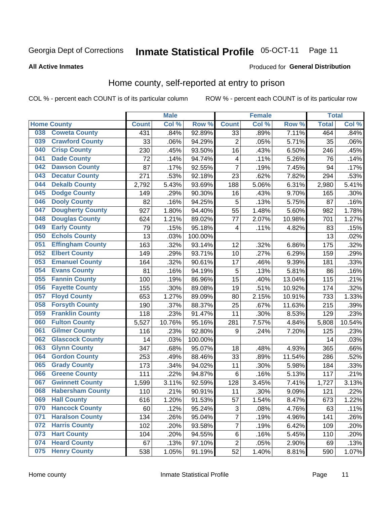#### Inmate Statistical Profile 05-OCT-11 Page 11

#### **All Active Inmates**

#### **Produced for General Distribution**

### Home county, self-reported at entry to prison

COL % - percent each COUNT is of its particular column

|     |                         |              | <b>Male</b> |         |                         | <b>Female</b> |        | <b>Total</b> |        |
|-----|-------------------------|--------------|-------------|---------|-------------------------|---------------|--------|--------------|--------|
|     | <b>Home County</b>      | <b>Count</b> | Col %       | Row %   | <b>Count</b>            | Col %         | Row %  | <b>Total</b> | Col %  |
| 038 | <b>Coweta County</b>    | 431          | .84%        | 92.89%  | $\overline{33}$         | .89%          | 7.11%  | 464          | .84%   |
| 039 | <b>Crawford County</b>  | 33           | .06%        | 94.29%  | $\overline{c}$          | .05%          | 5.71%  | 35           | .06%   |
| 040 | <b>Crisp County</b>     | 230          | .45%        | 93.50%  | 16                      | .43%          | 6.50%  | 246          | .45%   |
| 041 | <b>Dade County</b>      | 72           | .14%        | 94.74%  | $\overline{\mathbf{4}}$ | .11%          | 5.26%  | 76           | .14%   |
| 042 | <b>Dawson County</b>    | 87           | .17%        | 92.55%  | $\overline{7}$          | .19%          | 7.45%  | 94           | .17%   |
| 043 | <b>Decatur County</b>   | 271          | .53%        | 92.18%  | 23                      | .62%          | 7.82%  | 294          | .53%   |
| 044 | <b>Dekalb County</b>    | 2,792        | 5.43%       | 93.69%  | 188                     | 5.06%         | 6.31%  | 2,980        | 5.41%  |
| 045 | <b>Dodge County</b>     | 149          | .29%        | 90.30%  | 16                      | .43%          | 9.70%  | 165          | .30%   |
| 046 | <b>Dooly County</b>     | 82           | .16%        | 94.25%  | 5                       | .13%          | 5.75%  | 87           | .16%   |
| 047 | <b>Dougherty County</b> | 927          | 1.80%       | 94.40%  | 55                      | 1.48%         | 5.60%  | 982          | 1.78%  |
| 048 | <b>Douglas County</b>   | 624          | 1.21%       | 89.02%  | 77                      | 2.07%         | 10.98% | 701          | 1.27%  |
| 049 | <b>Early County</b>     | 79           | .15%        | 95.18%  | 4                       | .11%          | 4.82%  | 83           | .15%   |
| 050 | <b>Echols County</b>    | 13           | .03%        | 100.00% |                         |               |        | 13           | .02%   |
| 051 | <b>Effingham County</b> | 163          | .32%        | 93.14%  | 12                      | .32%          | 6.86%  | 175          | .32%   |
| 052 | <b>Elbert County</b>    | 149          | .29%        | 93.71%  | 10                      | .27%          | 6.29%  | 159          | .29%   |
| 053 | <b>Emanuel County</b>   | 164          | .32%        | 90.61%  | 17                      | .46%          | 9.39%  | 181          | .33%   |
| 054 | <b>Evans County</b>     | 81           | .16%        | 94.19%  | 5                       | .13%          | 5.81%  | 86           | .16%   |
| 055 | <b>Fannin County</b>    | 100          | .19%        | 86.96%  | 15                      | .40%          | 13.04% | 115          | .21%   |
| 056 | <b>Fayette County</b>   | 155          | .30%        | 89.08%  | 19                      | .51%          | 10.92% | 174          | .32%   |
| 057 | <b>Floyd County</b>     | 653          | 1.27%       | 89.09%  | 80                      | 2.15%         | 10.91% | 733          | 1.33%  |
| 058 | <b>Forsyth County</b>   | 190          | .37%        | 88.37%  | 25                      | .67%          | 11.63% | 215          | .39%   |
| 059 | <b>Franklin County</b>  | 118          | .23%        | 91.47%  | 11                      | .30%          | 8.53%  | 129          | .23%   |
| 060 | <b>Fulton County</b>    | 5,527        | 10.76%      | 95.16%  | 281                     | 7.57%         | 4.84%  | 5,808        | 10.54% |
| 061 | <b>Gilmer County</b>    | 116          | .23%        | 92.80%  | 9                       | .24%          | 7.20%  | 125          | .23%   |
| 062 | <b>Glascock County</b>  | 14           | .03%        | 100.00% |                         |               |        | 14           | .03%   |
| 063 | <b>Glynn County</b>     | 347          | .68%        | 95.07%  | 18                      | .48%          | 4.93%  | 365          | .66%   |
| 064 | <b>Gordon County</b>    | 253          | .49%        | 88.46%  | 33                      | .89%          | 11.54% | 286          | .52%   |
| 065 | <b>Grady County</b>     | 173          | .34%        | 94.02%  | 11                      | .30%          | 5.98%  | 184          | .33%   |
| 066 | <b>Greene County</b>    | 111          | .22%        | 94.87%  | $\,6$                   | .16%          | 5.13%  | 117          | .21%   |
| 067 | <b>Gwinnett County</b>  | 1,599        | 3.11%       | 92.59%  | 128                     | 3.45%         | 7.41%  | 1,727        | 3.13%  |
| 068 | <b>Habersham County</b> | 110          | .21%        | 90.91%  | 11                      | .30%          | 9.09%  | 121          | .22%   |
| 069 | <b>Hall County</b>      | 616          | 1.20%       | 91.53%  | 57                      | 1.54%         | 8.47%  | 673          | 1.22%  |
| 070 | <b>Hancock County</b>   | 60           | .12%        | 95.24%  | 3                       | .08%          | 4.76%  | 63           | .11%   |
| 071 | <b>Haralson County</b>  | 134          | .26%        | 95.04%  | $\overline{\mathbf{7}}$ | .19%          | 4.96%  | 141          | .26%   |
| 072 | <b>Harris County</b>    | 102          | .20%        | 93.58%  | $\overline{7}$          | .19%          | 6.42%  | 109          | .20%   |
| 073 | <b>Hart County</b>      | 104          | .20%        | 94.55%  | $\,6$                   | .16%          | 5.45%  | 110          | .20%   |
| 074 | <b>Heard County</b>     | 67           | .13%        | 97.10%  | $\mathbf 2$             | .05%          | 2.90%  | 69           | .13%   |
| 075 | <b>Henry County</b>     | 538          | 1.05%       | 91.19%  | 52                      | 1.40%         | 8.81%  | 590          | 1.07%  |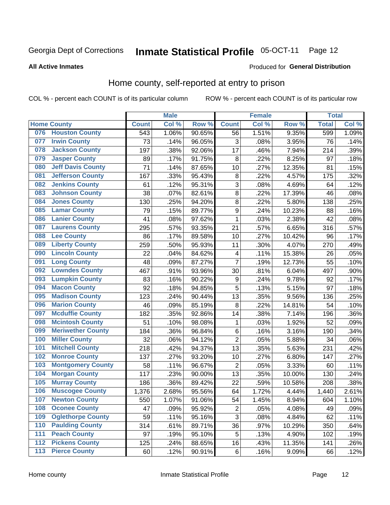#### Inmate Statistical Profile 05-OCT-11 Page 12

#### **All Active Inmates**

#### Produced for General Distribution

### Home county, self-reported at entry to prison

COL % - percent each COUNT is of its particular column

|                  |                          |              | <b>Male</b> |                  |                  | <b>Female</b> |        | <b>Total</b> |       |
|------------------|--------------------------|--------------|-------------|------------------|------------------|---------------|--------|--------------|-------|
|                  | <b>Home County</b>       | <b>Count</b> | Col %       | Row <sup>%</sup> | <b>Count</b>     | Col %         | Row %  | <b>Total</b> | Col % |
| 076              | <b>Houston County</b>    | 543          | 1.06%       | 90.65%           | 56               | 1.51%         | 9.35%  | 599          | 1.09% |
| 077              | <b>Irwin County</b>      | 73           | .14%        | 96.05%           | 3                | .08%          | 3.95%  | 76           | .14%  |
| 078              | <b>Jackson County</b>    | 197          | .38%        | 92.06%           | 17               | .46%          | 7.94%  | 214          | .39%  |
| 079              | <b>Jasper County</b>     | 89           | .17%        | 91.75%           | 8                | .22%          | 8.25%  | 97           | .18%  |
| 080              | <b>Jeff Davis County</b> | 71           | .14%        | 87.65%           | 10               | .27%          | 12.35% | 81           | .15%  |
| 081              | <b>Jefferson County</b>  | 167          | .33%        | 95.43%           | 8                | .22%          | 4.57%  | 175          | .32%  |
| 082              | <b>Jenkins County</b>    | 61           | .12%        | 95.31%           | 3                | .08%          | 4.69%  | 64           | .12%  |
| 083              | <b>Johnson County</b>    | 38           | .07%        | 82.61%           | 8                | .22%          | 17.39% | 46           | .08%  |
| 084              | <b>Jones County</b>      | 130          | .25%        | 94.20%           | $\bf 8$          | .22%          | 5.80%  | 138          | .25%  |
| 085              | <b>Lamar County</b>      | 79           | .15%        | 89.77%           | $\boldsymbol{9}$ | .24%          | 10.23% | 88           | .16%  |
| 086              | <b>Lanier County</b>     | 41           | .08%        | 97.62%           | 1                | .03%          | 2.38%  | 42           | .08%  |
| 087              | <b>Laurens County</b>    | 295          | .57%        | 93.35%           | 21               | .57%          | 6.65%  | 316          | .57%  |
| 088              | <b>Lee County</b>        | 86           | .17%        | 89.58%           | 10               | .27%          | 10.42% | 96           | .17%  |
| 089              | <b>Liberty County</b>    | 259          | .50%        | 95.93%           | 11               | .30%          | 4.07%  | 270          | .49%  |
| 090              | <b>Lincoln County</b>    | 22           | .04%        | 84.62%           | 4                | .11%          | 15.38% | 26           | .05%  |
| 091              | <b>Long County</b>       | 48           | .09%        | 87.27%           | $\overline{7}$   | .19%          | 12.73% | 55           | .10%  |
| 092              | <b>Lowndes County</b>    | 467          | .91%        | 93.96%           | 30               | .81%          | 6.04%  | 497          | .90%  |
| 093              | <b>Lumpkin County</b>    | 83           | .16%        | 90.22%           | $\boldsymbol{9}$ | .24%          | 9.78%  | 92           | .17%  |
| 094              | <b>Macon County</b>      | 92           | .18%        | 94.85%           | 5                | .13%          | 5.15%  | 97           | .18%  |
| 095              | <b>Madison County</b>    | 123          | .24%        | 90.44%           | 13               | .35%          | 9.56%  | 136          | .25%  |
| 096              | <b>Marion County</b>     | 46           | .09%        | 85.19%           | 8                | .22%          | 14.81% | 54           | .10%  |
| 097              | <b>Mcduffie County</b>   | 182          | .35%        | 92.86%           | 14               | .38%          | 7.14%  | 196          | .36%  |
| 098              | <b>Mcintosh County</b>   | 51           | .10%        | 98.08%           | $\mathbf{1}$     | .03%          | 1.92%  | 52           | .09%  |
| 099              | <b>Meriwether County</b> | 184          | .36%        | 96.84%           | 6                | .16%          | 3.16%  | 190          | .34%  |
| 100              | <b>Miller County</b>     | 32           | .06%        | 94.12%           | $\mathbf 2$      | .05%          | 5.88%  | 34           | .06%  |
| 101              | <b>Mitchell County</b>   | 218          | .42%        | 94.37%           | 13               | .35%          | 5.63%  | 231          | .42%  |
| 102              | <b>Monroe County</b>     | 137          | .27%        | 93.20%           | 10               | .27%          | 6.80%  | 147          | .27%  |
| 103              | <b>Montgomery County</b> | 58           | .11%        | 96.67%           | $\overline{2}$   | .05%          | 3.33%  | 60           | .11%  |
| 104              | <b>Morgan County</b>     | 117          | .23%        | 90.00%           | 13               | .35%          | 10.00% | 130          | .24%  |
| 105              | <b>Murray County</b>     | 186          | .36%        | 89.42%           | 22               | .59%          | 10.58% | 208          | .38%  |
| 106              | <b>Muscogee County</b>   | 1,376        | 2.68%       | 95.56%           | 64               | 1.72%         | 4.44%  | 1,440        | 2.61% |
| 107              | <b>Newton County</b>     | 550          | 1.07%       | 91.06%           | 54               | 1.45%         | 8.94%  | 604          | 1.10% |
| 108              | <b>Oconee County</b>     | 47           | .09%        | 95.92%           | $\mathbf 2$      | .05%          | 4.08%  | 49           | .09%  |
| 109              | <b>Oglethorpe County</b> | 59           | .11%        | 95.16%           | $\overline{3}$   | .08%          | 4.84%  | 62           | .11%  |
| 110              | <b>Paulding County</b>   | 314          | .61%        | 89.71%           | 36               | .97%          | 10.29% | 350          | .64%  |
| 111              | <b>Peach County</b>      | 97           | .19%        | 95.10%           | 5                | .13%          | 4.90%  | 102          | .19%  |
| $\overline{112}$ | <b>Pickens County</b>    | 125          | .24%        | 88.65%           | 16               | .43%          | 11.35% | 141          | .26%  |
| 113              | <b>Pierce County</b>     | 60           | .12%        | 90.91%           | $\,6\,$          | .16%          | 9.09%  | 66           | .12%  |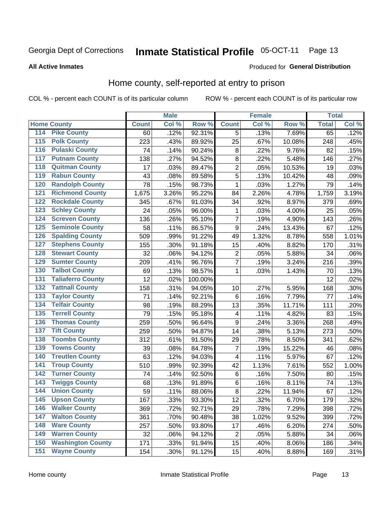#### Inmate Statistical Profile 05-OCT-11 Page 13

#### **All Active Inmates**

#### Produced for General Distribution

### Home county, self-reported at entry to prison

COL % - percent each COUNT is of its particular column

|                                 |                          |              | <b>Male</b> |                  |                | <b>Female</b> |        | <b>Total</b> |       |
|---------------------------------|--------------------------|--------------|-------------|------------------|----------------|---------------|--------|--------------|-------|
| <b>Home County</b>              |                          | <b>Count</b> | Col %       | Row <sup>%</sup> | <b>Count</b>   | Col %         | Row %  | <b>Total</b> | Col % |
| 114<br><b>Pike County</b>       |                          | 60           | .12%        | 92.31%           | 5              | .13%          | 7.69%  | 65           | .12%  |
| <b>Polk County</b><br>115       |                          | 223          | .43%        | 89.92%           | 25             | .67%          | 10.08% | 248          | .45%  |
| <b>Pulaski County</b><br>116    |                          | 74           | .14%        | 90.24%           | 8              | .22%          | 9.76%  | 82           | .15%  |
| <b>Putnam County</b><br>117     |                          | 138          | .27%        | 94.52%           | 8              | .22%          | 5.48%  | 146          | .27%  |
| 118<br><b>Quitman County</b>    |                          | 17           | .03%        | 89.47%           | $\overline{2}$ | .05%          | 10.53% | 19           | .03%  |
| <b>Rabun County</b><br>119      |                          | 43           | .08%        | 89.58%           | 5              | .13%          | 10.42% | 48           | .09%  |
| <b>Randolph County</b><br>120   |                          | 78           | .15%        | 98.73%           | $\mathbf{1}$   | .03%          | 1.27%  | 79           | .14%  |
| <b>Richmond County</b><br>121   |                          | 1,675        | 3.26%       | 95.22%           | 84             | 2.26%         | 4.78%  | 1,759        | 3.19% |
| <b>Rockdale County</b><br>122   |                          | 345          | .67%        | 91.03%           | 34             | .92%          | 8.97%  | 379          | .69%  |
| <b>Schley County</b><br>123     |                          | 24           | .05%        | 96.00%           | 1              | .03%          | 4.00%  | 25           | .05%  |
| <b>Screven County</b><br>124    |                          | 136          | .26%        | 95.10%           | $\overline{7}$ | .19%          | 4.90%  | 143          | .26%  |
| <b>Seminole County</b><br>125   |                          | 58           | .11%        | 86.57%           | 9              | .24%          | 13.43% | 67           | .12%  |
| <b>Spalding County</b><br>126   |                          | 509          | .99%        | 91.22%           | 49             | 1.32%         | 8.78%  | 558          | 1.01% |
| <b>Stephens County</b><br>127   |                          | 155          | .30%        | 91.18%           | 15             | .40%          | 8.82%  | 170          | .31%  |
| <b>Stewart County</b><br>128    |                          | 32           | .06%        | 94.12%           | $\overline{c}$ | .05%          | 5.88%  | 34           | .06%  |
| <b>Sumter County</b><br>129     |                          | 209          | .41%        | 96.76%           | $\overline{7}$ | .19%          | 3.24%  | 216          | .39%  |
| <b>Talbot County</b><br>130     |                          | 69           | .13%        | 98.57%           | $\mathbf{1}$   | .03%          | 1.43%  | 70           | .13%  |
| <b>Taliaferro County</b><br>131 |                          | 12           | .02%        | 100.00%          |                |               |        | 12           | .02%  |
| <b>Tattnall County</b><br>132   |                          | 158          | .31%        | 94.05%           | 10             | .27%          | 5.95%  | 168          | .30%  |
| <b>Taylor County</b><br>133     |                          | 71           | .14%        | 92.21%           | 6              | .16%          | 7.79%  | 77           | .14%  |
| <b>Telfair County</b><br>134    |                          | 98           | .19%        | 88.29%           | 13             | .35%          | 11.71% | 111          | .20%  |
| <b>Terrell County</b><br>135    |                          | 79           | .15%        | 95.18%           | 4              | .11%          | 4.82%  | 83           | .15%  |
| <b>Thomas County</b><br>136     |                          | 259          | .50%        | 96.64%           | 9              | .24%          | 3.36%  | 268          | .49%  |
| <b>Tift County</b><br>137       |                          | 259          | .50%        | 94.87%           | 14             | .38%          | 5.13%  | 273          | .50%  |
| <b>Toombs County</b><br>138     |                          | 312          | .61%        | 91.50%           | 29             | .78%          | 8.50%  | 341          | .62%  |
| <b>Towns County</b><br>139      |                          | 39           | .08%        | 84.78%           | 7              | .19%          | 15.22% | 46           | .08%  |
| <b>Treutlen County</b><br>140   |                          | 63           | .12%        | 94.03%           | 4              | .11%          | 5.97%  | 67           | .12%  |
| <b>Troup County</b><br>141      |                          | 510          | .99%        | 92.39%           | 42             | 1.13%         | 7.61%  | 552          | 1.00% |
| <b>Turner County</b><br>142     |                          | 74           | .14%        | 92.50%           | $\,6$          | .16%          | 7.50%  | 80           | .15%  |
| <b>Twiggs County</b><br>143     |                          | 68           | .13%        | 91.89%           | $\,6$          | .16%          | 8.11%  | 74           | .13%  |
| <b>Union County</b><br>144      |                          | 59           | .11%        | 88.06%           | 8              | .22%          | 11.94% | 67           | .12%  |
| 145<br><b>Upson County</b>      |                          | 167          | .33%        | 93.30%           | 12             | .32%          | 6.70%  | 179          | .32%  |
| <b>Walker County</b><br>146     |                          | 369          | .72%        | 92.71%           | 29             | .78%          | 7.29%  | 398          | .72%  |
| <b>Walton County</b><br>147     |                          | 361          | .70%        | 90.48%           | 38             | 1.02%         | 9.52%  | 399          | .72%  |
| <b>Ware County</b><br>148       |                          | 257          | .50%        | 93.80%           | 17             | .46%          | 6.20%  | 274          | .50%  |
| <b>Warren County</b><br>149     |                          | 32           | .06%        | 94.12%           | $\overline{2}$ | .05%          | 5.88%  | 34           | .06%  |
| 150                             | <b>Washington County</b> | 171          | .33%        | 91.94%           | 15             | .40%          | 8.06%  | 186          | .34%  |
| <b>Wayne County</b><br>151      |                          | 154          | .30%        | 91.12%           | 15             | .40%          | 8.88%  | 169          | .31%  |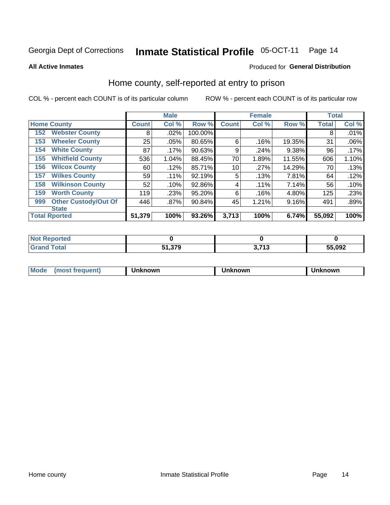#### Inmate Statistical Profile 05-OCT-11 Page 14

**All Active Inmates** 

#### Produced for General Distribution

### Home county, self-reported at entry to prison

COL % - percent each COUNT is of its particular column

|     |                             |              | <b>Male</b> |         |              | <b>Female</b> |        | <b>Total</b> |       |
|-----|-----------------------------|--------------|-------------|---------|--------------|---------------|--------|--------------|-------|
|     | <b>Home County</b>          | <b>Count</b> | Col %       | Row %   | <b>Count</b> | Col %         | Row %  | <b>Total</b> | Col % |
| 152 | <b>Webster County</b>       | 8            | .02%        | 100.00% |              |               |        | 8            | .01%  |
| 153 | <b>Wheeler County</b>       | 25           | .05%        | 80.65%  | 6            | .16%          | 19.35% | 31           | .06%  |
| 154 | <b>White County</b>         | 87           | $.17\%$     | 90.63%  | 9            | .24%          | 9.38%  | 96           | .17%  |
| 155 | <b>Whitfield County</b>     | 536          | 1.04%       | 88.45%  | 70           | 1.89%         | 11.55% | 606          | 1.10% |
| 156 | <b>Wilcox County</b>        | 60           | .12%        | 85.71%  | 10           | .27%          | 14.29% | 70           | .13%  |
| 157 | <b>Wilkes County</b>        | 59           | .11%        | 92.19%  | 5            | .13%          | 7.81%  | 64           | .12%  |
| 158 | <b>Wilkinson County</b>     | 52           | .10%        | 92.86%  | 4            | .11%          | 7.14%  | 56           | .10%  |
| 159 | <b>Worth County</b>         | 119          | .23%        | 95.20%  | 6            | .16%          | 4.80%  | 125          | .23%  |
| 999 | <b>Other Custody/Out Of</b> | 446          | .87%        | 90.84%  | 45           | 1.21%         | 9.16%  | 491          | .89%  |
|     | <b>State</b>                |              |             |         |              |               |        |              |       |
|     | <b>Total Rported</b>        | 51,379       | 100%        | 93.26%  | 3,713        | 100%          | 6.74%  | 55,092       | 100%  |

| Reported<br><b>NOT</b> |               |          |        |
|------------------------|---------------|----------|--------|
| <b>Total</b>           | 51.379<br>E4. | 2742<br> | 55,092 |

| Mode<br><b>Tequent)</b><br>ns | nown | mown | เทown |
|-------------------------------|------|------|-------|
|                               |      |      |       |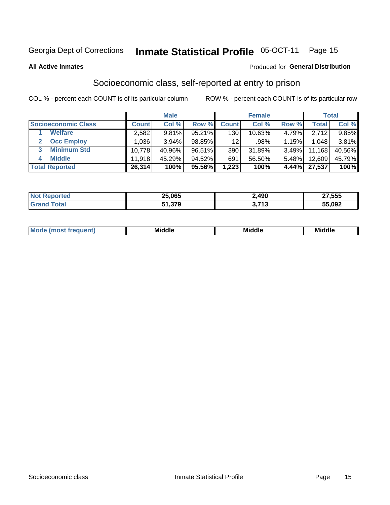## Inmate Statistical Profile 05-OCT-11 Page 15

**All Active Inmates** 

#### Produced for General Distribution

## Socioeconomic class, self-reported at entry to prison

COL % - percent each COUNT is of its particular column

|                            |              | <b>Male</b> |           |                  | <b>Female</b> |       |              | <b>Total</b> |
|----------------------------|--------------|-------------|-----------|------------------|---------------|-------|--------------|--------------|
| <b>Socioeconomic Class</b> | <b>Count</b> | Col %       | Row %     | <b>Count</b>     | Col %         | Row % | <b>Total</b> | Col %        |
| <b>Welfare</b>             | 2,582        | 9.81%       | $95.21\%$ | 130              | 10.63%        | 4.79% | 2,712        | $9.85\%$     |
| <b>Occ Employ</b>          | .036         | 3.94%       | 98.85%    | 12 <sub>1</sub>  | .98%          | 1.15% | 1.048        | 3.81%        |
| <b>Minimum Std</b><br>3    | 10.778       | 40.96%      | 96.51%    | 390 <sub>1</sub> | 31.89%        | 3.49% | 11,168       | 40.56%       |
| <b>Middle</b><br>4         | 11.918       | 45.29%      | 94.52%    | 691              | 56.50%        | 5.48% | 12,609       | 45.79%       |
| <b>Total Reported</b>      | 26,314       | 100%        | 95.56%    | 1,223            | 100%          | 4.44% | 27,537       | 100%         |

| <b>Not Reported</b> | 25,065 | 4.490         | 27,555 |
|---------------------|--------|---------------|--------|
| Total               | 51,379 | 749<br>.<br>◡ | 55,092 |

| ____<br>____ |
|--------------|
|--------------|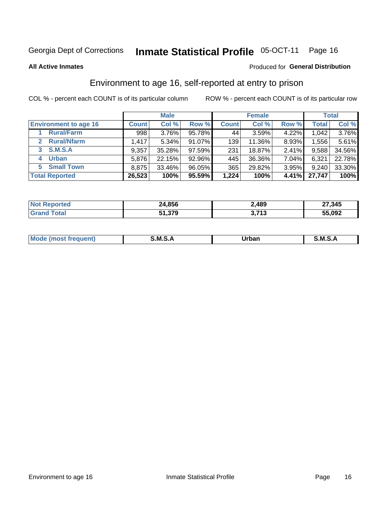## Inmate Statistical Profile 05-OCT-11 Page 16

**All Active Inmates** 

#### **Produced for General Distribution**

## Environment to age 16, self-reported at entry to prison

COL % - percent each COUNT is of its particular column

|                                      |              | <b>Male</b> |           |              | <b>Female</b> |       |              | <b>Total</b> |
|--------------------------------------|--------------|-------------|-----------|--------------|---------------|-------|--------------|--------------|
| <b>Environment to age 16</b>         | <b>Count</b> | Col %       | Row %     | <b>Count</b> | Col %         | Row % | <b>Total</b> | Col %        |
| <b>Rural/Farm</b>                    | 998          | 3.76%       | 95.78%    | 44           | 3.59%         | 4.22% | 1,042        | 3.76%        |
| <b>Rural/Nfarm</b><br>$\overline{2}$ | 1,417        | $5.34\%$    | 91.07%    | 139          | 11.36%        | 8.93% | .556         | 5.61%        |
| 3 S.M.S.A                            | 9,357        | 35.28%      | 97.59%    | 231          | 18.87%        | 2.41% | 9,588        | 34.56%       |
| <b>Urban</b><br>4                    | 5,876        | 22.15%      | 92.96%    | 445          | 36.36%        | 7.04% | 6,321        | 22.78%       |
| <b>Small Town</b><br>5.              | 8,875        | 33.46%      | 96.05%    | 365          | 29.82%        | 3.95% | 9,240        | 33.30%       |
| <b>Total Reported</b>                | 26,523       | 100%        | $95.59\%$ | 1,224        | 100%          | 4.41% | 27,747       | 100%         |

| <b>Not</b><br>Reported | 24,856 | 2,489                 | 27,345 |
|------------------------|--------|-----------------------|--------|
|                        | 51,379 | <b>מול כ</b><br>7 I J | 55,092 |

| Mo | M<br>______ | Irhan<br>rva<br>______ | M<br>______ |
|----|-------------|------------------------|-------------|
|    |             |                        |             |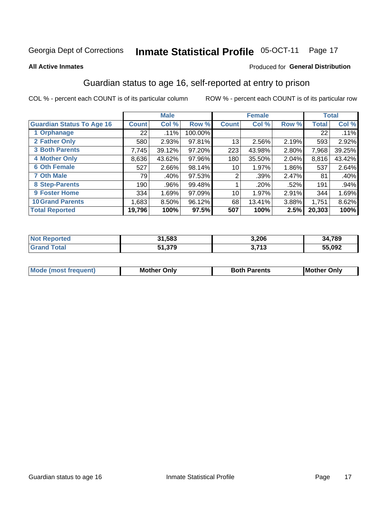#### **Inmate Statistical Profile 05-OCT-11** Page 17

#### **All Active Inmates**

#### Produced for General Distribution

## Guardian status to age 16, self-reported at entry to prison

COL % - percent each COUNT is of its particular column

|                                  |              | <b>Male</b> |         |              | <b>Female</b> |       |        | <b>Total</b> |
|----------------------------------|--------------|-------------|---------|--------------|---------------|-------|--------|--------------|
| <b>Guardian Status To Age 16</b> | <b>Count</b> | Col %       | Row %   | <b>Count</b> | Col %         | Row % | Total  | Col %        |
| 1 Orphanage                      | 22           | $.11\%$     | 100.00% |              |               |       | 22     | .11%         |
| 2 Father Only                    | 580          | 2.93%       | 97.81%  | 13           | 2.56%         | 2.19% | 593    | 2.92%        |
| <b>3 Both Parents</b>            | 7,745        | 39.12%      | 97.20%  | 223          | 43.98%        | 2.80% | 7,968  | 39.25%       |
| <b>4 Mother Only</b>             | 8,636        | 43.62%      | 97.96%  | 180          | 35.50%        | 2.04% | 8,816  | 43.42%       |
| <b>6 Oth Female</b>              | 527          | 2.66%       | 98.14%  | 10           | 1.97%         | 1.86% | 537    | 2.64%        |
| <b>7 Oth Male</b>                | 79           | .40%        | 97.53%  | 2            | .39%          | 2.47% | 81     | .40%         |
| 8 Step-Parents                   | 190          | .96%        | 99.48%  |              | .20%          | .52%  | 191    | .94%         |
| 9 Foster Home                    | 334          | 1.69%       | 97.09%  | 10           | 1.97%         | 2.91% | 344    | 1.69%        |
| <b>10 Grand Parents</b>          | 1,683        | 8.50%       | 96.12%  | 68           | 13.41%        | 3.88% | 1,751  | 8.62%        |
| <b>Total Reported</b>            | 19,796       | 100%        | 97.5%   | 507          | 100%          | 2.5%  | 20,303 | 100%         |

| <b>orteg</b><br>NOT | 31,583                                | 3,206           | +,789<br>34  |
|---------------------|---------------------------------------|-----------------|--------------|
| .Gr                 | <b>270</b><br>۱٦<br>ช เ .ง <i>เ</i> ซ | 2 742<br>J.I IJ | 55,092<br>55 |

| Mode | วทIv<br>Mot | <b>Both Parents</b><br>Parents | lM.<br>Only<br>. |
|------|-------------|--------------------------------|------------------|
|      |             |                                |                  |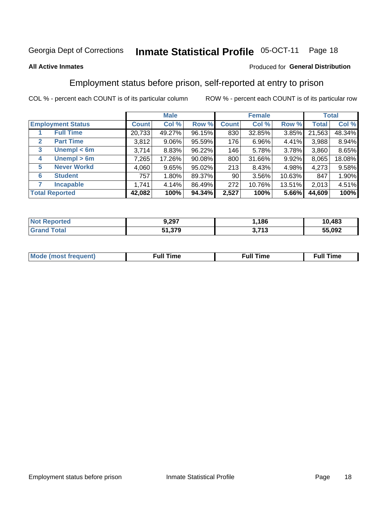#### **Inmate Statistical Profile 05-OCT-11** Page 18

#### **All Active Inmates**

#### Produced for General Distribution

### Employment status before prison, self-reported at entry to prison

COL % - percent each COUNT is of its particular column

|                                  |         | <b>Male</b> |        |              | <b>Female</b> |        |        | <b>Total</b> |
|----------------------------------|---------|-------------|--------|--------------|---------------|--------|--------|--------------|
| <b>Employment Status</b>         | Count l | Col %       | Row %  | <b>Count</b> | Col %         | Row %  | Total  | Col %        |
| <b>Full Time</b>                 | 20,733  | 49.27%      | 96.15% | 830          | 32.85%        | 3.85%  | 21,563 | 48.34%       |
| <b>Part Time</b><br>$\mathbf{2}$ | 3,812   | $9.06\%$    | 95.59% | 176          | 6.96%         | 4.41%  | 3,988  | 8.94%        |
| Unempl $<$ 6m<br>3               | 3,714   | 8.83%       | 96.22% | 146          | 5.78%         | 3.78%  | 3,860  | 8.65%        |
| Unempl > 6m<br>4                 | 7,265   | 17.26%      | 90.08% | 800          | 31.66%        | 9.92%  | 8,065  | 18.08%       |
| <b>Never Workd</b><br>5          | 4,060   | 9.65%       | 95.02% | 213          | 8.43%         | 4.98%  | 4,273  | 9.58%        |
| <b>Student</b><br>6              | 757     | $1.80\%$    | 89.37% | 90           | 3.56%         | 10.63% | 847    | 1.90%        |
| <b>Incapable</b>                 | 1,741   | 4.14%       | 86.49% | 272          | 10.76%        | 13.51% | 2,013  | 4.51%        |
| <b>Total Reported</b>            | 42,082  | 100%        | 94.34% | 2,527        | 100%          | 5.66%  | 44,609 | 100%         |

| Reported<br><b>NO</b> | 9,297  | ,186                    | 10,483 |
|-----------------------|--------|-------------------------|--------|
| ota                   | 51,379 | <b>2742</b><br>IJ<br>∼. | 55.092 |

| Mc | ----<br>me<br>ш | nc<br>. |
|----|-----------------|---------|
|    |                 |         |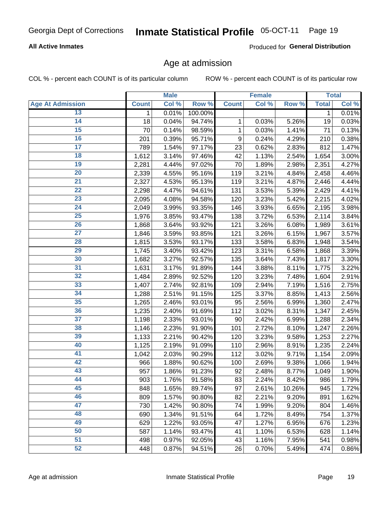#### **All Active Inmates**

Produced for General Distribution

### Age at admission

COL % - percent each COUNT is of its particular column

|                         |              | <b>Male</b> |         |              | <b>Female</b> |        |              | <b>Total</b> |
|-------------------------|--------------|-------------|---------|--------------|---------------|--------|--------------|--------------|
| <b>Age At Admission</b> | <b>Count</b> | Col %       | Row %   | <b>Count</b> | Col %         | Row %  | <b>Total</b> | Col %        |
| 13                      | 1            | 0.01%       | 100.00% |              |               |        | 1            | 0.01%        |
| 14                      | 18           | 0.04%       | 94.74%  | 1            | 0.03%         | 5.26%  | 19           | 0.03%        |
| 15                      | 70           | 0.14%       | 98.59%  | 1            | 0.03%         | 1.41%  | 71           | 0.13%        |
| 16                      | 201          | 0.39%       | 95.71%  | 9            | 0.24%         | 4.29%  | 210          | 0.38%        |
| $\overline{17}$         | 789          | 1.54%       | 97.17%  | 23           | 0.62%         | 2.83%  | 812          | 1.47%        |
| 18                      | 1,612        | 3.14%       | 97.46%  | 42           | 1.13%         | 2.54%  | 1,654        | 3.00%        |
| 19                      | 2,281        | 4.44%       | 97.02%  | 70           | 1.89%         | 2.98%  | 2,351        | 4.27%        |
| 20                      | 2,339        | 4.55%       | 95.16%  | 119          | 3.21%         | 4.84%  | 2,458        | 4.46%        |
| $\overline{21}$         | 2,327        | 4.53%       | 95.13%  | 119          | 3.21%         | 4.87%  | 2,446        | 4.44%        |
| $\overline{22}$         | 2,298        | 4.47%       | 94.61%  | 131          | 3.53%         | 5.39%  | 2,429        | 4.41%        |
| 23                      | 2,095        | 4.08%       | 94.58%  | 120          | 3.23%         | 5.42%  | 2,215        | 4.02%        |
| $\overline{24}$         | 2,049        | 3.99%       | 93.35%  | 146          | 3.93%         | 6.65%  | 2,195        | 3.98%        |
| 25                      | 1,976        | 3.85%       | 93.47%  | 138          | 3.72%         | 6.53%  | 2,114        | 3.84%        |
| $\overline{26}$         | 1,868        | 3.64%       | 93.92%  | 121          | 3.26%         | 6.08%  | 1,989        | 3.61%        |
| $\overline{27}$         | 1,846        | 3.59%       | 93.85%  | 121          | 3.26%         | 6.15%  | 1,967        | 3.57%        |
| 28                      | 1,815        | 3.53%       | 93.17%  | 133          | 3.58%         | 6.83%  | 1,948        | 3.54%        |
| 29                      | 1,745        | 3.40%       | 93.42%  | 123          | 3.31%         | 6.58%  | 1,868        | 3.39%        |
| 30                      | 1,682        | 3.27%       | 92.57%  | 135          | 3.64%         | 7.43%  | 1,817        | 3.30%        |
| 31                      | 1,631        | 3.17%       | 91.89%  | 144          | 3.88%         | 8.11%  | 1,775        | 3.22%        |
| $\overline{32}$         | 1,484        | 2.89%       | 92.52%  | 120          | 3.23%         | 7.48%  | 1,604        | 2.91%        |
| 33                      | 1,407        | 2.74%       | 92.81%  | 109          | 2.94%         | 7.19%  | 1,516        | 2.75%        |
| 34                      | 1,288        | 2.51%       | 91.15%  | 125          | 3.37%         | 8.85%  | 1,413        | 2.56%        |
| 35                      | 1,265        | 2.46%       | 93.01%  | 95           | 2.56%         | 6.99%  | 1,360        | 2.47%        |
| 36                      | 1,235        | 2.40%       | 91.69%  | 112          | 3.02%         | 8.31%  | 1,347        | 2.45%        |
| $\overline{37}$         | 1,198        | 2.33%       | 93.01%  | 90           | 2.42%         | 6.99%  | 1,288        | 2.34%        |
| 38                      | 1,146        | 2.23%       | 91.90%  | 101          | 2.72%         | 8.10%  | 1,247        | 2.26%        |
| 39                      | 1,133        | 2.21%       | 90.42%  | 120          | 3.23%         | 9.58%  | 1,253        | 2.27%        |
| 40                      | 1,125        | 2.19%       | 91.09%  | 110          | 2.96%         | 8.91%  | 1,235        | 2.24%        |
| 41                      | 1,042        | 2.03%       | 90.29%  | 112          | 3.02%         | 9.71%  | 1,154        | 2.09%        |
| 42                      | 966          | 1.88%       | 90.62%  | 100          | 2.69%         | 9.38%  | 1,066        | 1.94%        |
| 43                      | 957          | 1.86%       | 91.23%  | 92           | 2.48%         | 8.77%  | 1,049        | 1.90%        |
| 44                      | 903          | 1.76%       | 91.58%  | 83           | 2.24%         | 8.42%  | 986          | 1.79%        |
| 45                      | 848          | 1.65%       | 89.74%  | 97           | 2.61%         | 10.26% | 945          | 1.72%        |
| 46                      | 809          | 1.57%       | 90.80%  | 82           | 2.21%         | 9.20%  | 891          | 1.62%        |
| 47                      | 730          | 1.42%       | 90.80%  | 74           | 1.99%         | 9.20%  | 804          | 1.46%        |
| 48                      | 690          | 1.34%       | 91.51%  | 64           | 1.72%         | 8.49%  | 754          | 1.37%        |
| 49                      | 629          | 1.22%       | 93.05%  | 47           | 1.27%         | 6.95%  | 676          | 1.23%        |
| 50                      | 587          | 1.14%       | 93.47%  | 41           | 1.10%         | 6.53%  | 628          | 1.14%        |
| 51                      | 498          | 0.97%       | 92.05%  | 43           | 1.16%         | 7.95%  | 541          | 0.98%        |
| 52                      | 448          | 0.87%       | 94.51%  | 26           | 0.70%         | 5.49%  | 474          | 0.86%        |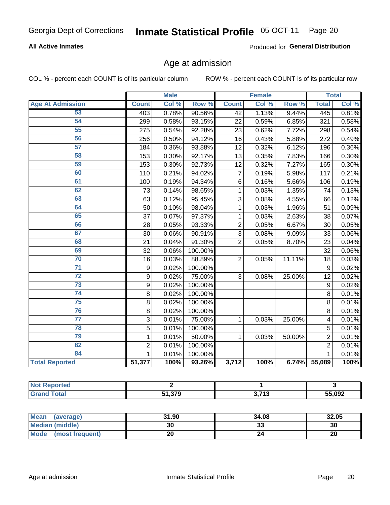#### **All Active Inmates**

Produced for General Distribution

## Age at admission

COL % - percent each COUNT is of its particular column

|                         | <b>Male</b>      |       | <b>Female</b> |                |       | <b>Total</b> |                |       |
|-------------------------|------------------|-------|---------------|----------------|-------|--------------|----------------|-------|
| <b>Age At Admission</b> | <b>Count</b>     | Col % | Row %         | <b>Count</b>   | Col % | Row %        | <b>Total</b>   | Col % |
| 53                      | 403              | 0.78% | 90.56%        | 42             | 1.13% | 9.44%        | 445            | 0.81% |
| 54                      | 299              | 0.58% | 93.15%        | 22             | 0.59% | 6.85%        | 321            | 0.58% |
| 55                      | 275              | 0.54% | 92.28%        | 23             | 0.62% | 7.72%        | 298            | 0.54% |
| 56                      | 256              | 0.50% | 94.12%        | 16             | 0.43% | 5.88%        | 272            | 0.49% |
| 57                      | 184              | 0.36% | 93.88%        | 12             | 0.32% | 6.12%        | 196            | 0.36% |
| 58                      | 153              | 0.30% | 92.17%        | 13             | 0.35% | 7.83%        | 166            | 0.30% |
| 59                      | 153              | 0.30% | 92.73%        | 12             | 0.32% | 7.27%        | 165            | 0.30% |
| 60                      | 110              | 0.21% | 94.02%        | $\overline{7}$ | 0.19% | 5.98%        | 117            | 0.21% |
| 61                      | 100              | 0.19% | 94.34%        | 6              | 0.16% | 5.66%        | 106            | 0.19% |
| 62                      | 73               | 0.14% | 98.65%        | 1              | 0.03% | 1.35%        | 74             | 0.13% |
| 63                      | 63               | 0.12% | 95.45%        | 3              | 0.08% | 4.55%        | 66             | 0.12% |
| 64                      | 50               | 0.10% | 98.04%        | 1              | 0.03% | 1.96%        | 51             | 0.09% |
| 65                      | 37               | 0.07% | 97.37%        | 1              | 0.03% | 2.63%        | 38             | 0.07% |
| 66                      | 28               | 0.05% | 93.33%        | $\overline{2}$ | 0.05% | 6.67%        | 30             | 0.05% |
| 67                      | 30               | 0.06% | 90.91%        | 3              | 0.08% | 9.09%        | 33             | 0.06% |
| 68                      | 21               | 0.04% | 91.30%        | $\overline{2}$ | 0.05% | 8.70%        | 23             | 0.04% |
| 69                      | 32               | 0.06% | 100.00%       |                |       |              | 32             | 0.06% |
| 70                      | 16               | 0.03% | 88.89%        | $\overline{2}$ | 0.05% | 11.11%       | 18             | 0.03% |
| $\overline{71}$         | $\boldsymbol{9}$ | 0.02% | 100.00%       |                |       |              | 9              | 0.02% |
| $\overline{72}$         | 9                | 0.02% | 75.00%        | 3              | 0.08% | 25.00%       | 12             | 0.02% |
| $\overline{73}$         | 9                | 0.02% | 100.00%       |                |       |              | 9              | 0.02% |
| 74                      | 8                | 0.02% | 100.00%       |                |       |              | 8              | 0.01% |
| 75                      | 8                | 0.02% | 100.00%       |                |       |              | 8              | 0.01% |
| 76                      | 8                | 0.02% | 100.00%       |                |       |              | 8              | 0.01% |
| $\overline{77}$         | 3                | 0.01% | 75.00%        | 1              | 0.03% | 25.00%       | 4              | 0.01% |
| 78                      | 5                | 0.01% | 100.00%       |                |       |              | 5              | 0.01% |
| 79                      | $\mathbf{1}$     | 0.01% | 50.00%        | $\mathbf{1}$   | 0.03% | 50.00%       | $\overline{2}$ | 0.01% |
| 82                      | $\overline{2}$   | 0.01% | 100.00%       |                |       |              | $\overline{2}$ | 0.01% |
| 84                      | $\mathbf{1}$     | 0.01% | 100.00%       |                |       |              | $\mathbf{1}$   | 0.01% |
| <b>Total Reported</b>   | 51,377           | 100%  | 93.26%        | 3,712          | 100%  |              | 6.74% 55,089   | 100%  |

| ™reo :<br>NOT |               |                      |        |
|---------------|---------------|----------------------|--------|
|               | <b>54.270</b> | <b>2742</b><br>. I J | 55,092 |

| Mean (average)         | 31.90 | 34.08   | 32.05 |
|------------------------|-------|---------|-------|
| <b>Median (middle)</b> | 30    | ົ<br>აა | 30    |
| Mode (most frequent)   | 20    |         | 20    |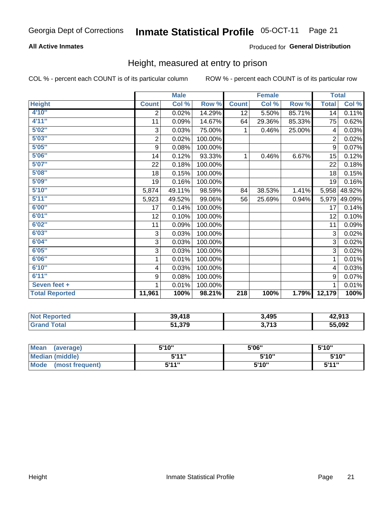#### **All Active Inmates**

#### Produced for General Distribution

### Height, measured at entry to prison

COL % - percent each COUNT is of its particular column

|                       |                           | <b>Male</b> |         |                  | <b>Female</b> |        | <b>Total</b>     |        |
|-----------------------|---------------------------|-------------|---------|------------------|---------------|--------|------------------|--------|
| <b>Height</b>         | <b>Count</b>              | Col %       | Row %   | <b>Count</b>     | Col %         | Row %  | <b>Total</b>     | Col %  |
| 4'10"                 | 2                         | 0.02%       | 14.29%  | 12               | 5.50%         | 85.71% | $\overline{14}$  | 0.11%  |
| 4'11''                | 11                        | 0.09%       | 14.67%  | 64               | 29.36%        | 85.33% | 75               | 0.62%  |
| 5'02''                | $\ensuremath{\mathsf{3}}$ | 0.03%       | 75.00%  | 1                | 0.46%         | 25.00% | 4                | 0.03%  |
| 5'03''                | $\overline{\mathbf{c}}$   | 0.02%       | 100.00% |                  |               |        | $\overline{2}$   | 0.02%  |
| 5'05''                | $\boldsymbol{9}$          | 0.08%       | 100.00% |                  |               |        | $\boldsymbol{9}$ | 0.07%  |
| 5'06''                | 14                        | 0.12%       | 93.33%  | 1                | 0.46%         | 6.67%  | 15               | 0.12%  |
| 5'07''                | 22                        | 0.18%       | 100.00% |                  |               |        | 22               | 0.18%  |
| 5'08''                | 18                        | 0.15%       | 100.00% |                  |               |        | 18               | 0.15%  |
| 5'09''                | 19                        | 0.16%       | 100.00% |                  |               |        | 19               | 0.16%  |
| 5'10''                | 5,874                     | 49.11%      | 98.59%  | 84               | 38.53%        | 1.41%  | 5,958            | 48.92% |
| 5'11''                | 5,923                     | 49.52%      | 99.06%  | 56               | 25.69%        | 0.94%  | 5,979            | 49.09% |
| 6'00''                | 17                        | 0.14%       | 100.00% |                  |               |        | 17               | 0.14%  |
| 6'01''                | 12                        | 0.10%       | 100.00% |                  |               |        | 12               | 0.10%  |
| 6'02''                | 11                        | 0.09%       | 100.00% |                  |               |        | 11               | 0.09%  |
| 6'03''                | 3                         | 0.03%       | 100.00% |                  |               |        | 3                | 0.02%  |
| 6'04''                | 3                         | 0.03%       | 100.00% |                  |               |        | 3                | 0.02%  |
| 6'05''                | $\mathbf{3}$              | 0.03%       | 100.00% |                  |               |        | 3                | 0.02%  |
| 6'06''                | 1                         | 0.01%       | 100.00% |                  |               |        | 1                | 0.01%  |
| 6'10''                | $\overline{\mathbf{4}}$   | 0.03%       | 100.00% |                  |               |        | 4                | 0.03%  |
| 6'11''                | 9                         | 0.08%       | 100.00% |                  |               |        | 9                | 0.07%  |
| Seven feet +          | 1                         | 0.01%       | 100.00% |                  |               |        | 1                | 0.01%  |
| <b>Total Reported</b> | 11,961                    | 100%        | 98.21%  | $\overline{218}$ | 100%          | 1.79%  | 12,179           | 100%   |

| 'Not<br>Reported | 39,418 | 3,495                         | 42,913 |
|------------------|--------|-------------------------------|--------|
| ™ota⊧            | 51,379 | <b>1 אד מ</b><br>- 1 4<br>J.I | 55,092 |

| <b>Mean</b><br>(average)       | 5'10" | 5'06" | 5'10"  |
|--------------------------------|-------|-------|--------|
| Median (middle)                | 544"  | 5'10" | 5'10'' |
| <b>Mode</b><br>(most frequent) | 5'11" | 5'10" | 544"   |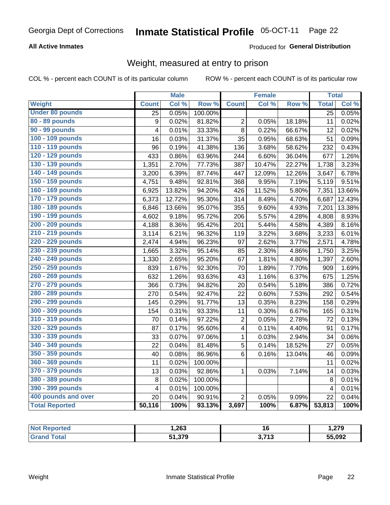#### **All Active Inmates**

#### Produced for General Distribution

## Weight, measured at entry to prison

COL % - percent each COUNT is of its particular column

|                        |                         | <b>Male</b> |         |                         | <b>Female</b> |        | <b>Total</b>            |        |
|------------------------|-------------------------|-------------|---------|-------------------------|---------------|--------|-------------------------|--------|
| <b>Weight</b>          | <b>Count</b>            | Col %       | Row %   | <b>Count</b>            | Col %         | Row %  | <b>Total</b>            | Col %  |
| <b>Under 80 pounds</b> | $\overline{25}$         | 0.05%       | 100.00% |                         |               |        | $\overline{25}$         | 0.05%  |
| 80 - 89 pounds         | 9                       | 0.02%       | 81.82%  | 2                       | 0.05%         | 18.18% | 11                      | 0.02%  |
| 90 - 99 pounds         | 4                       | 0.01%       | 33.33%  | 8                       | 0.22%         | 66.67% | 12                      | 0.02%  |
| 100 - 109 pounds       | 16                      | 0.03%       | 31.37%  | 35                      | 0.95%         | 68.63% | 51                      | 0.09%  |
| 110 - 119 pounds       | 96                      | 0.19%       | 41.38%  | 136                     | 3.68%         | 58.62% | 232                     | 0.43%  |
| 120 - 129 pounds       | 433                     | 0.86%       | 63.96%  | 244                     | 6.60%         | 36.04% | 677                     | 1.26%  |
| 130 - 139 pounds       | 1,351                   | 2.70%       | 77.73%  | 387                     | 10.47%        | 22.27% | 1,738                   | 3.23%  |
| 140 - 149 pounds       | 3,200                   | 6.39%       | 87.74%  | 447                     | 12.09%        | 12.26% | 3,647                   | 6.78%  |
| 150 - 159 pounds       | 4,751                   | 9.48%       | 92.81%  | 368                     | 9.95%         | 7.19%  | 5,119                   | 9.51%  |
| 160 - 169 pounds       | 6,925                   | 13.82%      | 94.20%  | 426                     | 11.52%        | 5.80%  | 7,351                   | 13.66% |
| 170 - 179 pounds       | 6,373                   | 12.72%      | 95.30%  | 314                     | 8.49%         | 4.70%  | 6,687                   | 12.43% |
| 180 - 189 pounds       | 6,846                   | 13.66%      | 95.07%  | 355                     | 9.60%         | 4.93%  | 7,201                   | 13.38% |
| 190 - 199 pounds       | 4,602                   | 9.18%       | 95.72%  | 206                     | 5.57%         | 4.28%  | 4,808                   | 8.93%  |
| 200 - 209 pounds       | 4,188                   | 8.36%       | 95.42%  | 201                     | 5.44%         | 4.58%  | 4,389                   | 8.16%  |
| 210 - 219 pounds       | 3,114                   | 6.21%       | 96.32%  | 119                     | 3.22%         | 3.68%  | 3,233                   | 6.01%  |
| 220 - 229 pounds       | 2,474                   | 4.94%       | 96.23%  | 97                      | 2.62%         | 3.77%  | 2,571                   | 4.78%  |
| 230 - 239 pounds       | 1,665                   | 3.32%       | 95.14%  | 85                      | 2.30%         | 4.86%  | 1,750                   | 3.25%  |
| 240 - 249 pounds       | 1,330                   | 2.65%       | 95.20%  | 67                      | 1.81%         | 4.80%  | 1,397                   | 2.60%  |
| 250 - 259 pounds       | 839                     | 1.67%       | 92.30%  | 70                      | 1.89%         | 7.70%  | 909                     | 1.69%  |
| 260 - 269 pounds       | 632                     | 1.26%       | 93.63%  | 43                      | 1.16%         | 6.37%  | 675                     | 1.25%  |
| 270 - 279 pounds       | 366                     | 0.73%       | 94.82%  | 20                      | 0.54%         | 5.18%  | 386                     | 0.72%  |
| 280 - 289 pounds       | 270                     | 0.54%       | 92.47%  | 22                      | 0.60%         | 7.53%  | 292                     | 0.54%  |
| 290 - 299 pounds       | 145                     | 0.29%       | 91.77%  | 13                      | 0.35%         | 8.23%  | 158                     | 0.29%  |
| 300 - 309 pounds       | 154                     | 0.31%       | 93.33%  | 11                      | 0.30%         | 6.67%  | 165                     | 0.31%  |
| 310 - 319 pounds       | 70                      | 0.14%       | 97.22%  | $\overline{c}$          | 0.05%         | 2.78%  | 72                      | 0.13%  |
| 320 - 329 pounds       | 87                      | 0.17%       | 95.60%  | $\overline{\mathbf{4}}$ | 0.11%         | 4.40%  | 91                      | 0.17%  |
| 330 - 339 pounds       | 33                      | 0.07%       | 97.06%  | 1                       | 0.03%         | 2.94%  | 34                      | 0.06%  |
| 340 - 349 pounds       | 22                      | 0.04%       | 81.48%  | 5                       | 0.14%         | 18.52% | 27                      | 0.05%  |
| 350 - 359 pounds       | 40                      | 0.08%       | 86.96%  | 6                       | 0.16%         | 13.04% | 46                      | 0.09%  |
| 360 - 369 pounds       | 11                      | 0.02%       | 100.00% |                         |               |        | 11                      | 0.02%  |
| 370 - 379 pounds       | 13                      | 0.03%       | 92.86%  | $\mathbf{1}$            | 0.03%         | 7.14%  | 14                      | 0.03%  |
| 380 - 389 pounds       | 8                       | 0.02%       | 100.00% |                         |               |        | 8                       | 0.01%  |
| 390 - 399 pounds       | $\overline{\mathbf{4}}$ | 0.01%       | 100.00% |                         |               |        | $\overline{\mathbf{4}}$ | 0.01%  |
| 400 pounds and over    | 20                      | 0.04%       | 90.91%  | $\overline{2}$          | 0.05%         | 9.09%  | 22                      | 0.04%  |
| <b>Total Reported</b>  | 50,116                  | 100%        | 93.13%  | 3,697                   | 100%          | 6.87%  | 3,813                   | 100%   |

| orted<br>NOT | 263,             | 16                               | - 270<br>1,41 J |
|--------------|------------------|----------------------------------|-----------------|
| `ota.        | 51 370<br>כו טוכ | <b>2742</b><br>. <u>.</u><br>v., | 55,092          |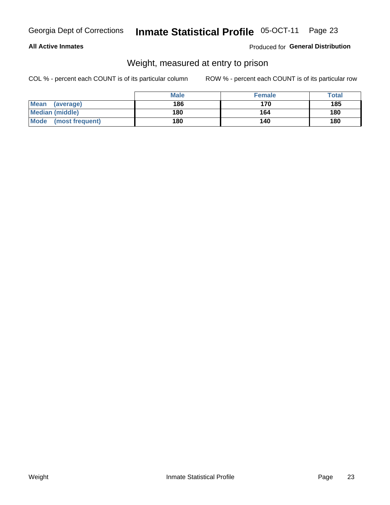#### **All Active Inmates**

#### Produced for General Distribution

## Weight, measured at entry to prison

COL % - percent each COUNT is of its particular column

|                                | <b>Male</b> | <b>Female</b> | Total |
|--------------------------------|-------------|---------------|-------|
| <b>Mean</b><br>(average)       | 186         | 170           | 185   |
| <b>Median (middle)</b>         | 180         | 164           | 180   |
| <b>Mode</b><br>(most frequent) | 180         | 140           | 180   |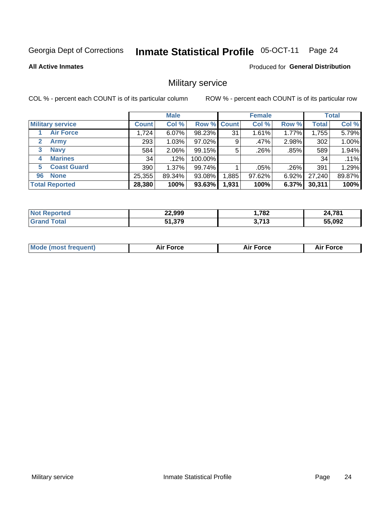#### **Inmate Statistical Profile 05-OCT-11** Page 24

**All Active Inmates** 

Produced for General Distribution

## Military service

COL % - percent each COUNT is of its particular column

|                             | <b>Male</b>  |          |             | <b>Female</b> |        |          | <b>Total</b> |        |
|-----------------------------|--------------|----------|-------------|---------------|--------|----------|--------------|--------|
| <b>Military service</b>     | <b>Count</b> | Col %    | Row % Count |               | Col %  | Row %    | <b>Total</b> | Col %  |
| <b>Air Force</b>            | 1,724        | 6.07%    | 98.23%      | 31            | 1.61%  | 1.77%    | 1,755        | 5.79%  |
| $\mathbf{2}$<br><b>Army</b> | 293          | 1.03%    | 97.02%      | 9             | .47%   | 2.98%    | 302          | 1.00%  |
| <b>Navy</b><br>3            | 584          | $2.06\%$ | 99.15%      | 5             | .26%   | .85%     | 589          | 1.94%  |
| <b>Marines</b><br>4         | 34           | .12%     | 100.00%     |               |        |          | 34           | .11%   |
| <b>Coast Guard</b><br>5     | 390          | 1.37%    | 99.74%      |               | .05%   | .26%     | 391          | 1.29%  |
| <b>None</b><br>96           | 25,355       | 89.34%   | 93.08%      | .885          | 97.62% | $6.92\%$ | 27,240       | 89.87% |
| <b>Total Reported</b>       | 28,380       | 100%     | $93.63\%$   | 1,931         | 100%   | 6.37%    | 30,311       | 100%   |

| orted<br><b>NOT</b> | 22,999 | ,782                              | ,781<br>ЭΔ. |
|---------------------|--------|-----------------------------------|-------------|
| $\sim$              | 51,379 | <b>2742</b><br>טו<br>$\mathbf{v}$ | 55,092<br>  |

| <b>Mode (most frequent)</b> | Force<br>Aır<br>_____ | <b>Force</b><br>Δır | orce |
|-----------------------------|-----------------------|---------------------|------|
|                             |                       |                     |      |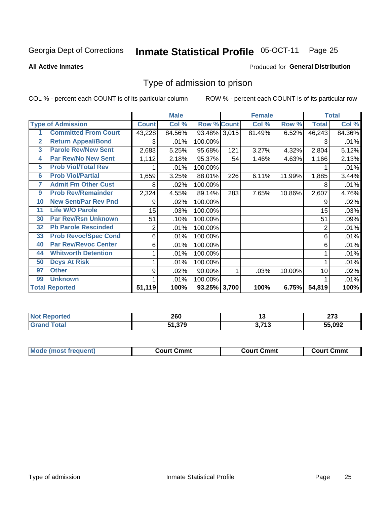#### **Inmate Statistical Profile 05-OCT-11** Page 25

#### **All Active Inmates**

#### Produced for General Distribution

### Type of admission to prison

COL % - percent each COUNT is of its particular column

|                         |                             |                  | <b>Male</b> |                    | <b>Female</b> |                    |        | <b>Total</b>   |        |
|-------------------------|-----------------------------|------------------|-------------|--------------------|---------------|--------------------|--------|----------------|--------|
|                         | <b>Type of Admission</b>    | <b>Count</b>     | Col %       | <b>Row % Count</b> |               | $\overline{Col}$ % | Row %  | <b>Total</b>   | Col %  |
|                         | <b>Committed From Court</b> | 43,228           | 84.56%      | 93.48% 3,015       |               | 81.49%             | 6.52%  | 46,243         | 84.36% |
| $\mathbf{2}$            | <b>Return Appeal/Bond</b>   | 3                | .01%        | 100.00%            |               |                    |        | 3              | .01%   |
| $\overline{\mathbf{3}}$ | <b>Parole Rev/New Sent</b>  | 2,683            | 5.25%       | 95.68%             | 121           | 3.27%              | 4.32%  | 2,804          | 5.12%  |
| 4                       | <b>Par Rev/No New Sent</b>  | 1,112            | 2.18%       | 95.37%             | 54            | 1.46%              | 4.63%  | 1,166          | 2.13%  |
| 5                       | <b>Prob Viol/Total Rev</b>  |                  | .01%        | 100.00%            |               |                    |        |                | .01%   |
| 6                       | <b>Prob Viol/Partial</b>    | 1,659            | 3.25%       | 88.01%             | 226           | 6.11%              | 11.99% | 1,885          | 3.44%  |
| 7                       | <b>Admit Fm Other Cust</b>  | 8                | .02%        | 100.00%            |               |                    |        | 8              | .01%   |
| 9                       | <b>Prob Rev/Remainder</b>   | 2,324            | 4.55%       | 89.14%             | 283           | 7.65%              | 10.86% | 2,607          | 4.76%  |
| 10                      | <b>New Sent/Par Rev Pnd</b> | 9                | .02%        | 100.00%            |               |                    |        | 9              | .02%   |
| 11                      | <b>Life W/O Parole</b>      | 15 <sub>15</sub> | .03%        | 100.00%            |               |                    |        | 15             | .03%   |
| 30                      | <b>Par Rev/Rsn Unknown</b>  | 51               | .10%        | 100.00%            |               |                    |        | 51             | .09%   |
| 32                      | <b>Pb Parole Rescinded</b>  | $\overline{c}$   | .01%        | 100.00%            |               |                    |        | $\overline{2}$ | .01%   |
| 33                      | <b>Prob Revoc/Spec Cond</b> | 6                | .01%        | 100.00%            |               |                    |        | 6              | .01%   |
| 40                      | <b>Par Rev/Revoc Center</b> | 6                | .01%        | 100.00%            |               |                    |        | 6              | .01%   |
| 44                      | <b>Whitworth Detention</b>  | 1                | .01%        | 100.00%            |               |                    |        |                | .01%   |
| 50                      | <b>Dcys At Risk</b>         | 1                | .01%        | 100.00%            |               |                    |        |                | .01%   |
| 97                      | <b>Other</b>                | 9                | .02%        | 90.00%             | 1             | .03%               | 10.00% | 10             | .02%   |
| 99                      | <b>Unknown</b>              |                  | .01%        | 100.00%            |               |                    |        |                | .01%   |
|                         | <b>Total Reported</b>       | 51,119           | 100%        | 93.25% 3,700       |               | 100%               | 6.75%  | 54,819         | 100%   |

| N<br>тео | 260             | .,       | $\sim$<br>21 J |  |  |
|----------|-----------------|----------|----------------|--|--|
|          | 370<br>כ וט, וי | 274c<br> | 55,092         |  |  |

| <b>Mode (most frequent)</b><br><b>Court Cmmt</b><br>Court Cmmt<br><b>Court Cmmt</b> |  |  |
|-------------------------------------------------------------------------------------|--|--|
|                                                                                     |  |  |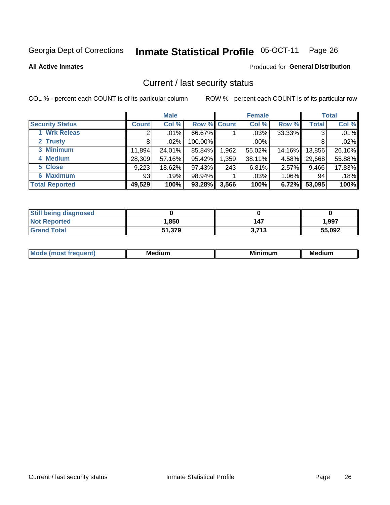#### **Inmate Statistical Profile 05-OCT-11** Page 26

**All Active Inmates** 

#### Produced for General Distribution

### Current / last security status

COL % - percent each COUNT is of its particular column

|                        | <b>Male</b>  |         |             |       | <b>Female</b> | <b>Total</b> |              |        |
|------------------------|--------------|---------|-------------|-------|---------------|--------------|--------------|--------|
| <b>Security Status</b> | <b>Count</b> | Col %   | Row % Count |       | Col %         | Row %        | <b>Total</b> | Col %  |
| <b>Wrk Releas</b>      | 2            | $.01\%$ | 66.67%      |       | $.03\%$       | 33.33%       | 3            | .01%   |
| 2 Trusty               | 8            | .02%    | 100.00%     |       | .00%          |              | 8            | .02%   |
| 3 Minimum              | 11,894       | 24.01%  | 85.84%      | 1,962 | 55.02%        | 14.16%       | 13,856       | 26.10% |
| 4 Medium               | 28,309       | 57.16%  | 95.42%      | 1,359 | 38.11%        | 4.58%        | 29,668       | 55.88% |
| 5 Close                | 9,223        | 18.62%  | 97.43%      | 243   | 6.81%         | 2.57%        | 9,466        | 17.83% |
| <b>6 Maximum</b>       | 931          | .19%    | 98.94%      |       | .03%          | 1.06%        | 94           | .18%   |
| <b>Total Reported</b>  | 49,529       | 100%    | 93.28%      | 3,566 | 100%          | 6.72%        | 53,095       | 100%   |

| <b>Still being diagnosed</b> |        |       |        |
|------------------------------|--------|-------|--------|
| <b>Not Reported</b>          | .850   | 147   | 1,997  |
| <b>Grand Total</b>           | 51,379 | 3.713 | 55,092 |

| M | NЛ<br>. .<br>dilim<br>_____ | ---<br>-- | . .<br>Medium<br>Me |
|---|-----------------------------|-----------|---------------------|
|   |                             |           |                     |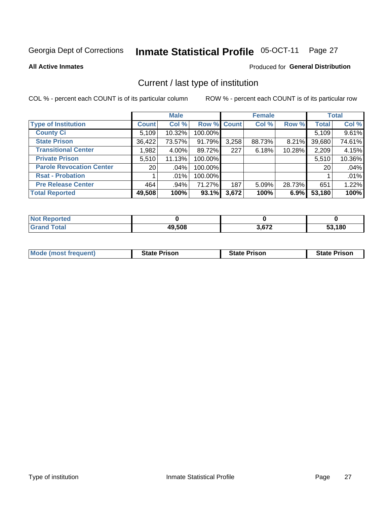#### Inmate Statistical Profile 05-OCT-11 Page 27

**All Active Inmates** 

#### Produced for General Distribution

## Current / last type of institution

COL % - percent each COUNT is of its particular column

|                                 |                 | <b>Male</b> |                    |       | <b>Female</b> |        |              | <b>Total</b> |
|---------------------------------|-----------------|-------------|--------------------|-------|---------------|--------|--------------|--------------|
| <b>Type of Institution</b>      | <b>Count</b>    | Col %       | <b>Row % Count</b> |       | Col %         | Row %  | <b>Total</b> | Col %        |
| <b>County Ci</b>                | 5,109           | 10.32%      | 100.00%            |       |               |        | 5,109        | 9.61%        |
| <b>State Prison</b>             | 36,422          | 73.57%      | 91.79%             | 3,258 | 88.73%        | 8.21%  | 39,680       | 74.61%       |
| <b>Transitional Center</b>      | 1,982           | $4.00\%$    | 89.72%             | 227   | 6.18%         | 10.28% | 2,209        | 4.15%        |
| <b>Private Prison</b>           | 5,510           | 11.13%      | 100.00%            |       |               |        | 5,510        | 10.36%       |
| <b>Parole Revocation Center</b> | 20 <sub>1</sub> | $.04\%$     | 100.00%            |       |               |        | 20           | .04%         |
| <b>Rsat - Probation</b>         |                 | $.01\%$     | 100.00%            |       |               |        |              | .01%         |
| <b>Pre Release Center</b>       | 464             | $.94\%$     | 71.27%             | 187   | 5.09%         | 28.73% | 651          | 1.22%        |
| <b>Total Reported</b>           | 49,508          | 100%        | 93.1%              | 3,672 | 100%          | 6.9%   | 53,180       | 100%         |

| ported<br>NOT |        |       |        |
|---------------|--------|-------|--------|
| <b>otal</b>   | 49,508 | מדי מ | 53,180 |

| <b>Mode (most frequent)</b> | <b>State Prison</b> | <b>State Prison</b> | <b>State Prison</b> |
|-----------------------------|---------------------|---------------------|---------------------|
|                             |                     |                     |                     |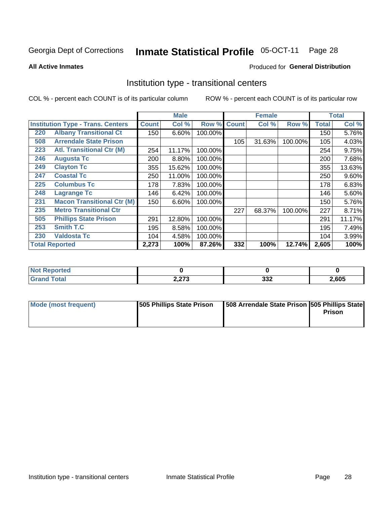#### **Inmate Statistical Profile 05-OCT-11** Page 28

**All Active Inmates** 

#### Produced for General Distribution

### Institution type - transitional centers

COL % - percent each COUNT is of its particular column

|                                          |                                                                 |              | <b>Male</b> |         |              | <b>Female</b> |         |              | <b>Total</b> |
|------------------------------------------|-----------------------------------------------------------------|--------------|-------------|---------|--------------|---------------|---------|--------------|--------------|
| <b>Institution Type - Trans. Centers</b> |                                                                 | <b>Count</b> | Col %       | Row %   | <b>Count</b> | Col %         | Row %   | <b>Total</b> | Col %        |
| 220                                      | <b>Albany Transitional Ct</b>                                   | 150          | 6.60%       | 100.00% |              |               |         | 150          | 5.76%        |
| 508                                      | <b>Arrendale State Prison</b>                                   |              |             |         | 105          | 31.63%        | 100.00% | 105          | 4.03%        |
| 223                                      | <b>Atl. Transitional Ctr (M)</b>                                | 254          | 11.17%      | 100.00% |              |               |         | 254          | 9.75%        |
| 246                                      | <b>Augusta Tc</b>                                               | 200          | 8.80%       | 100.00% |              |               |         | 200          | 7.68%        |
| 249                                      | <b>Clayton Tc</b>                                               | 355          | 15.62%      | 100.00% |              |               |         | 355          | 13.63%       |
| 247                                      | <b>Coastal Tc</b>                                               | 250          | 11.00%      | 100.00% |              |               |         | 250          | 9.60%        |
| 225                                      | <b>Columbus Tc</b>                                              | 178          | 7.83%       | 100.00% |              |               |         | 178          | 6.83%        |
| 248                                      | <b>Lagrange Tc</b>                                              | 146          | 6.42%       | 100.00% |              |               |         | 146          | 5.60%        |
| 231                                      | <b>Macon Transitional Ctr (M)</b>                               | 150          | 6.60%       | 100.00% |              |               |         | 150          | 5.76%        |
| 235                                      | <b>Metro Transitional Ctr</b>                                   |              |             |         | 227          | 68.37%        | 100.00% | 227          | 8.71%        |
| 505                                      | <b>Phillips State Prison</b>                                    | 291          | 12.80%      | 100.00% |              |               |         | 291          | 11.17%       |
| 253                                      | <b>Smith T.C</b>                                                | 195          | 8.58%       | 100.00% |              |               |         | 195          | 7.49%        |
| 230                                      | <b>Valdosta Tc</b>                                              | 104          | 4.58%       | 100.00% |              |               |         | 104          | 3.99%        |
|                                          | <b>Total Reported</b><br>2,273<br>100%<br>87.26%<br>332<br>100% |              | 12.74%      | 2,605   | 100%         |               |         |              |              |

| <b>Reported</b> |                              |              |       |
|-----------------|------------------------------|--------------|-------|
| 'otal           | <b>0.070</b><br><b>961 م</b> | ົາງາ<br>JJZ. | 2,605 |

| Mode (most frequent) | <b>1505 Phillips State Prison</b> | <b>508 Arrendale State Prison 505 Phillips State</b> |               |
|----------------------|-----------------------------------|------------------------------------------------------|---------------|
|                      |                                   |                                                      | <b>Prison</b> |
|                      |                                   |                                                      |               |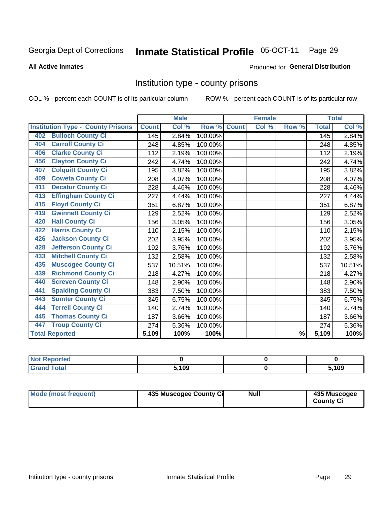#### **Inmate Statistical Profile 05-OCT-11** Page 29

#### **All Active Inmates**

#### Produced for General Distribution

#### Institution type - county prisons

COL % - percent each COUNT is of its particular column

|                                          |              | <b>Male</b> |         |              | <b>Female</b> |               |              | <b>Total</b>               |
|------------------------------------------|--------------|-------------|---------|--------------|---------------|---------------|--------------|----------------------------|
| <b>Institution Type - County Prisons</b> | <b>Count</b> | Col %       | Row %   | <b>Count</b> | Col %         | Row %         | <b>Total</b> | $\overline{\text{Col }\%}$ |
| <b>Bulloch County Ci</b><br>402          | 145          | 2.84%       | 100.00% |              |               |               | 145          | 2.84%                      |
| <b>Carroll County Ci</b><br>404          | 248          | 4.85%       | 100.00% |              |               |               | 248          | 4.85%                      |
| <b>Clarke County Ci</b><br>406           | 112          | 2.19%       | 100.00% |              |               |               | 112          | 2.19%                      |
| <b>Clayton County Ci</b><br>456          | 242          | 4.74%       | 100.00% |              |               |               | 242          | 4.74%                      |
| <b>Colquitt County Ci</b><br>407         | 195          | 3.82%       | 100.00% |              |               |               | 195          | 3.82%                      |
| <b>Coweta County Ci</b><br>409           | 208          | 4.07%       | 100.00% |              |               |               | 208          | 4.07%                      |
| <b>Decatur County Ci</b><br>411          | 228          | 4.46%       | 100.00% |              |               |               | 228          | 4.46%                      |
| <b>Effingham County Ci</b><br>413        | 227          | 4.44%       | 100.00% |              |               |               | 227          | 4.44%                      |
| <b>Floyd County Ci</b><br>415            | 351          | 6.87%       | 100.00% |              |               |               | 351          | 6.87%                      |
| <b>Gwinnett County Ci</b><br>419         | 129          | 2.52%       | 100.00% |              |               |               | 129          | 2.52%                      |
| <b>Hall County Ci</b><br>420             | 156          | 3.05%       | 100.00% |              |               |               | 156          | 3.05%                      |
| <b>Harris County Ci</b><br>422           | 110          | 2.15%       | 100.00% |              |               |               | 110          | 2.15%                      |
| <b>Jackson County Ci</b><br>426          | 202          | 3.95%       | 100.00% |              |               |               | 202          | 3.95%                      |
| <b>Jefferson County Ci</b><br>428        | 192          | 3.76%       | 100.00% |              |               |               | 192          | 3.76%                      |
| <b>Mitchell County Ci</b><br>433         | 132          | 2.58%       | 100.00% |              |               |               | 132          | 2.58%                      |
| <b>Muscogee County Ci</b><br>435         | 537          | 10.51%      | 100.00% |              |               |               | 537          | 10.51%                     |
| <b>Richmond County Ci</b><br>439         | 218          | 4.27%       | 100.00% |              |               |               | 218          | 4.27%                      |
| <b>Screven County Ci</b><br>440          | 148          | 2.90%       | 100.00% |              |               |               | 148          | 2.90%                      |
| <b>Spalding County Ci</b><br>441         | 383          | 7.50%       | 100.00% |              |               |               | 383          | 7.50%                      |
| <b>Sumter County Ci</b><br>443           | 345          | 6.75%       | 100.00% |              |               |               | 345          | 6.75%                      |
| <b>Terrell County Ci</b><br>444          | 140          | 2.74%       | 100.00% |              |               |               | 140          | 2.74%                      |
| <b>Thomas County Ci</b><br>445           | 187          | 3.66%       | 100.00% |              |               |               | 187          | 3.66%                      |
| <b>Troup County Ci</b><br>447            | 274          | 5.36%       | 100.00% |              |               |               | 274          | 5.36%                      |
| <b>Total Reported</b>                    | 5,109        | 100%        | 100%    |              |               | $\frac{9}{6}$ | 5,109        | 100%                       |

| <b>Not Reported</b> |       |      |
|---------------------|-------|------|
| <b>Grand Total</b>  | រ.109 | ,109 |

| Mode (most frequent) | 435 Muscogee County Ci | <b>Null</b> | 435 Muscogee<br><b>County Ci</b> |
|----------------------|------------------------|-------------|----------------------------------|
|----------------------|------------------------|-------------|----------------------------------|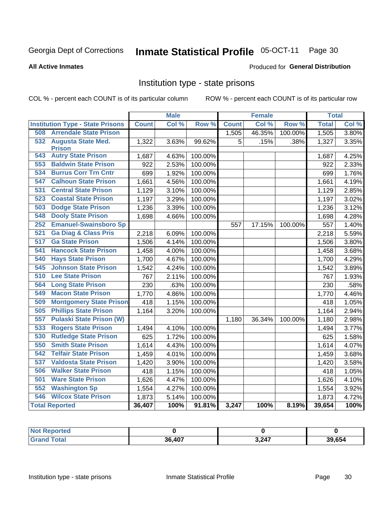#### Inmate Statistical Profile 05-OCT-11 Page 30

#### **All Active Inmates**

#### Produced for General Distribution

### Institution type - state prisons

COL % - percent each COUNT is of its particular column

|                                         | <b>Male</b>  |       | <b>Female</b> |              |        | <b>Total</b> |              |       |
|-----------------------------------------|--------------|-------|---------------|--------------|--------|--------------|--------------|-------|
| <b>Institution Type - State Prisons</b> | <b>Count</b> | Col % | Row %         | <b>Count</b> | Col %  | Row %        | <b>Total</b> | Col % |
| <b>508 Arrendale State Prison</b>       |              |       |               | 1,505        | 46.35% | 100.00%      | 1,505        | 3.80% |
| 532<br><b>Augusta State Med.</b>        | 1,322        | 3.63% | 99.62%        | 5            | .15%   | .38%         | 1,327        | 3.35% |
| <b>Prison</b>                           |              |       |               |              |        |              |              |       |
| <b>Autry State Prison</b><br>543        | 1,687        | 4.63% | 100.00%       |              |        |              | 1,687        | 4.25% |
| 553<br><b>Baldwin State Prison</b>      | 922          | 2.53% | 100.00%       |              |        |              | 922          | 2.33% |
| <b>Burrus Corr Trn Cntr</b><br>534      | 699          | 1.92% | 100.00%       |              |        |              | 699          | 1.76% |
| 547<br><b>Calhoun State Prison</b>      | 1,661        | 4.56% | 100.00%       |              |        |              | 1,661        | 4.19% |
| <b>Central State Prison</b><br>531      | 1,129        | 3.10% | 100.00%       |              |        |              | 1,129        | 2.85% |
| <b>Coastal State Prison</b><br>523      | 1,197        | 3.29% | 100.00%       |              |        |              | 1,197        | 3.02% |
| <b>Dodge State Prison</b><br>503        | 1,236        | 3.39% | 100.00%       |              |        |              | 1,236        | 3.12% |
| 548<br><b>Dooly State Prison</b>        | 1,698        | 4.66% | 100.00%       |              |        |              | 1,698        | 4.28% |
| <b>Emanuel-Swainsboro Sp</b><br>252     |              |       |               | 557          | 17.15% | 100.00%      | 557          | 1.40% |
| <b>Ga Diag &amp; Class Pris</b><br>521  | 2,218        | 6.09% | 100.00%       |              |        |              | 2,218        | 5.59% |
| 517<br><b>Ga State Prison</b>           | 1,506        | 4.14% | 100.00%       |              |        |              | 1,506        | 3.80% |
| <b>Hancock State Prison</b><br>541      | 1,458        | 4.00% | 100.00%       |              |        |              | 1,458        | 3.68% |
| <b>Hays State Prison</b><br>540         | 1,700        | 4.67% | 100.00%       |              |        |              | 1,700        | 4.29% |
| 545<br><b>Johnson State Prison</b>      | 1,542        | 4.24% | 100.00%       |              |        |              | 1,542        | 3.89% |
| 510<br><b>Lee State Prison</b>          | 767          | 2.11% | 100.00%       |              |        |              | 767          | 1.93% |
| <b>Long State Prison</b><br>564         | 230          | .63%  | 100.00%       |              |        |              | 230          | .58%  |
| 549<br><b>Macon State Prison</b>        | 1,770        | 4.86% | 100.00%       |              |        |              | 1,770        | 4.46% |
| 509<br><b>Montgomery State Prison</b>   | 418          | 1.15% | 100.00%       |              |        |              | 418          | 1.05% |
| <b>Phillips State Prison</b><br>505     | 1,164        | 3.20% | 100.00%       |              |        |              | 1,164        | 2.94% |
| <b>Pulaski State Prison (W)</b><br>557  |              |       |               | 1,180        | 36.34% | 100.00%      | 1,180        | 2.98% |
| <b>Rogers State Prison</b><br>533       | 1,494        | 4.10% | 100.00%       |              |        |              | 1,494        | 3.77% |
| <b>Rutledge State Prison</b><br>530     | 625          | 1.72% | 100.00%       |              |        |              | 625          | 1.58% |
| <b>Smith State Prison</b><br>550        | 1,614        | 4.43% | 100.00%       |              |        |              | 1,614        | 4.07% |
| 542<br><b>Telfair State Prison</b>      | 1,459        | 4.01% | 100.00%       |              |        |              | 1,459        | 3.68% |
| <b>Valdosta State Prison</b><br>537     | 1,420        | 3.90% | 100.00%       |              |        |              | 1,420        | 3.58% |
| <b>Walker State Prison</b><br>506       | 418          | 1.15% | 100.00%       |              |        |              | 418          | 1.05% |
| <b>Ware State Prison</b><br>501         | 1,626        | 4.47% | 100.00%       |              |        |              | 1,626        | 4.10% |
| <b>Washington Sp</b><br>552             | 1,554        | 4.27% | 100.00%       |              |        |              | 1,554        | 3.92% |
| <b>Wilcox State Prison</b><br>546       | 1,873        | 5.14% | 100.00%       |              |        |              | 1,873        | 4.72% |
| <b>Total Reported</b>                   | 36,407       | 100%  | 91.81%        | 3,247        | 100%   | 8.19%        | 39,654       | 100%  |

| A CAO       |        |       |        |
|-------------|--------|-------|--------|
| $f$ oto $'$ | 36.407 | 3,247 | 39.654 |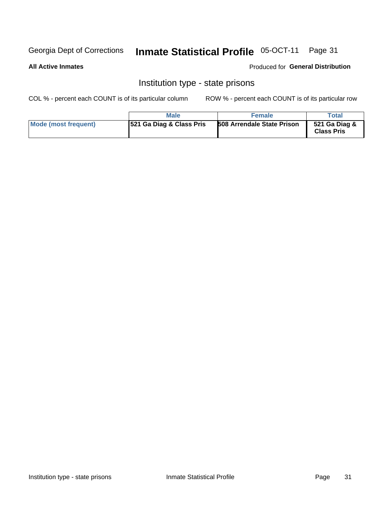## Inmate Statistical Profile 05-OCT-11 Page 31

#### **All Active Inmates**

#### Produced for General Distribution

### Institution type - state prisons

COL % - percent each COUNT is of its particular column

|                      | <b>Male</b>                          | <b>Female</b>                     | Total                              |
|----------------------|--------------------------------------|-----------------------------------|------------------------------------|
| Mode (most frequent) | <b>1521 Ga Diag &amp; Class Pris</b> | <b>508 Arrendale State Prison</b> | 521 Ga Diag &<br><b>Class Pris</b> |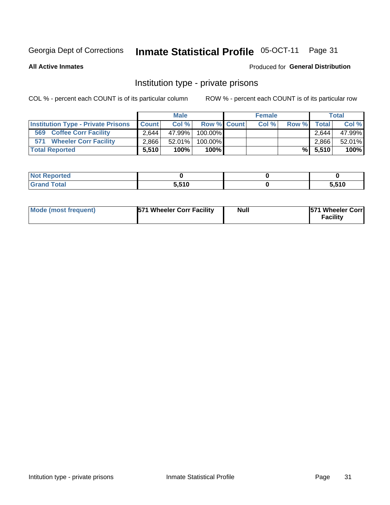## Inmate Statistical Profile 05-OCT-11 Page 31

**All Active Inmates** 

#### Produced for General Distribution

### Institution type - private prisons

COL % - percent each COUNT is of its particular column

|                                           | <b>Male</b>  |        |                    | <b>Female</b> |       |       | <b>Total</b> |        |
|-------------------------------------------|--------------|--------|--------------------|---------------|-------|-------|--------------|--------|
| <b>Institution Type - Private Prisons</b> | <b>Count</b> | Col%   | <b>Row % Count</b> |               | Col % | Row % | Total        | Col %  |
| 569<br><b>Coffee Corr Facility</b>        | 2.644        | 47.99% | $100.00\%$         |               |       |       | 2.644        | 47.99% |
| <b>Wheeler Corr Facility</b><br>571       | 2,866        | 52.01% | 100.00%            |               |       |       | 2,866        | 52.01% |
| <b>Total Reported</b>                     | 5,510        | 100%   | $100\%$            |               |       |       | $\%$ 5,510   | 100%   |

| portea |      |       |
|--------|------|-------|
| $\sim$ | 5510 | 5,510 |

| Mode (most frequent) | 571 Wheeler Corr Facility | <b>Null</b> | <b>571 Wheeler Corrl</b><br>Facilitv |
|----------------------|---------------------------|-------------|--------------------------------------|
|----------------------|---------------------------|-------------|--------------------------------------|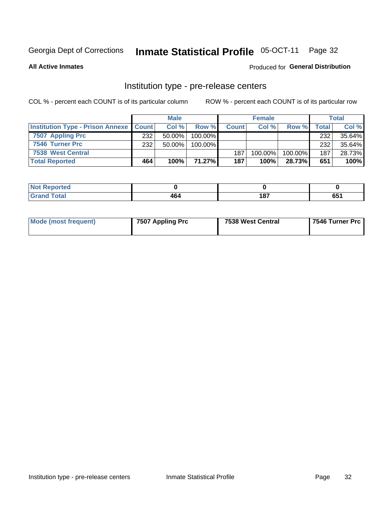## Inmate Statistical Profile 05-OCT-11 Page 32

**All Active Inmates** 

#### Produced for General Distribution

## Institution type - pre-release centers

COL % - percent each COUNT is of its particular column

|                                                   | <b>Male</b> |           |            | <b>Female</b> |            |         | <b>Total</b>   |        |
|---------------------------------------------------|-------------|-----------|------------|---------------|------------|---------|----------------|--------|
| <b>Institution Type - Prison Annexe   Count  </b> |             | Col %     | Row %      | <b>Count</b>  | Col %      | Row %   | <b>Total</b> l | Col %  |
| 7507 Appling Prc                                  | 232         | $50.00\%$ | $100.00\%$ |               |            |         | 232            | 35.64% |
| 7546 Turner Prc                                   | 232         | $50.00\%$ | $100.00\%$ |               |            |         | 232            | 35.64% |
| 7538 West Central                                 |             |           |            | 187           | $100.00\%$ | 100.00% | 187            | 28.73% |
| <b>Total Reported</b>                             | 464         | 100%      | 71.27%I    | 187           | 100%       | 28.73%I | 651            | 100%   |

| τeα<br>$\sim$<br>-- |          |     |           |
|---------------------|----------|-----|-----------|
|                     | "<br>יטו | 407 | ---<br>uj |

| Mode (most frequent) | 7507 Appling Prc | 7538 West Central | 7546 Turner Prc |
|----------------------|------------------|-------------------|-----------------|
|----------------------|------------------|-------------------|-----------------|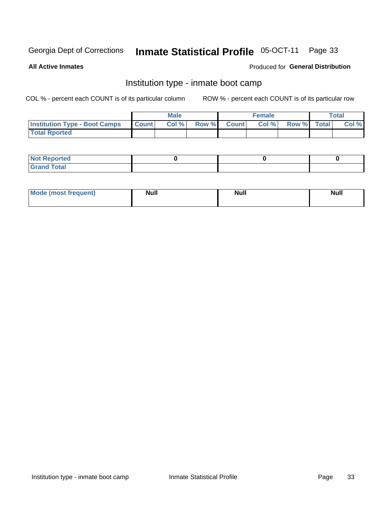#### **Inmate Statistical Profile 05-OCT-11** Page 33

**All Active Inmates** 

#### Produced for General Distribution

## Institution type - inmate boot camp

COL % - percent each COUNT is of its particular column

|                                      |                  | <b>Male</b> |              |              | <b>Female</b> |             | <b>Total</b> |
|--------------------------------------|------------------|-------------|--------------|--------------|---------------|-------------|--------------|
| <b>Institution Type - Boot Camps</b> | <b>I</b> Count I | Col %       | <b>Row %</b> | <b>Count</b> | Col %         | Row % Total | Col %        |
| <b>Total Rported</b>                 |                  |             |              |              |               |             |              |

| <b>Not Reported</b> |  |  |
|---------------------|--|--|
| <b>Total</b><br>Cro |  |  |

| <b>Mode (most frequent)</b> | <b>Null</b> | <b>Null</b> | <b>Null</b> |
|-----------------------------|-------------|-------------|-------------|
|                             |             |             |             |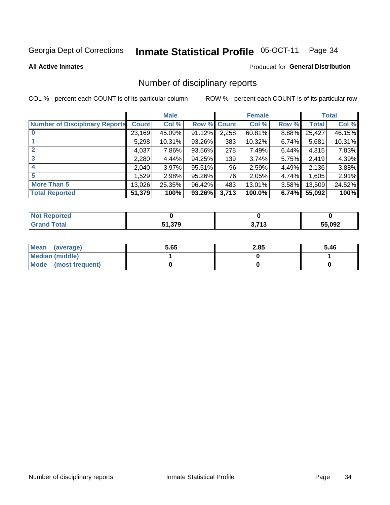#### Inmate Statistical Profile 05-OCT-11 Page 34

#### **All Active Inmates**

#### Produced for General Distribution

### Number of disciplinary reports

COL % - percent each COUNT is of its particular column

|                                       |              | <b>Male</b> |        |              | <b>Female</b> |          |              | <b>Total</b> |
|---------------------------------------|--------------|-------------|--------|--------------|---------------|----------|--------------|--------------|
| <b>Number of Disciplinary Reports</b> | <b>Count</b> | Col %       | Row %  | <b>Count</b> | Col %         | Row %    | <b>Total</b> | Col %        |
| $\bf{0}$                              | 23,169       | 45.09%      | 91.12% | 2,258        | 60.81%        | 8.88%    | 25,427       | 46.15%       |
|                                       | 5,298        | 10.31%      | 93.26% | 383          | 10.32%        | 6.74%    | 5,681        | 10.31%       |
| $\overline{2}$                        | 4,037        | 7.86%       | 93.56% | 278          | 7.49%         | 6.44%    | 4,315        | 7.83%        |
| 3                                     | 2,280        | $4.44\%$    | 94.25% | 139          | 3.74%         | 5.75%    | 2,419        | 4.39%        |
| 4                                     | 2,040        | $3.97\%$    | 95.51% | 96           | 2.59%         | 4.49%    | 2,136        | 3.88%        |
| 5                                     | 1,529        | 2.98%       | 95.26% | 76           | 2.05%         | $4.74\%$ | 1,605        | 2.91%        |
| <b>More Than 5</b>                    | 13,026       | 25.35%      | 96.42% | 483          | 13.01%        | $3.58\%$ | 13,509       | 24.52%       |
| <b>Total Reported</b>                 | 51,379       | 100%        | 93.26% | 3,713        | 100.0%        | 6.74%    | 55,092       | 100%         |

| วrted<br>NO  |        |               |        |
|--------------|--------|---------------|--------|
| <b>Total</b> | 51,379 | <b>1 74 מ</b> | 55,092 |

| Mean (average)         | 5.65 | 2.85 | 5.46 |
|------------------------|------|------|------|
| <b>Median (middle)</b> |      |      |      |
| Mode (most frequent)   |      |      |      |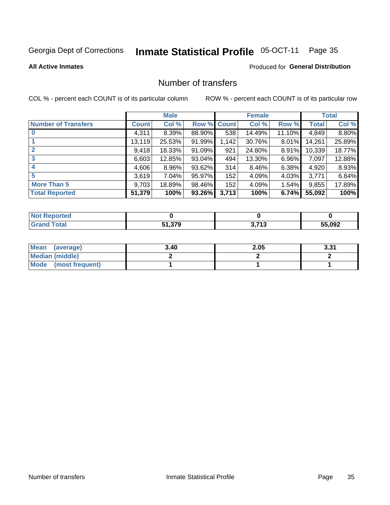## Inmate Statistical Profile 05-OCT-11 Page 35

#### **All Active Inmates**

#### **Produced for General Distribution**

## Number of transfers

COL % - percent each COUNT is of its particular column

|                            |         | <b>Male</b> |        |              | <b>Female</b> |          |              | <b>Total</b> |
|----------------------------|---------|-------------|--------|--------------|---------------|----------|--------------|--------------|
| <b>Number of Transfers</b> | Count l | Col %       | Row %  | <b>Count</b> | Col %         | Row %    | <b>Total</b> | Col %        |
|                            | 4,311   | 8.39%       | 88.90% | 538          | 14.49%        | 11.10%   | 4,849        | 8.80%        |
|                            | 13,119  | 25.53%      | 91.99% | 1,142        | 30.76%        | $8.01\%$ | 14,261       | 25.89%       |
| $\mathbf{2}$               | 9,418   | 18.33%      | 91.09% | 921          | 24.80%        | 8.91%    | 10,339       | 18.77%       |
| 3                          | 6,603   | 12.85%      | 93.04% | 494          | 13.30%        | $6.96\%$ | 7,097        | 12.88%       |
| 4                          | 4,606   | $8.96\%$    | 93.62% | 314          | 8.46%         | 6.38%    | 4,920        | 8.93%        |
| 5                          | 3,619   | 7.04%       | 95.97% | 152          | 4.09%         | 4.03%    | 3,771        | 6.84%        |
| <b>More Than 5</b>         | 9,703   | 18.89%      | 98.46% | 152          | 4.09%         | $1.54\%$ | 9,855        | 17.89%       |
| <b>Total Reported</b>      | 51,379  | 100%        | 93.26% | 3,713        | 100%          | 6.74%    | 55,092       | 100%         |

| prted<br>NOT      |        |                    |        |
|-------------------|--------|--------------------|--------|
| <sup>-</sup> otal | 51,379 | <b>1 74 מ</b><br>╹ | 55,092 |

| Mean (average)         | 3.40 | 2.05 | <b>2234</b><br>ا د.د |
|------------------------|------|------|----------------------|
| <b>Median (middle)</b> |      |      |                      |
| Mode (most frequent)   |      |      |                      |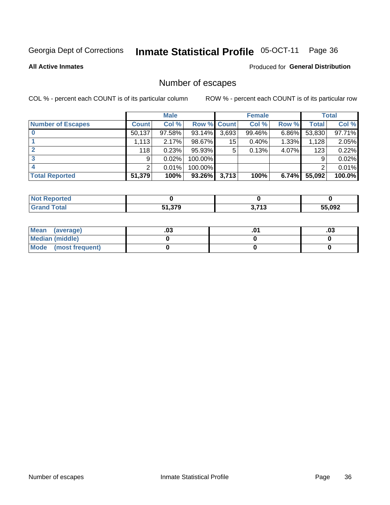# Inmate Statistical Profile 05-OCT-11 Page 36

#### **All Active Inmates**

### Produced for General Distribution

# Number of escapes

COL % - percent each COUNT is of its particular column

|                          |              | <b>Male</b> |             |       | <b>Female</b> |          |              | <b>Total</b> |
|--------------------------|--------------|-------------|-------------|-------|---------------|----------|--------------|--------------|
| <b>Number of Escapes</b> | <b>Count</b> | Col %       | Row % Count |       | Col %         | Row %    | <b>Total</b> | Col %        |
|                          | 50,137       | 97.58%      | 93.14%      | 3,693 | 99.46%        | $6.86\%$ | 53,830       | 97.71%       |
|                          | 1.113        | 2.17%       | 98.67%      | 15    | 0.40%         | $1.33\%$ | 1,128        | 2.05%        |
|                          | 118          | 0.23%       | 95.93%      | 5     | 0.13%         | $4.07\%$ | 123          | 0.22%        |
|                          | 9            | 0.02%       | 100.00%     |       |               |          | 9            | 0.02%        |
|                          | ົ            | 0.01%       | 100.00%     |       |               |          | ⌒            | 0.01%        |
| <b>Total Reported</b>    | 51,379       | 100%        | 93.26%      | 3,713 | 100%          | 6.74%    | 55,092       | $100.0\%$    |

| τeα |        |                       |        |
|-----|--------|-----------------------|--------|
|     | 51,379 | 2742<br>╹<br><u>.</u> | 55,092 |

| Mean (average)         | .ט. | .03 |
|------------------------|-----|-----|
| <b>Median (middle)</b> |     |     |
| Mode (most frequent)   |     |     |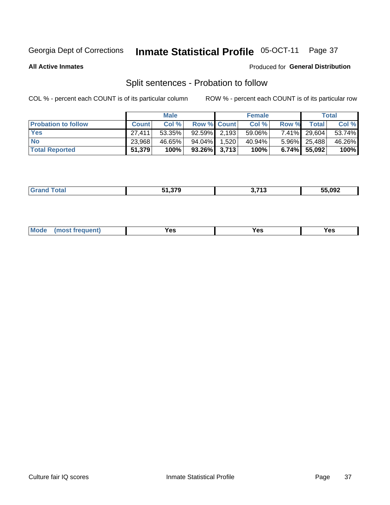#### **Inmate Statistical Profile 05-OCT-11** Page 37

**All Active Inmates** 

#### Produced for General Distribution

# Split sentences - Probation to follow

COL % - percent each COUNT is of its particular column

|                            |              | <b>Male</b> |                    | <b>Female</b> |          |                 | <b>Total</b> |
|----------------------------|--------------|-------------|--------------------|---------------|----------|-----------------|--------------|
| <b>Probation to follow</b> | <b>Count</b> | Col%        | <b>Row % Count</b> | Col %         | Row %    | <b>Total</b>    | Col %        |
| <b>Yes</b>                 | 27.411       | 53.35%      | $92.59\%$ 2.193    | 59.06%        |          | 7.41% 29,604    | 53.74%       |
| <b>No</b>                  | 23.968       | 46.65%      | 94.04% 1.520       | 40.94%        |          | $5.96\%$ 25,488 | 46.26%       |
| <b>Total Reported</b>      | 51,379       | 100%        | $93.26\%$ 3,713    | 100%          | $6.74\%$ | 55,092          | 100%         |

|  |  | <b>FA 670</b><br>1.979 | <b>יאד נ</b><br>- 1 | 55,092 |
|--|--|------------------------|---------------------|--------|
|--|--|------------------------|---------------------|--------|

| reauent)<br>Yes<br>v^c<br>0٥<br>.<br>. .<br>$\sim$ |  | <b>Mode</b> |  |  |  |
|----------------------------------------------------|--|-------------|--|--|--|
|----------------------------------------------------|--|-------------|--|--|--|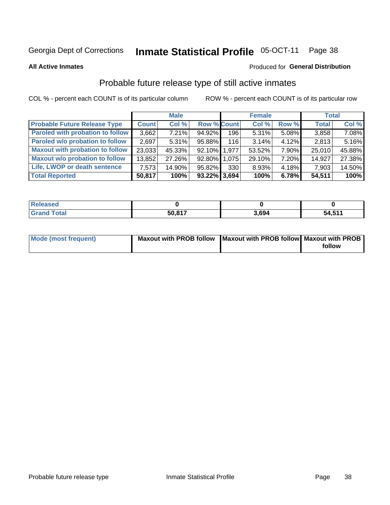#### **Inmate Statistical Profile 05-OCT-11** Page 38

**All Active Inmates** 

#### Produced for General Distribution

# Probable future release type of still active inmates

COL % - percent each COUNT is of its particular column

|                                         |              | <b>Male</b> |                    |                  | <b>Female</b> |          | <b>Total</b> |        |
|-----------------------------------------|--------------|-------------|--------------------|------------------|---------------|----------|--------------|--------|
| <b>Probable Future Release Type</b>     | <b>Count</b> | Col %       | <b>Row % Count</b> |                  | Col %         | Row %    | <b>Total</b> | Col %  |
| <b>Paroled with probation to follow</b> | 3,662        | 7.21%       | 94.92%             | 196              | 5.31%         | 5.08%    | 3,858        | 7.08%  |
| Paroled w/o probation to follow         | 2,697        | 5.31%       | 95.88%             | 116              | 3.14%         | 4.12%    | 2,813        | 5.16%  |
| <b>Maxout with probation to follow</b>  | 23,033       | 45.33%      | 92.10% 1.977       |                  | 53.52%        | 7.90%    | 25,010       | 45.88% |
| <b>Maxout w/o probation to follow</b>   | 13,852       | 27.26%      | 92.80% 1,075       |                  | 29.10%        | 7.20%    | 14,927       | 27.38% |
| Life, LWOP or death sentence            | 7,573        | 14.90%      | 95.82%             | 330 <sup>1</sup> | 8.93%         | $4.18\%$ | 7,903        | 14.50% |
| <b>Total Reported</b>                   | 50,817       | 100%        | 93.22% 3.694       |                  | 100%          | 6.78%    | 54,511       | 100%   |

| aseo |        |       |           |
|------|--------|-------|-----------|
|      | 50.817 | . 694 | 511<br>54 |

| <b>Mode (most frequent)</b> | Maxout with PROB follow   Maxout with PROB follow   Maxout with PROB |        |
|-----------------------------|----------------------------------------------------------------------|--------|
|                             |                                                                      | follow |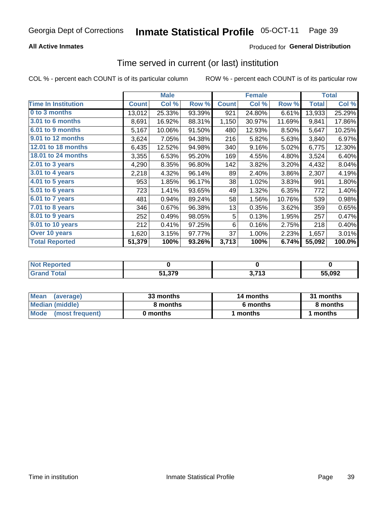### **All Active Inmates**

### **Produced for General Distribution**

# Time served in current (or last) institution

COL % - percent each COUNT is of its particular column

|                            |              | <b>Male</b> |        |              | <b>Female</b> |        |              | <b>Total</b> |
|----------------------------|--------------|-------------|--------|--------------|---------------|--------|--------------|--------------|
| <b>Time In Institution</b> | <b>Count</b> | Col %       | Row %  | <b>Count</b> | Col %         | Row %  | <b>Total</b> | Col %        |
| 0 to 3 months              | 13,012       | 25.33%      | 93.39% | 921          | 24.80%        | 6.61%  | 13,933       | 25.29%       |
| 3.01 to 6 months           | 8,691        | 16.92%      | 88.31% | 1,150        | 30.97%        | 11.69% | 9,841        | 17.86%       |
| 6.01 to 9 months           | 5,167        | 10.06%      | 91.50% | 480          | 12.93%        | 8.50%  | 5,647        | 10.25%       |
| 9.01 to 12 months          | 3,624        | 7.05%       | 94.38% | 216          | 5.82%         | 5.63%  | 3,840        | 6.97%        |
| 12.01 to 18 months         | 6,435        | 12.52%      | 94.98% | 340          | 9.16%         | 5.02%  | 6,775        | 12.30%       |
| <b>18.01 to 24 months</b>  | 3,355        | 6.53%       | 95.20% | 169          | 4.55%         | 4.80%  | 3,524        | 6.40%        |
| 2.01 to 3 years            | 4,290        | 8.35%       | 96.80% | 142          | 3.82%         | 3.20%  | 4,432        | 8.04%        |
| $3.01$ to 4 years          | 2,218        | 4.32%       | 96.14% | 89           | 2.40%         | 3.86%  | 2,307        | 4.19%        |
| 4.01 to 5 years            | 953          | 1.85%       | 96.17% | 38           | 1.02%         | 3.83%  | 991          | 1.80%        |
| 5.01 to 6 years            | 723          | 1.41%       | 93.65% | 49           | 1.32%         | 6.35%  | 772          | 1.40%        |
| 6.01 to 7 years            | 481          | 0.94%       | 89.24% | 58           | 1.56%         | 10.76% | 539          | 0.98%        |
| 7.01 to 8 years            | 346          | 0.67%       | 96.38% | 13           | 0.35%         | 3.62%  | 359          | 0.65%        |
| $8.01$ to 9 years          | 252          | 0.49%       | 98.05% | 5            | 0.13%         | 1.95%  | 257          | 0.47%        |
| 9.01 to 10 years           | 212          | 0.41%       | 97.25% | 6            | 0.16%         | 2.75%  | 218          | 0.40%        |
| Over 10 years              | 1,620        | 3.15%       | 97.77% | 37           | 1.00%         | 2.23%  | 1,657        | 3.01%        |
| <b>Total Reported</b>      | 51,379       | 100%        | 93.26% | 3,713        | 100%          | 6.74%  | 55,092       | 100.0%       |

| A CO<br><b>NOT</b> |        |               |        |
|--------------------|--------|---------------|--------|
|                    | 51,379 | י די<br>טו וי | 55.092 |

| <b>Mean</b><br>(average) | 33 months | 14 months | 31 months |  |
|--------------------------|-----------|-----------|-----------|--|
| Median (middle)          | 8 months  | 6 months  | 8 months  |  |
| Mode<br>(most frequent)  | 0 months  | months    | ∖ months  |  |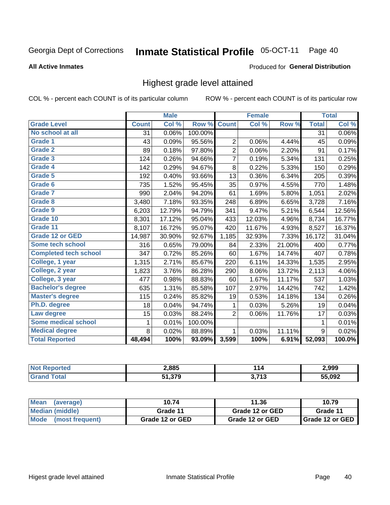#### Inmate Statistical Profile 05-OCT-11 Page 40

#### **All Active Inmates**

#### Produced for General Distribution

# Highest grade level attained

COL % - percent each COUNT is of its particular column

|                              |              | <b>Male</b> |         |                | <b>Female</b> |        |              | <b>Total</b> |
|------------------------------|--------------|-------------|---------|----------------|---------------|--------|--------------|--------------|
| <b>Grade Level</b>           | <b>Count</b> | Col %       | Row %   | <b>Count</b>   | Col %         | Row %  | <b>Total</b> | Col %        |
| No school at all             | 31           | 0.06%       | 100.00% |                |               |        | 31           | $0.06\%$     |
| Grade 1                      | 43           | 0.09%       | 95.56%  | $\overline{2}$ | 0.06%         | 4.44%  | 45           | 0.09%        |
| <b>Grade 2</b>               | 89           | 0.18%       | 97.80%  | $\overline{2}$ | 0.06%         | 2.20%  | 91           | 0.17%        |
| <b>Grade 3</b>               | 124          | 0.26%       | 94.66%  | $\overline{7}$ | 0.19%         | 5.34%  | 131          | 0.25%        |
| Grade 4                      | 142          | 0.29%       | 94.67%  | 8              | 0.22%         | 5.33%  | 150          | 0.29%        |
| Grade 5                      | 192          | 0.40%       | 93.66%  | 13             | 0.36%         | 6.34%  | 205          | 0.39%        |
| Grade 6                      | 735          | 1.52%       | 95.45%  | 35             | 0.97%         | 4.55%  | 770          | 1.48%        |
| <b>Grade 7</b>               | 990          | 2.04%       | 94.20%  | 61             | 1.69%         | 5.80%  | 1,051        | 2.02%        |
| Grade 8                      | 3,480        | 7.18%       | 93.35%  | 248            | 6.89%         | 6.65%  | 3,728        | 7.16%        |
| Grade 9                      | 6,203        | 12.79%      | 94.79%  | 341            | 9.47%         | 5.21%  | 6,544        | 12.56%       |
| Grade 10                     | 8,301        | 17.12%      | 95.04%  | 433            | 12.03%        | 4.96%  | 8,734        | 16.77%       |
| Grade 11                     | 8,107        | 16.72%      | 95.07%  | 420            | 11.67%        | 4.93%  | 8,527        | 16.37%       |
| <b>Grade 12 or GED</b>       | 14,987       | 30.90%      | 92.67%  | 1,185          | 32.93%        | 7.33%  | 16,172       | 31.04%       |
| <b>Some tech school</b>      | 316          | 0.65%       | 79.00%  | 84             | 2.33%         | 21.00% | 400          | 0.77%        |
| <b>Completed tech school</b> | 347          | 0.72%       | 85.26%  | 60             | 1.67%         | 14.74% | 407          | 0.78%        |
| College, 1 year              | 1,315        | 2.71%       | 85.67%  | 220            | 6.11%         | 14.33% | 1,535        | 2.95%        |
| College, 2 year              | 1,823        | 3.76%       | 86.28%  | 290            | 8.06%         | 13.72% | 2,113        | 4.06%        |
| College, 3 year              | 477          | 0.98%       | 88.83%  | 60             | 1.67%         | 11.17% | 537          | 1.03%        |
| <b>Bachelor's degree</b>     | 635          | 1.31%       | 85.58%  | 107            | 2.97%         | 14.42% | 742          | 1.42%        |
| <b>Master's degree</b>       | 115          | 0.24%       | 85.82%  | 19             | 0.53%         | 14.18% | 134          | 0.26%        |
| Ph.D. degree                 | 18           | 0.04%       | 94.74%  | 1              | 0.03%         | 5.26%  | 19           | 0.04%        |
| Law degree                   | 15           | 0.03%       | 88.24%  | $\overline{2}$ | 0.06%         | 11.76% | 17           | 0.03%        |
| <b>Some medical school</b>   | 1            | 0.01%       | 100.00% |                |               |        | 1            | 0.01%        |
| <b>Medical degree</b>        | 8            | 0.02%       | 88.89%  | 1              | 0.03%         | 11.11% | 9            | 0.02%        |
| <b>Total Reported</b>        | 48,494       | 100%        | 93.09%  | 3,599          | 100%          | 6.91%  | 52,093       | 100.0%       |

| 2,885             | 44/               | 2,999  |
|-------------------|-------------------|--------|
| 51 370<br>1.J / J | つ フィつ<br>- 1<br>◡ | 55,092 |

| <b>Mean</b><br>(average)         | 10.74           | 11.36           | 10.79           |
|----------------------------------|-----------------|-----------------|-----------------|
| Median (middle)                  | Grade 11        | Grade 12 or GED | Grade 11        |
| <b>I</b> Mode<br>(most frequent) | Grade 12 or GED | Grade 12 or GED | Grade 12 or GED |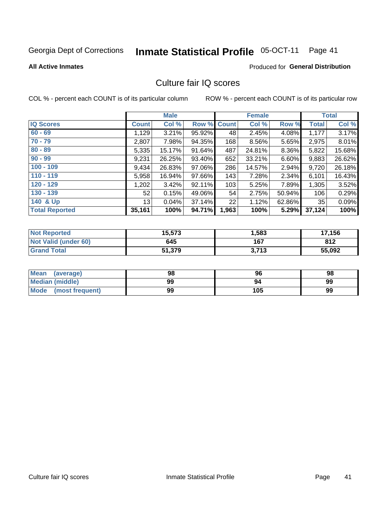#### **Inmate Statistical Profile 05-OCT-11** Page 41

**Produced for General Distribution** 

#### **All Active Inmates**

# Culture fair IQ scores

COL % - percent each COUNT is of its particular column

|                       |              | <b>Male</b> |             |       | <b>Female</b> |          |              | <b>Total</b> |
|-----------------------|--------------|-------------|-------------|-------|---------------|----------|--------------|--------------|
| <b>IQ Scores</b>      | <b>Count</b> | Col %       | Row % Count |       | Col %         | Row %    | <b>Total</b> | Col %        |
| $60 - 69$             | 1,129        | 3.21%       | 95.92%      | 48    | 2.45%         | 4.08%    | 1,177        | 3.17%        |
| $70 - 79$             | 2,807        | 7.98%       | 94.35%      | 168   | 8.56%         | 5.65%    | 2,975        | 8.01%        |
| $80 - 89$             | 5,335        | 15.17%      | 91.64%      | 487   | 24.81%        | 8.36%    | 5,822        | 15.68%       |
| $90 - 99$             | 9,231        | 26.25%      | 93.40%      | 652   | 33.21%        | $6.60\%$ | 9,883        | 26.62%       |
| $100 - 109$           | 9,434        | 26.83%      | $97.06\%$   | 286   | 14.57%        | $2.94\%$ | 9,720        | 26.18%       |
| $110 - 119$           | 5,958        | 16.94%      | 97.66%      | 143   | 7.28%         | 2.34%    | 6,101        | 16.43%       |
| $120 - 129$           | 1,202        | 3.42%       | 92.11%      | 103   | 5.25%         | 7.89%    | 1,305        | 3.52%        |
| $130 - 139$           | 52           | 0.15%       | 49.06%      | 54    | 2.75%         | 50.94%   | 106          | 0.29%        |
| 140 & Up              | 13           | 0.04%       | 37.14%      | 22    | 1.12%         | 62.86%   | 35           | 0.09%        |
| <b>Total Reported</b> | 35,161       | 100%        | 94.71%      | 1,963 | 100%          | 5.29%    | 37,124       | 100%         |

| <b>Not Reported</b>  | 15,573 | 1,583 | 17,156 |
|----------------------|--------|-------|--------|
| Not Valid (under 60) | 645    | 167   | 812    |
| <b>Grand Total</b>   | 51,379 | 3,713 | 55,092 |

| <b>Mean</b><br>(average) | 98 | 96  | 98 |
|--------------------------|----|-----|----|
| <b>Median (middle)</b>   | 99 | 94  | 99 |
| Mode<br>(most frequent)  | 99 | 105 | 99 |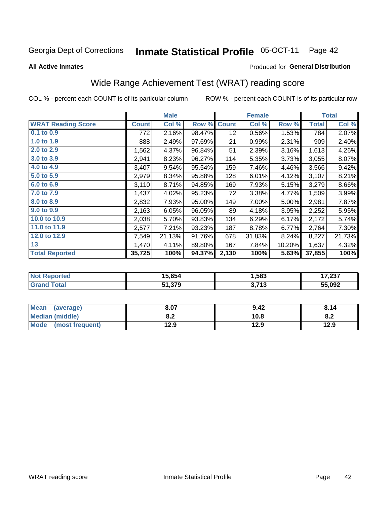#### **Inmate Statistical Profile 05-OCT-11** Page 42

**All Active Inmates** 

#### Produced for General Distribution

# Wide Range Achievement Test (WRAT) reading score

COL % - percent each COUNT is of its particular column

|                           |              | <b>Male</b> |        |                 | <b>Female</b> |        |              | <b>Total</b> |
|---------------------------|--------------|-------------|--------|-----------------|---------------|--------|--------------|--------------|
| <b>WRAT Reading Score</b> | <b>Count</b> | Col %       | Row %  | <b>Count</b>    | Col %         | Row %  | <b>Total</b> | Col %        |
| $0.1$ to $0.9$            | 772          | 2.16%       | 98.47% | 12 <sub>2</sub> | 0.56%         | 1.53%  | 784          | 2.07%        |
| 1.0 to 1.9                | 888          | 2.49%       | 97.69% | 21              | 0.99%         | 2.31%  | 909          | 2.40%        |
| 2.0 to 2.9                | 1,562        | 4.37%       | 96.84% | 51              | 2.39%         | 3.16%  | 1,613        | 4.26%        |
| 3.0 to 3.9                | 2,941        | 8.23%       | 96.27% | 114             | 5.35%         | 3.73%  | 3,055        | 8.07%        |
| 4.0 to 4.9                | 3,407        | 9.54%       | 95.54% | 159             | 7.46%         | 4.46%  | 3,566        | 9.42%        |
| 5.0 to 5.9                | 2,979        | 8.34%       | 95.88% | 128             | 6.01%         | 4.12%  | 3,107        | 8.21%        |
| 6.0 to 6.9                | 3,110        | 8.71%       | 94.85% | 169             | 7.93%         | 5.15%  | 3,279        | 8.66%        |
| 7.0 to 7.9                | 1,437        | 4.02%       | 95.23% | 72              | 3.38%         | 4.77%  | 1,509        | 3.99%        |
| 8.0 to 8.9                | 2,832        | 7.93%       | 95.00% | 149             | 7.00%         | 5.00%  | 2,981        | 7.87%        |
| 9.0 to 9.9                | 2,163        | 6.05%       | 96.05% | 89              | 4.18%         | 3.95%  | 2,252        | 5.95%        |
| 10.0 to 10.9              | 2,038        | 5.70%       | 93.83% | 134             | 6.29%         | 6.17%  | 2,172        | 5.74%        |
| 11.0 to 11.9              | 2,577        | 7.21%       | 93.23% | 187             | 8.78%         | 6.77%  | 2,764        | 7.30%        |
| 12.0 to 12.9              | 7,549        | 21.13%      | 91.76% | 678             | 31.83%        | 8.24%  | 8,227        | 21.73%       |
| 13                        | 1,470        | 4.11%       | 89.80% | 167             | 7.84%         | 10.20% | 1,637        | 4.32%        |
| <b>Total Reported</b>     | 35,725       | 100%        | 94.37% | 2,130           | 100%          | 5.63%  | 37,855       | 100%         |
|                           |              |             |        |                 |               |        |              |              |

| <b>Not Reported</b>   | 15,654 | 1,583                   | 17,237 |
|-----------------------|--------|-------------------------|--------|
| $\tau$ otal<br>'Grand | 51,379 | 1 74 2<br><b>J.I IJ</b> | 55,092 |

| <b>Mean</b><br>(average)       | 8.07       | 9.42 | 8.14 |
|--------------------------------|------------|------|------|
| <b>Median (middle)</b>         | י ה<br>0.Z | 10.8 | o.z  |
| <b>Mode</b><br>(most frequent) | 12.9       | 12.9 | 12.9 |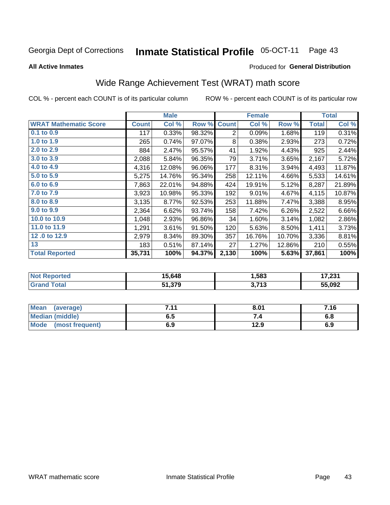#### **Inmate Statistical Profile 05-OCT-11** Page 43

**All Active Inmates** 

**Grand Total** 

#### Produced for General Distribution

# Wide Range Achievement Test (WRAT) math score

COL % - percent each COUNT is of its particular column

ROW % - percent each COUNT is of its particular row

 $3,713$ 

|                              |              | <b>Male</b> |        |                | <b>Female</b> |        |              | <b>Total</b> |
|------------------------------|--------------|-------------|--------|----------------|---------------|--------|--------------|--------------|
| <b>WRAT Mathematic Score</b> | <b>Count</b> | Col %       | Row %  | <b>Count</b>   | Col %         | Row %  | <b>Total</b> | Col %        |
| $0.1$ to $0.9$               | 117          | 0.33%       | 98.32% | $\overline{2}$ | 0.09%         | 1.68%  | 119          | 0.31%        |
| 1.0 to 1.9                   | 265          | 0.74%       | 97.07% | 8              | 0.38%         | 2.93%  | 273          | 0.72%        |
| 2.0 to 2.9                   | 884          | 2.47%       | 95.57% | 41             | 1.92%         | 4.43%  | 925          | 2.44%        |
| 3.0 to 3.9                   | 2,088        | 5.84%       | 96.35% | 79             | 3.71%         | 3.65%  | 2,167        | 5.72%        |
| 4.0 to 4.9                   | 4,316        | 12.08%      | 96.06% | 177            | 8.31%         | 3.94%  | 4,493        | 11.87%       |
| 5.0 to 5.9                   | 5,275        | 14.76%      | 95.34% | 258            | 12.11%        | 4.66%  | 5,533        | 14.61%       |
| 6.0 to 6.9                   | 7,863        | 22.01%      | 94.88% | 424            | 19.91%        | 5.12%  | 8,287        | 21.89%       |
| 7.0 to 7.9                   | 3,923        | 10.98%      | 95.33% | 192            | 9.01%         | 4.67%  | 4,115        | 10.87%       |
| 8.0 to 8.9                   | 3,135        | 8.77%       | 92.53% | 253            | 11.88%        | 7.47%  | 3,388        | 8.95%        |
| 9.0 to 9.9                   | 2,364        | 6.62%       | 93.74% | 158            | 7.42%         | 6.26%  | 2,522        | 6.66%        |
| 10.0 to 10.9                 | 1,048        | 2.93%       | 96.86% | 34             | 1.60%         | 3.14%  | 1,082        | 2.86%        |
| 11.0 to 11.9                 | 1,291        | 3.61%       | 91.50% | 120            | 5.63%         | 8.50%  | 1,411        | 3.73%        |
| 12.0 to 12.9                 | 2,979        | 8.34%       | 89.30% | 357            | 16.76%        | 10.70% | 3,336        | 8.81%        |
| 13                           | 183          | 0.51%       | 87.14% | 27             | 1.27%         | 12.86% | 210          | 0.55%        |
| <b>Total Reported</b>        | 35,731       | 100%        | 94.37% | 2,130          | 100%          | 5.63%  | 37,861       | 100%         |
|                              |              |             |        |                |               |        |              |              |
| <b>Not Reported</b>          |              | 15,648      |        |                | 1,583         |        |              | 17,231       |

| Mean<br>(average)       | 744<br>. | 8.01 | 7.16 |
|-------------------------|----------|------|------|
| <b>Median (middle)</b>  | ხ. J     |      | o.o  |
| Mode<br>(most frequent) | 6.9      | 12.9 | 6.9  |

51,379

55,092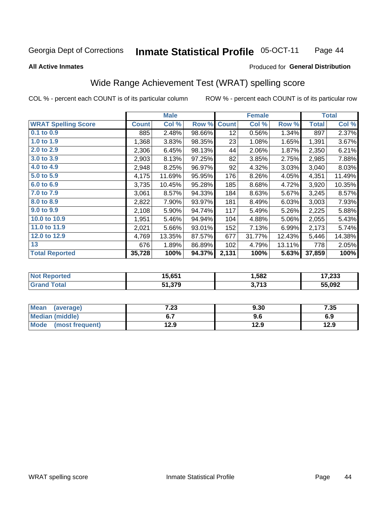#### **Inmate Statistical Profile 05-OCT-11** Page 44

**All Active Inmates** 

#### Produced for General Distribution

# Wide Range Achievement Test (WRAT) spelling score

COL % - percent each COUNT is of its particular column

|                                   |              | <b>Male</b> |        |              | <b>Female</b>                     |        |              | <b>Total</b> |
|-----------------------------------|--------------|-------------|--------|--------------|-----------------------------------|--------|--------------|--------------|
| <b>WRAT Spelling Score</b>        | <b>Count</b> | Col %       | Row %  | <b>Count</b> | Col %                             | Row %  | <b>Total</b> | Col %        |
| 0.1 to 0.9                        | 885          | 2.48%       | 98.66% | 12           | 0.56%                             | 1.34%  | 897          | 2.37%        |
| 1.0 to 1.9                        | 1,368        | 3.83%       | 98.35% | 23           | 1.08%                             | 1.65%  | 1,391        | 3.67%        |
| 2.0 to 2.9                        | 2,306        | 6.45%       | 98.13% | 44           | 2.06%                             | 1.87%  | 2,350        | 6.21%        |
| 3.0 to 3.9                        | 2,903        | 8.13%       | 97.25% | 82           | 3.85%                             | 2.75%  | 2,985        | 7.88%        |
| 4.0 to 4.9                        | 2,948        | 8.25%       | 96.97% | 92           | 4.32%                             | 3.03%  | 3,040        | 8.03%        |
| 5.0 to 5.9                        | 4,175        | 11.69%      | 95.95% | 176          | 8.26%                             | 4.05%  | 4,351        | 11.49%       |
| 6.0 to 6.9                        | 3,735        | 10.45%      | 95.28% | 185          | 8.68%                             | 4.72%  | 3,920        | 10.35%       |
| 7.0 to 7.9                        | 3,061        | 8.57%       | 94.33% | 184          | 8.63%                             | 5.67%  | 3,245        | 8.57%        |
| 8.0 to 8.9                        | 2,822        | 7.90%       | 93.97% | 181          | 8.49%                             | 6.03%  | 3,003        | 7.93%        |
| 9.0 to 9.9                        | 2,108        | 5.90%       | 94.74% | 117          | 5.49%                             | 5.26%  | 2,225        | 5.88%        |
| 10.0 to 10.9                      | 1,951        | 5.46%       | 94.94% | 104          | 4.88%                             | 5.06%  | 2,055        | 5.43%        |
| 11.0 to 11.9                      | 2,021        | 5.66%       | 93.01% | 152          | 7.13%                             | 6.99%  | 2,173        | 5.74%        |
| 12.0 to 12.9                      | 4,769        | 13.35%      | 87.57% | 677          | 31.77%                            | 12.43% | 5,446        | 14.38%       |
| 13                                | 676          | 1.89%       | 86.89% | 102          | 4.79%                             | 13.11% | 778          | 2.05%        |
| <b>Total Reported</b>             | 35,728       | 100%        | 94.37% | 2,131        | 100%                              | 5.63%  | 37,859       | 100%         |
|                                   |              |             |        |              |                                   |        |              |              |
| <b>Contract Contract Contract</b> |              | $\cdots$    |        |              | $\overline{a}$ = $\overline{a}$ = |        |              | $- - - - -$  |

| Ter.<br>NO | 15.651 | 1,582                     | 17,233 |
|------------|--------|---------------------------|--------|
|            | 51.379 | <b>1 אד</b> כ<br>1 J<br>◡ | 55,092 |

| <b>Mean</b><br>(average) | 7.23 | 9.30 | 7.35 |
|--------------------------|------|------|------|
| <b>Median (middle)</b>   |      | 9.6  | 6.9  |
| Mode<br>(most frequent)  | 12.9 | 12.9 | 12.9 |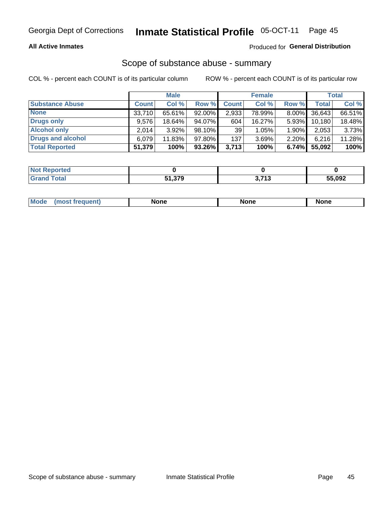#### **All Active Inmates**

### **Produced for General Distribution**

# Scope of substance abuse - summary

COL % - percent each COUNT is of its particular column

|                        |              | <b>Male</b> |           |              | <b>Female</b> |          |        | <b>Total</b> |
|------------------------|--------------|-------------|-----------|--------------|---------------|----------|--------|--------------|
| <b>Substance Abuse</b> | <b>Count</b> | Col %       | Row %     | <b>Count</b> | Col %         | Row %    | Total  | Col %        |
| <b>None</b>            | 33,710       | 65.61%      | 92.00%    | 2,933        | 78.99%        | $8.00\%$ | 36,643 | 66.51%       |
| <b>Drugs only</b>      | 9.576        | 18.64%      | 94.07%    | 604          | 16.27%        | $5.93\%$ | 10,180 | 18.48%       |
| <b>Alcohol only</b>    | 2.014        | $3.92\%$    | 98.10%    | 39           | 1.05%         | 1.90%    | 2,053  | 3.73%        |
| Drugs and alcohol      | 6.079        | 11.83%      | 97.80%    | 137          | 3.69%         | 2.20%    | 6,216  | 11.28%       |
| <b>Total Reported</b>  | 51,379       | 100%        | $93.26\%$ | 3,713        | 100%          | 6.74%    | 55,092 | 100%         |

| <b>Not Reported</b> |        |                       |        |
|---------------------|--------|-----------------------|--------|
| <b>Grand Total</b>  | 51,379 | <b>2742</b><br>J.I IJ | 55,092 |

|  | M<br>nuemi | None | <b>IODE</b><br>NIJ | <b>None</b> |
|--|------------|------|--------------------|-------------|
|--|------------|------|--------------------|-------------|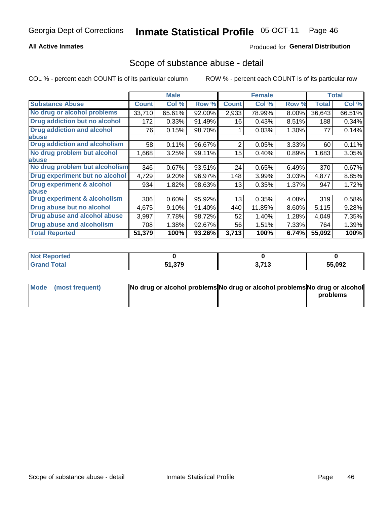### **All Active Inmates**

### **Produced for General Distribution**

### Scope of substance abuse - detail

COL % - percent each COUNT is of its particular column

|                                      |              | <b>Male</b> |        |              | <b>Female</b> |          |              | <b>Total</b> |
|--------------------------------------|--------------|-------------|--------|--------------|---------------|----------|--------------|--------------|
| <b>Substance Abuse</b>               | <b>Count</b> | Col %       | Row %  | <b>Count</b> | Col %         | Row %    | <b>Total</b> | Col %        |
| No drug or alcohol problems          | 33,710       | 65.61%      | 92.00% | 2,933        | 78.99%        | $8.00\%$ | 36,643       | 66.51%       |
| Drug addiction but no alcohol        | 172          | 0.33%       | 91.49% | 16           | 0.43%         | 8.51%    | 188          | 0.34%        |
| <b>Drug addiction and alcohol</b>    | 76           | 0.15%       | 98.70% |              | 0.03%         | 1.30%    | 77           | 0.14%        |
| <b>labuse</b>                        |              |             |        |              |               |          |              |              |
| <b>Drug addiction and alcoholism</b> | 58           | 0.11%       | 96.67% | 2            | 0.05%         | 3.33%    | 60           | 0.11%        |
| No drug problem but alcohol          | 1,668        | 3.25%       | 99.11% | 15           | 0.40%         | 0.89%    | 1,683        | 3.05%        |
| <b>labuse</b>                        |              |             |        |              |               |          |              |              |
| No drug problem but alcoholism       | 346          | 0.67%       | 93.51% | 24           | 0.65%         | 6.49%    | 370          | 0.67%        |
| Drug experiment but no alcohol       | 4,729        | 9.20%       | 96.97% | 148          | 3.99%         | 3.03%    | 4,877        | 8.85%        |
| <b>Drug experiment &amp; alcohol</b> | 934          | 1.82%       | 98.63% | 13           | 0.35%         | 1.37%    | 947          | 1.72%        |
| <b>labuse</b>                        |              |             |        |              |               |          |              |              |
| Drug experiment & alcoholism         | 306          | 0.60%       | 95.92% | 13           | 0.35%         | 4.08%    | 319          | 0.58%        |
| Drug abuse but no alcohol            | 4,675        | 9.10%       | 91.40% | 440          | 11.85%        | 8.60%    | 5,115        | 9.28%        |
| Drug abuse and alcohol abuse         | 3,997        | 7.78%       | 98.72% | 52           | 1.40%         | 1.28%    | 4,049        | 7.35%        |
| <b>Drug abuse and alcoholism</b>     | 708          | 1.38%       | 92.67% | 56           | 1.51%         | 7.33%    | 764          | 1.39%        |
| <b>Total Reported</b>                | 51,379       | 100%        | 93.26% | 3,713        | 100%          | 6.74%    | 55,092       | 100%         |

| <b>rtea</b><br><b>NOT</b> |        |                |        |
|---------------------------|--------|----------------|--------|
| <b>otal</b>               | 51,379 | 2742<br>J.I IJ | 55,092 |

| Mode (most frequent) | No drug or alcohol problems No drug or alcohol problems No drug or alcohol |          |
|----------------------|----------------------------------------------------------------------------|----------|
|                      |                                                                            | problems |
|                      |                                                                            |          |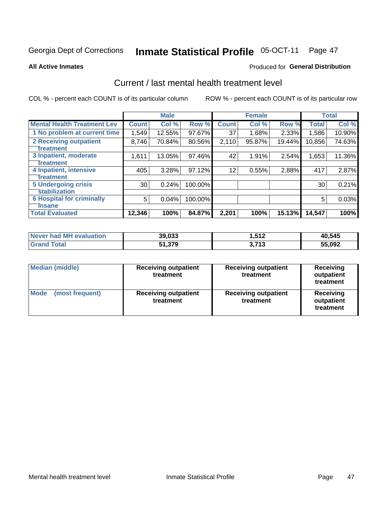#### **Inmate Statistical Profile 05-OCT-11** Page 47

**All Active Inmates** 

#### Produced for General Distribution

# Current / last mental health treatment level

COL % - percent each COUNT is of its particular column

|                                    |                 | <b>Male</b> |         |              | <b>Female</b> |        |        | <b>Total</b> |
|------------------------------------|-----------------|-------------|---------|--------------|---------------|--------|--------|--------------|
| <b>Mental Health Treatment Lev</b> | <b>Count</b>    | Col %       | Row %   | <b>Count</b> | Col %         | Row %  | Total  | Col %        |
| 1 No problem at current time       | 1,549           | 12.55%      | 97.67%  | 37           | 1.68%         | 2.33%  | 1,586  | 10.90%       |
| 2 Receiving outpatient             | 8,746           | 70.84%      | 80.56%  | 2,110        | 95.87%        | 19.44% | 10,856 | 74.63%       |
| <b>Treatment</b>                   |                 |             |         |              |               |        |        |              |
| 3 Inpatient, moderate              | 1,611           | 13.05%      | 97.46%  | 42           | 1.91%         | 2.54%  | 1,653  | 11.36%       |
| <b>Treatment</b>                   |                 |             |         |              |               |        |        |              |
| 4 Inpatient, intensive             | 405             | 3.28%       | 97.12%  | 12           | 0.55%         | 2.88%  | 417    | 2.87%        |
| <b>Treatment</b>                   |                 |             |         |              |               |        |        |              |
| 5 Undergoing crisis                | 30 <sup>°</sup> | 0.24%       | 100.00% |              |               |        | 30     | 0.21%        |
| <b>stabilization</b>               |                 |             |         |              |               |        |        |              |
| <b>6 Hospital for criminally</b>   | 5               | 0.04%       | 100.00% |              |               |        | 5      | 0.03%        |
| Tnsane                             |                 |             |         |              |               |        |        |              |
| <b>Total Evaluated</b>             | 12,346          | 100%        | 84.87%  | 2,201        | 100%          | 15.13% | 14,547 | 100%         |

| Never had MH evaluation | 39,033 | 512. ا           | 40,545 |
|-------------------------|--------|------------------|--------|
| $\tau$ otal             | 51,379 | - 74 2<br>טו ויט | 55,092 |

| <b>Median (middle)</b>         | <b>Receiving outpatient</b><br>treatment | <b>Receiving outpatient</b><br>treatment | <b>Receiving</b><br>outpatient<br>treatment |  |  |
|--------------------------------|------------------------------------------|------------------------------------------|---------------------------------------------|--|--|
| <b>Mode</b><br>(most frequent) | <b>Receiving outpatient</b><br>treatment | <b>Receiving outpatient</b><br>treatment | <b>Receiving</b><br>outpatient<br>treatment |  |  |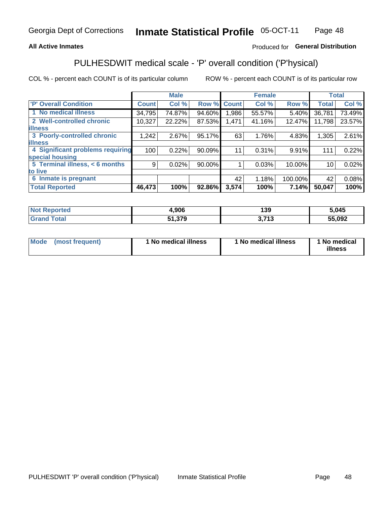### **All Active Inmates**

### Produced for General Distribution

# PULHESDWIT medical scale - 'P' overall condition ('P'hysical)

COL % - percent each COUNT is of its particular column

|                                  |              | <b>Male</b> |        |                 | <b>Female</b> |         |                 | <b>Total</b> |
|----------------------------------|--------------|-------------|--------|-----------------|---------------|---------|-----------------|--------------|
| <b>P' Overall Condition</b>      | <b>Count</b> | Col %       | Row %  | <b>Count</b>    | Col %         | Row %   | <b>Total</b>    | Col %        |
| 1 No medical illness             | 34,795       | 74.87%      | 94.60% | 1,986           | 55.57%        | 5.40%   | 36,781          | 73.49%       |
| 2 Well-controlled chronic        | 10,327       | 22.22%      | 87.53% | 1,471           | 41.16%        | 12.47%  | 11,798          | 23.57%       |
| <b>illness</b>                   |              |             |        |                 |               |         |                 |              |
| 3 Poorly-controlled chronic      | 1,242        | $2.67\%$    | 95.17% | 63              | 1.76%         | 4.83%   | 1,305           | 2.61%        |
| <b>illness</b>                   |              |             |        |                 |               |         |                 |              |
| 4 Significant problems requiring | 100          | 0.22%       | 90.09% | 11              | 0.31%         | 9.91%   | 111             | 0.22%        |
| special housing                  |              |             |        |                 |               |         |                 |              |
| 5 Terminal illness, < 6 months   | 9            | 0.02%       | 90.00% |                 | 0.03%         | 10.00%  | 10 <sup>1</sup> | 0.02%        |
| to live                          |              |             |        |                 |               |         |                 |              |
| 6 Inmate is pregnant             |              |             |        | 42 <sup>1</sup> | 1.18%         | 100.00% | 42              | 0.08%        |
| <b>Total Reported</b>            | 46,473       | 100%        | 92.86% | 3,574           | 100%          | 7.14%   | 50,047          | 100%         |

| тео | .906   | 139          | 5,045  |
|-----|--------|--------------|--------|
|     | - מידי | 749<br>. . J | 55,092 |

| Mode | (most frequent) | 1 No medical illness | 1 No medical illness | 1 No medical<br>illness |
|------|-----------------|----------------------|----------------------|-------------------------|
|------|-----------------|----------------------|----------------------|-------------------------|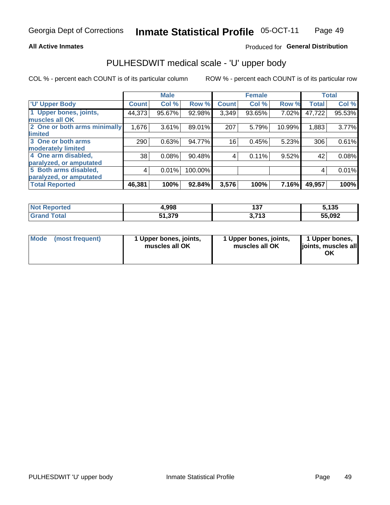#### **All Active Inmates**

### Produced for General Distribution

# PULHESDWIT medical scale - 'U' upper body

COL % - percent each COUNT is of its particular column

|                              |              | <b>Male</b> |         |              | <b>Female</b> |        |              | <b>Total</b> |
|------------------------------|--------------|-------------|---------|--------------|---------------|--------|--------------|--------------|
| <b>U' Upper Body</b>         | <b>Count</b> | Col %       | Row %   | <b>Count</b> | Col %         | Row %  | <b>Total</b> | Col %        |
| 1 Upper bones, joints,       | 44,373       | 95.67%      | 92.98%  | 3,349        | 93.65%        | 7.02%  | 47,722       | 95.53%       |
| muscles all OK               |              |             |         |              |               |        |              |              |
| 2 One or both arms minimally | 1,676        | 3.61%       | 89.01%  | 207          | 5.79%         | 10.99% | 1,883        | 3.77%        |
| limited                      |              |             |         |              |               |        |              |              |
| 3 One or both arms           | 290          | 0.63%       | 94.77%  | 16           | 0.45%         | 5.23%  | 306          | 0.61%        |
| <b>moderately limited</b>    |              |             |         |              |               |        |              |              |
| 4 One arm disabled,          | 38           | 0.08%       | 90.48%  | 4            | 0.11%         | 9.52%  | 42           | 0.08%        |
| paralyzed, or amputated      |              |             |         |              |               |        |              |              |
| 5 Both arms disabled,        | 4            | 0.01%       | 100.00% |              |               |        | 4            | 0.01%        |
| paralyzed, or amputated      |              |             |         |              |               |        |              |              |
| <b>Total Reported</b>        | 46,381       | 100%        | 92.84%  | 3,576        | 100%          | 7.16%  | 49,957       | 100%         |

| <b>Not Reported</b> | 4,998        | , , ,<br>137              | 135<br>v. |
|---------------------|--------------|---------------------------|-----------|
| <b>Total</b>        | 51,379<br>E4 | <b>742</b><br>1 I J<br>v. | 55,092    |

| Mode<br>(most frequent) | 1 Upper bones, joints,<br>muscles all OK | 1 Upper bones, joints,<br>muscles all OK | 1 Upper bones,<br>joints, muscles all<br>ΟK |
|-------------------------|------------------------------------------|------------------------------------------|---------------------------------------------|
|-------------------------|------------------------------------------|------------------------------------------|---------------------------------------------|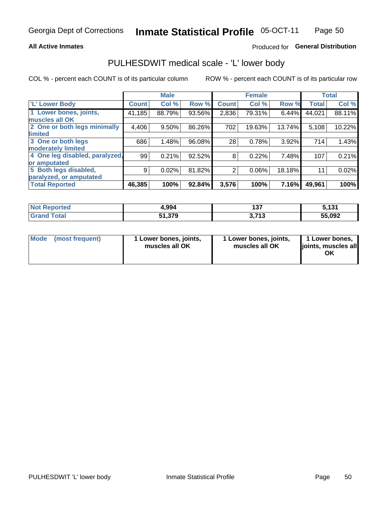#### **All Active Inmates**

### Produced for General Distribution

# PULHESDWIT medical scale - 'L' lower body

COL % - percent each COUNT is of its particular column

|                                |              | <b>Male</b> |        |              | <b>Female</b> |        |              | <b>Total</b> |
|--------------------------------|--------------|-------------|--------|--------------|---------------|--------|--------------|--------------|
| 'L' Lower Body                 | <b>Count</b> | Col %       | Row %  | <b>Count</b> | Col %         | Row %  | <b>Total</b> | Col %        |
| 1 Lower bones, joints,         | 41,185       | 88.79%      | 93.56% | 2,836        | 79.31%        | 6.44%  | 44,021       | 88.11%       |
| muscles all OK                 |              |             |        |              |               |        |              |              |
| 2 One or both legs minimally   | 4,406        | 9.50%       | 86.26% | 702          | 19.63%        | 13.74% | 5,108        | 10.22%       |
| limited                        |              |             |        |              |               |        |              |              |
| 3 One or both legs             | 686          | 1.48%       | 96.08% | 28           | 0.78%         | 3.92%  | 714          | 1.43%        |
| moderately limited             |              |             |        |              |               |        |              |              |
| 4 One leg disabled, paralyzed, | 99           | 0.21%       | 92.52% | 8            | 0.22%         | 7.48%  | 107          | 0.21%        |
| or amputated                   |              |             |        |              |               |        |              |              |
| 5 Both legs disabled,          | 9            | 0.02%       | 81.82% | 2            | 0.06%         | 18.18% | 11           | 0.02%        |
| paralyzed, or amputated        |              |             |        |              |               |        |              |              |
| <b>Total Reported</b>          | 46,385       | 100%        | 92.84% | 3,576        | 100%          | 7.16%  | 49,961       | 100%         |

| <b>Not Reported</b>          | 4,994  | 137          | E 494<br>. J. I J I |
|------------------------------|--------|--------------|---------------------|
| <b>Total</b><br><b>Grand</b> | 51,379 | -742<br>טווט | 55,092              |

|  | Mode (most frequent) | 1 Lower bones, joints,<br>muscles all OK | 1 Lower bones, joints,<br>muscles all OK | 1 Lower bones,<br>joints, muscles all<br>ΟK |
|--|----------------------|------------------------------------------|------------------------------------------|---------------------------------------------|
|--|----------------------|------------------------------------------|------------------------------------------|---------------------------------------------|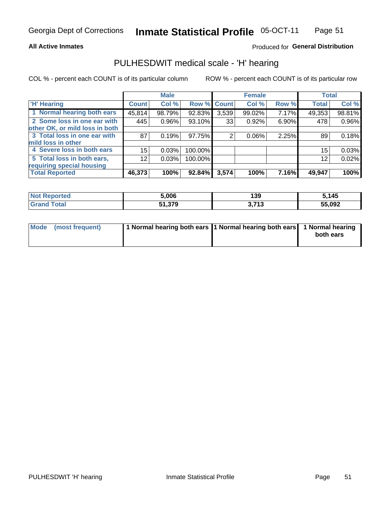#### **All Active Inmates**

### Produced for General Distribution

# PULHESDWIT medical scale - 'H' hearing

COL % - percent each COUNT is of its particular column

|                                |              | <b>Male</b> |         |             | <b>Female</b> |       | <b>Total</b> |        |
|--------------------------------|--------------|-------------|---------|-------------|---------------|-------|--------------|--------|
| <b>H'</b> Hearing              | <b>Count</b> | Col %       |         | Row % Count | Col %         | Row % | <b>Total</b> | Col %  |
| 1 Normal hearing both ears     | 45,814       | 98.79%      | 92.83%  | 3,539       | 99.02%        | 7.17% | 49,353       | 98.81% |
| 2 Some loss in one ear with    | 445          | 0.96%       | 93.10%  | 33          | 0.92%         | 6.90% | 478          | 0.96%  |
| other OK, or mild loss in both |              |             |         |             |               |       |              |        |
| 3 Total loss in one ear with   | 87           | 0.19%       | 97.75%  | 2           | $0.06\%$      | 2.25% | 89           | 0.18%  |
| mild loss in other             |              |             |         |             |               |       |              |        |
| 4 Severe loss in both ears     | 15           | 0.03%       | 100.00% |             |               |       | 15           | 0.03%  |
| 5 Total loss in both ears,     | 12           | 0.03%       | 100.00% |             |               |       | 12           | 0.02%  |
| requiring special housing      |              |             |         |             |               |       |              |        |
| <b>Total Reported</b>          | 46,373       | 100%        | 92.84%  | 3,574       | 100%          | 7.16% | 49,947       | 100%   |

| <b>Not Renc</b><br><b>oorted</b> | 5,006  | 139                  | 145    |
|----------------------------------|--------|----------------------|--------|
| Total                            | 51,379 | 2 74 2<br>. . U<br>. | 55,092 |

| Mode (most frequent) | 1 Normal hearing both ears 1 Normal hearing both ears 1 Normal hearing | both ears |
|----------------------|------------------------------------------------------------------------|-----------|
|                      |                                                                        |           |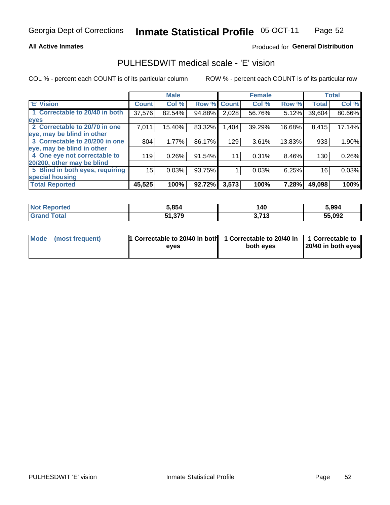#### **All Active Inmates**

### Produced for General Distribution

# PULHESDWIT medical scale - 'E' vision

COL % - percent each COUNT is of its particular column

|                                 |              | <b>Male</b> |        |              | <b>Female</b> |        |              | <b>Total</b> |
|---------------------------------|--------------|-------------|--------|--------------|---------------|--------|--------------|--------------|
| 'E' Vision                      | <b>Count</b> | Col %       | Row %  | <b>Count</b> | Col %         | Row %  | <b>Total</b> | Col %        |
| 1 Correctable to 20/40 in both  | 37,576       | 82.54%      | 94.88% | 2,028        | 56.76%        | 5.12%  | 39,604       | 80.66%       |
| eyes                            |              |             |        |              |               |        |              |              |
| 2 Correctable to 20/70 in one   | 7,011        | 15.40%      | 83.32% | 1,404        | 39.29%        | 16.68% | 8,415        | 17.14%       |
| eye, may be blind in other      |              |             |        |              |               |        |              |              |
| 3 Correctable to 20/200 in one  | 804          | 1.77%       | 86.17% | 129          | 3.61%         | 13.83% | 933          | 1.90%        |
| eye, may be blind in other      |              |             |        |              |               |        |              |              |
| 4 One eye not correctable to    | 119          | 0.26%       | 91.54% | 11           | 0.31%         | 8.46%  | 130          | 0.26%        |
| 20/200, other may be blind      |              |             |        |              |               |        |              |              |
| 5 Blind in both eyes, requiring | 15           | 0.03%       | 93.75% |              | 0.03%         | 6.25%  | 16           | 0.03%        |
| special housing                 |              |             |        |              |               |        |              |              |
| <b>Total Reported</b>           | 45,525       | 100%        | 92.72% | 3,573        | 100%          | 7.28%  | 49,098       | 100%         |

| <b>Not Reported</b> | 5,854  | 140              | 5,994  |
|---------------------|--------|------------------|--------|
| Гоtal               | 51,379 | <b>2742</b><br>. | 55,092 |

| Mode (most frequent) | 1 Correctable to 20/40 in both<br>eves | 1 Correctable to 20/40 in   1 Correctable to  <br>both eves | 20/40 in both eyes |  |  |
|----------------------|----------------------------------------|-------------------------------------------------------------|--------------------|--|--|
|                      |                                        |                                                             |                    |  |  |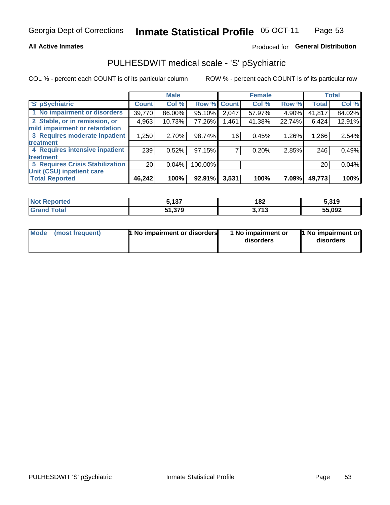#### **All Active Inmates**

### Produced for General Distribution

# PULHESDWIT medical scale - 'S' pSychiatric

COL % - percent each COUNT is of its particular column

|                                        | <b>Male</b>     |          | <b>Female</b> |             |        | <b>Total</b>   |              |        |
|----------------------------------------|-----------------|----------|---------------|-------------|--------|----------------|--------------|--------|
| 'S' pSychiatric                        | <b>Count</b>    | Col %    |               | Row % Count | Col %  | Row %          | <b>Total</b> | Col %  |
| 1 No impairment or disorders           | 39,770          | 86.00%   | 95.10%        | 2,047       | 57.97% | 4.90%          | 41,817       | 84.02% |
| 2 Stable, or in remission, or          | 4,963           | 10.73%   | 77.26%        | 1,461       | 41.38% | 22.74%         | 6,424        | 12.91% |
| mild impairment or retardation         |                 |          |               |             |        |                |              |        |
| 3 Requires moderate inpatient          | 1,250           | 2.70%    | 98.74%        | 16          | 0.45%  | 1.26%          | 1,266        | 2.54%  |
| treatment                              |                 |          |               |             |        |                |              |        |
| 4 Requires intensive inpatient         | 239             | 0.52%    | 97.15%        |             | 0.20%  | 2.85%          | 246          | 0.49%  |
| treatment                              |                 |          |               |             |        |                |              |        |
| <b>5 Requires Crisis Stabilization</b> | 20 <sub>1</sub> | $0.04\%$ | 100.00%       |             |        |                | 20           | 0.04%  |
| Unit (CSU) inpatient care              |                 |          |               |             |        |                |              |        |
| <b>Total Reported</b>                  | 46,242          | 100%     | 92.91%        | 3,531       | 100%   | 7.09% <b>I</b> | 49,773       | 100%   |

| <b>Not Reported</b> | 127<br>1 J I           | 182             | 5,319  |
|---------------------|------------------------|-----------------|--------|
| Total<br>Grand      | 370<br>34<br>J I J I J | 2.742<br>J.I IJ | 55,092 |

| Mode<br>1 No impairment or disorders<br>(most frequent) | 1 No impairment or<br>disorders | 1 No impairment or<br>disorders |
|---------------------------------------------------------|---------------------------------|---------------------------------|
|---------------------------------------------------------|---------------------------------|---------------------------------|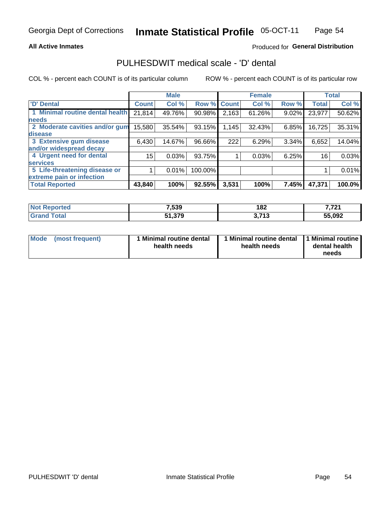#### **All Active Inmates**

### Produced for General Distribution

# PULHESDWIT medical scale - 'D' dental

COL % - percent each COUNT is of its particular column

|                                 | <b>Male</b>  |        | <b>Female</b> |              |        | <b>Total</b> |              |        |
|---------------------------------|--------------|--------|---------------|--------------|--------|--------------|--------------|--------|
| <b>D'</b> Dental                | <b>Count</b> | Col %  | Row %         | <b>Count</b> | Col %  | Row %        | <b>Total</b> | Col %  |
| 1 Minimal routine dental health | 21,814       | 49.76% | 90.98%        | 2,163        | 61.26% | 9.02%        | 23,977       | 50.62% |
| <b>needs</b>                    |              |        |               |              |        |              |              |        |
| 2 Moderate cavities and/or gum  | 15,580       | 35.54% | 93.15%        | 1,145        | 32.43% | 6.85%        | 16,725       | 35.31% |
| disease                         |              |        |               |              |        |              |              |        |
| 3 Extensive gum disease         | 6,430        | 14.67% | 96.66%        | 222          | 6.29%  | 3.34%        | 6,652        | 14.04% |
| and/or widespread decay         |              |        |               |              |        |              |              |        |
| 4 Urgent need for dental        | 15           | 0.03%  | 93.75%        |              | 0.03%  | 6.25%        | 16           | 0.03%  |
| <b>services</b>                 |              |        |               |              |        |              |              |        |
| 5 Life-threatening disease or   |              | 0.01%  | 100.00%       |              |        |              |              | 0.01%  |
| extreme pain or infection       |              |        |               |              |        |              |              |        |
| <b>Total Reported</b>           | 43,840       | 100%   | 92.55%        | 3,531        | 100%   | 7.45%        | 47,371       | 100.0% |

| <b>Not Reported</b> | 7,539  | 182                | フラウイ<br>14.1 |
|---------------------|--------|--------------------|--------------|
| Гоtа                | 51,379 | <b>2742</b><br>. . | 55,092       |

| 1 Minimal routine dental<br>Mode<br>(most frequent)<br>health needs | 1 Minimal routine dental 1 Minimal routine<br>health needs | dental health<br>needs |
|---------------------------------------------------------------------|------------------------------------------------------------|------------------------|
|---------------------------------------------------------------------|------------------------------------------------------------|------------------------|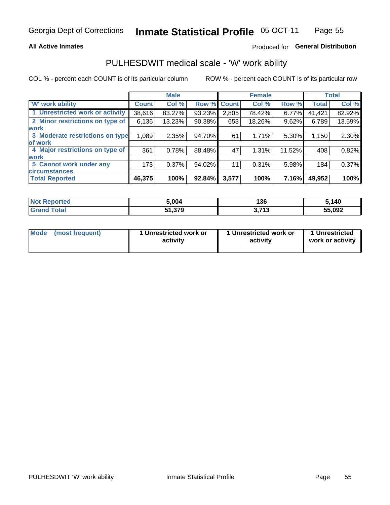#### **All Active Inmates**

### Produced for General Distribution

# PULHESDWIT medical scale - 'W' work ability

COL % - percent each COUNT is of its particular column

|                                 | <b>Male</b>  |          | <b>Female</b> |             |        | <b>Total</b> |              |        |
|---------------------------------|--------------|----------|---------------|-------------|--------|--------------|--------------|--------|
| <b>W' work ability</b>          | <b>Count</b> | Col %    |               | Row % Count | Col %  | Row %        | <b>Total</b> | Col %  |
| 1 Unrestricted work or activity | 38,616       | 83.27%   | 93.23%        | 2,805       | 78.42% | $6.77\%$     | 41,421       | 82.92% |
| 2 Minor restrictions on type of | 6,136        | 13.23%   | 90.38%        | 653         | 18.26% | 9.62%        | 6,789        | 13.59% |
| <b>work</b>                     |              |          |               |             |        |              |              |        |
| 3 Moderate restrictions on type | 1,089        | 2.35%    | 94.70%        | 61          | 1.71%  | 5.30%        | 1,150        | 2.30%  |
| lof work                        |              |          |               |             |        |              |              |        |
| 4 Major restrictions on type of | 361          | 0.78%    | 88.48%        | 47          | 1.31%  | 11.52%       | 408          | 0.82%  |
| <b>work</b>                     |              |          |               |             |        |              |              |        |
| 5 Cannot work under any         | 173          | $0.37\%$ | 94.02%        | 11          | 0.31%  | 5.98%        | 184          | 0.37%  |
| <b>circumstances</b>            |              |          |               |             |        |              |              |        |
| <b>Total Reported</b>           | 46,375       | 100%     | 92.84%        | 3,577       | 100%   | 7.16%        | 49,952       | 100%   |

| <b>Not Reported</b> | 5.004      | 136     | 5,140  |
|---------------------|------------|---------|--------|
| <b>Total</b>        | <b>270</b> | י די    | 55,092 |
| <b>Grand</b>        | פ וכהו כ   | J.I I J |        |

| Mode            | 1 Unrestricted work or | 1 Unrestricted work or | 1 Unrestricted   |
|-----------------|------------------------|------------------------|------------------|
| (most frequent) | activity               | activity               | work or activity |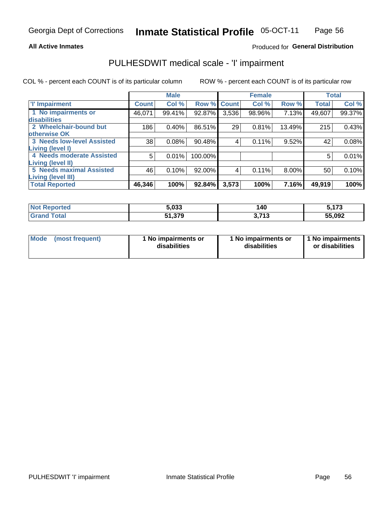#### **All Active Inmates**

### Produced for General Distribution

# PULHESDWIT medical scale - 'I' impairment

COL % - percent each COUNT is of its particular column

|                                   | <b>Male</b><br><b>Female</b> |        | <b>Total</b> |       |        |        |              |        |
|-----------------------------------|------------------------------|--------|--------------|-------|--------|--------|--------------|--------|
| <b>T' Impairment</b>              | <b>Count</b>                 | Col %  | Row % Count  |       | Col %  | Row %  | <b>Total</b> | Col %  |
| 1 No impairments or               | 46,071                       | 99.41% | 92.87%       | 3,536 | 98.96% | 7.13%  | 49,607       | 99.37% |
| disabilities                      |                              |        |              |       |        |        |              |        |
| 2 Wheelchair-bound but            | 186                          | 0.40%  | 86.51%       | 29    | 0.81%  | 13.49% | 215          | 0.43%  |
| otherwise OK                      |                              |        |              |       |        |        |              |        |
| <b>3 Needs low-level Assisted</b> | 38                           | 0.08%  | 90.48%       | 4     | 0.11%  | 9.52%  | 42           | 0.08%  |
| Living (level I)                  |                              |        |              |       |        |        |              |        |
| 4 Needs moderate Assisted         | 5                            | 0.01%  | 100.00%      |       |        |        | 5            | 0.01%  |
| <b>Living (level II)</b>          |                              |        |              |       |        |        |              |        |
| <b>5 Needs maximal Assisted</b>   | 46                           | 0.10%  | 92.00%       | 4     | 0.11%  | 8.00%  | 50           | 0.10%  |
| <b>Living (level III)</b>         |                              |        |              |       |        |        |              |        |
| <b>Total Reported</b>             | 46,346                       | 100%   | 92.84%       | 3,573 | 100%   | 7.16%  | 49,919       | 100%   |

| <b>Not</b><br>Reported | 5,033  | 140              | E 172<br>ว. เ เ ง |
|------------------------|--------|------------------|-------------------|
| <b>Total</b>           | 51,379 | <b>742</b><br>v. | 55,092            |

| Mode | (most frequent) | 1 No impairments or<br>disabilities | 1 No impairments or<br>disabilities | 1 No impairments<br>or disabilities |
|------|-----------------|-------------------------------------|-------------------------------------|-------------------------------------|
|------|-----------------|-------------------------------------|-------------------------------------|-------------------------------------|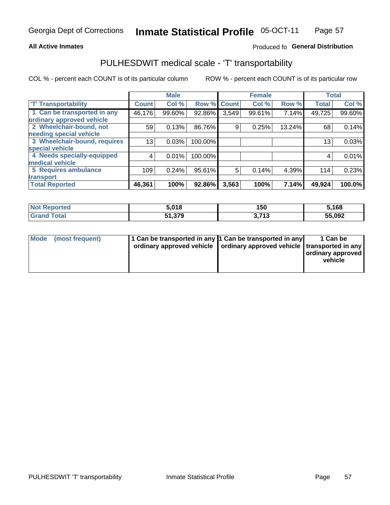#### **All Active Inmates**

### Produced fo General Distribution

# PULHESDWIT medical scale - 'T' transportability

COL % - percent each COUNT is of its particular column

|                              |              | <b>Male</b> |         |              | <b>Female</b> |        |              | <b>Total</b> |
|------------------------------|--------------|-------------|---------|--------------|---------------|--------|--------------|--------------|
| <b>T' Transportability</b>   | <b>Count</b> | Col %       | Row %   | <b>Count</b> | Col %         | Row %  | <b>Total</b> | Col %        |
| 1 Can be transported in any  | 46,176       | 99.60%      | 92.86%  | 3,549        | 99.61%        | 7.14%  | 49,725       | 99.60%       |
| ordinary approved vehicle    |              |             |         |              |               |        |              |              |
| 2 Wheelchair-bound, not      | 59           | 0.13%       | 86.76%  | 9            | 0.25%         | 13.24% | 68           | 0.14%        |
| needing special vehicle      |              |             |         |              |               |        |              |              |
| 3 Wheelchair-bound, requires | 13           | 0.03%       | 100.00% |              |               |        | 13           | 0.03%        |
| special vehicle              |              |             |         |              |               |        |              |              |
| 4 Needs specially-equipped   | 4            | 0.01%       | 100.00% |              |               |        | 4            | 0.01%        |
| medical vehicle              |              |             |         |              |               |        |              |              |
| <b>5 Requires ambulance</b>  | 109          | 0.24%       | 95.61%  | 5            | 0.14%         | 4.39%  | 114          | 0.23%        |
| transport                    |              |             |         |              |               |        |              |              |
| <b>Total Reported</b>        | 46,361       | 100%        | 92.86%  | 3,563        | 100%          | 7.14%  | 49,924       | 100.0%       |

| <b>Not</b><br>Reported | 5,018  | 150                       | 5,168  |
|------------------------|--------|---------------------------|--------|
| <sup>-</sup> otal      | 51.379 | <b>742</b><br>. . U<br>v. | 55,092 |

|  | Mode (most frequent) | 1 Can be transported in any 1 Can be transported in any<br>ordinary approved vehicle   ordinary approved vehicle   transported in any |  | 1 Can be<br>  ordinary approved  <br>vehicle |
|--|----------------------|---------------------------------------------------------------------------------------------------------------------------------------|--|----------------------------------------------|
|--|----------------------|---------------------------------------------------------------------------------------------------------------------------------------|--|----------------------------------------------|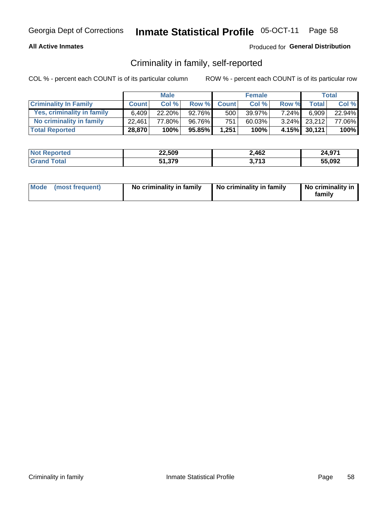### **All Active Inmates**

### Produced for General Distribution

# Criminality in family, self-reported

COL % - percent each COUNT is of its particular column

|                              | <b>Male</b>  |           | <b>Female</b> |              |        | Total    |              |        |
|------------------------------|--------------|-----------|---------------|--------------|--------|----------|--------------|--------|
| <b>Criminality In Family</b> | <b>Count</b> | Col %     | Row %         | <b>Count</b> | Col %  | Row %    | <b>Total</b> | Col %  |
| Yes, criminality in family   | 6.409        | $22.20\%$ | 92.76%        | 500          | 39.97% | $7.24\%$ | 6,909        | 22.94% |
| No criminality in family     | 22.461       | 77.80%    | 96.76%        | 751          | 60.03% |          | 3.24% 23.212 | 77.06% |
| <b>Total Reported</b>        | 28,870       | 100%      | 95.85%        | 1,251        | 100%   |          | 4.15% 30,121 | 100%   |

| <b>Not Reported</b> | 22,509 | 2,462                     | 24,971 |
|---------------------|--------|---------------------------|--------|
| ota <sup>-</sup>    | 51,379 | <b>742</b><br>. I J<br>v. | 55,092 |

|  | Mode (most frequent) | No criminality in family | No criminality in family | No criminality in<br>family |
|--|----------------------|--------------------------|--------------------------|-----------------------------|
|--|----------------------|--------------------------|--------------------------|-----------------------------|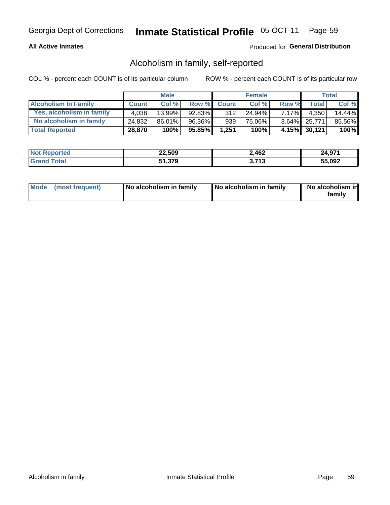### **All Active Inmates**

### Produced for General Distribution

# Alcoholism in family, self-reported

COL % - percent each COUNT is of its particular column

|                             | <b>Male</b>  |           | <b>Female</b> |              |        | Total    |              |        |
|-----------------------------|--------------|-----------|---------------|--------------|--------|----------|--------------|--------|
| <b>Alcoholism In Family</b> | <b>Count</b> | Col %     | Row %         | <b>Count</b> | Col %  | Row %    | <b>Total</b> | Col %  |
| Yes, alcoholism in family   | 4,038        | $13.99\%$ | 92.83%        | 312          | 24.94% | $7.17\%$ | 4,350        | 14.44% |
| No alcoholism in family     | 24.832       | $86.01\%$ | 96.36%        | 939          | 75.06% |          | 3.64% 25,771 | 85.56% |
| <b>Total Reported</b>       | 28,870       | 100%      | 95.85%        | 1,251        | 100%   |          | 4.15% 30,121 | 100%   |

| <b>Not</b><br>Reported | 22,509 | 2,462               | 24,971 |
|------------------------|--------|---------------------|--------|
| .'otal                 | 51,379 | -749<br>. . U<br>v. | 55,092 |

|  | Mode (most frequent) | No alcoholism in family | No alcoholism in family | No alcoholism in<br>family |
|--|----------------------|-------------------------|-------------------------|----------------------------|
|--|----------------------|-------------------------|-------------------------|----------------------------|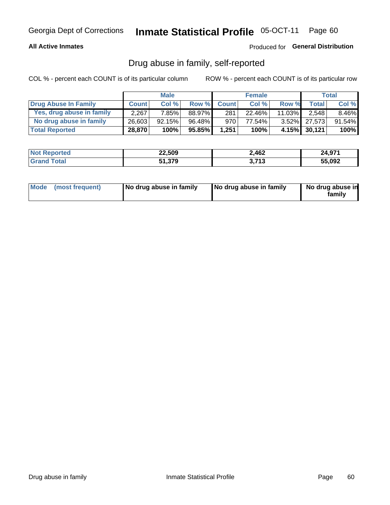### **All Active Inmates**

### Produced for General Distribution

# Drug abuse in family, self-reported

COL % - percent each COUNT is of its particular column

|                           | <b>Male</b>  |        | <b>Female</b> |              |        | Total     |              |           |
|---------------------------|--------------|--------|---------------|--------------|--------|-----------|--------------|-----------|
| Drug Abuse In Family      | <b>Count</b> | Col%   | Row %         | <b>Count</b> | Col %  | Row %     | Total        | Col %     |
| Yes, drug abuse in family | 2,267        | 7.85%  | 88.97%        | 281          | 22.46% | $11.03\%$ | 2,548        | $8.46\%$  |
| No drug abuse in family   | 26.603       | 92.15% | 96.48%        | 970          | 77.54% |           | 3.52% 27,573 | $91.54\%$ |
| <b>Total Reported</b>     | 28,870       | 100%   | 95.85%        | 1,251        | 100%   |           | 4.15% 30,121 | $100\%$   |

| <b>Not Reported</b> | 22,509 | 2,462                     | 24,971 |
|---------------------|--------|---------------------------|--------|
| ota <sup>-</sup>    | 51,379 | <b>742</b><br>. I J<br>v. | 55,092 |

|  | Mode (most frequent) | No drug abuse in family | No drug abuse in family | No drug abuse in<br>familv |
|--|----------------------|-------------------------|-------------------------|----------------------------|
|--|----------------------|-------------------------|-------------------------|----------------------------|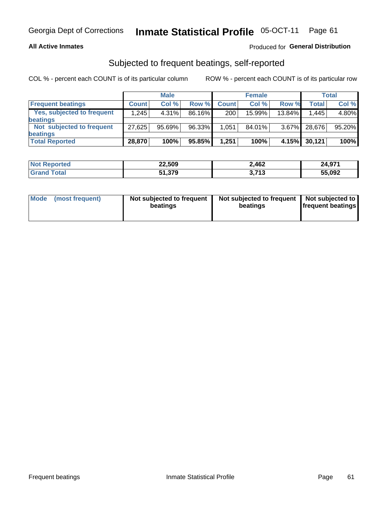### **All Active Inmates**

### Produced for General Distribution

# Subjected to frequent beatings, self-reported

COL % - percent each COUNT is of its particular column

|                                   |              | <b>Male</b> |        | <b>Female</b> |        |          | Total  |        |
|-----------------------------------|--------------|-------------|--------|---------------|--------|----------|--------|--------|
| <b>Frequent beatings</b>          | <b>Count</b> | Col %       | Row %  | <b>Count</b>  | Col %  | Row %    | Total  | Col %  |
| <b>Yes, subjected to frequent</b> | 1,245        | 4.31%       | 86.16% | 200           | 15.99% | 13.84%   | 1,445  | 4.80%  |
| <b>beatings</b>                   |              |             |        |               |        |          |        |        |
| Not subjected to frequent         | 27.625       | 95.69%      | 96.33% | 1,051         | 84.01% | $3.67\%$ | 28,676 | 95.20% |
| <b>beatings</b>                   |              |             |        |               |        |          |        |        |
| <b>Total Reported</b>             | 28,870       | 100%        | 95.85% | 1,251         | 100%   | 4.15%    | 30,121 | 100%   |

| 'Not<br>Reported | 22,509 | 2,462              | 24,971 |
|------------------|--------|--------------------|--------|
| Total            | 51,379 | <b>749</b><br>טווט | 55,092 |

| Mode (most frequent) | Not subjected to frequent<br>beatings | Not subjected to frequent<br>beatings | Not subjected to<br><b>frequent beatings</b> |
|----------------------|---------------------------------------|---------------------------------------|----------------------------------------------|
|                      |                                       |                                       |                                              |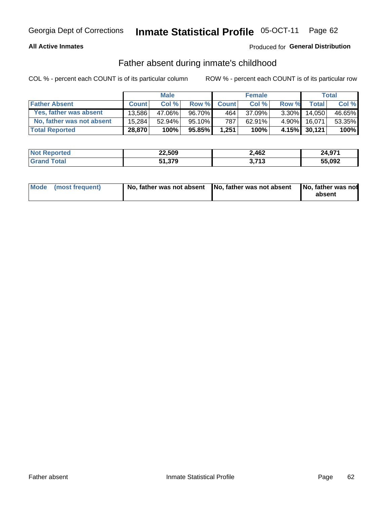### **All Active Inmates**

### **Produced for General Distribution**

# Father absent during inmate's childhood

COL % - percent each COUNT is of its particular column

|                           | <b>Male</b>  |        | <b>Female</b> |              |        | Total    |              |        |
|---------------------------|--------------|--------|---------------|--------------|--------|----------|--------------|--------|
| <b>Father Absent</b>      | <b>Count</b> | Col%   | Row %         | <b>Count</b> | Col %  | Row %    | <b>Total</b> | Col %  |
| Yes, father was absent    | 13.586       | 47.06% | 96.70%        | 464          | 37.09% | $3.30\%$ | 14.050       | 46.65% |
| No, father was not absent | 15.284       | 52.94% | $95.10\%$     | 787          | 62.91% | $4.90\%$ | 16.071       | 53.35% |
| <b>Total Reported</b>     | 28,870       | 100%   | 95.85%        | 1,251        | 100%   |          | 4.15% 30,121 | 100%   |

| <b>Not Reported</b> | 22,509 | 2,462                      | 24,971 |
|---------------------|--------|----------------------------|--------|
| <b>Srand Total</b>  | 51,379 | <b>749</b><br>. I v<br>v., | 55,092 |

|  | Mode (most frequent) | No, father was not absent No, father was not absent |  | No, father was not<br>absent |
|--|----------------------|-----------------------------------------------------|--|------------------------------|
|--|----------------------|-----------------------------------------------------|--|------------------------------|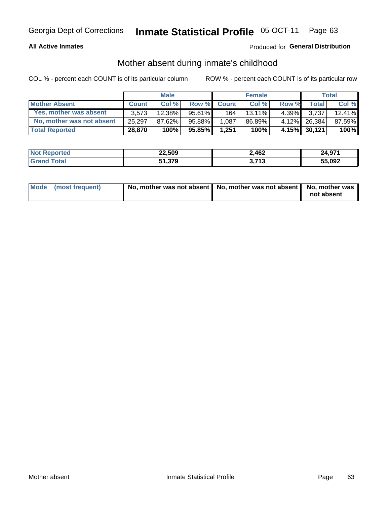### **All Active Inmates**

### **Produced for General Distribution**

# Mother absent during inmate's childhood

COL % - percent each COUNT is of its particular column

|                           | <b>Male</b>  |           | <b>Female</b> |              |        | <b>Total</b> |              |        |
|---------------------------|--------------|-----------|---------------|--------------|--------|--------------|--------------|--------|
| <b>Mother Absent</b>      | <b>Count</b> | Col%      | <b>Row %</b>  | <b>Count</b> | Col %  | Row %        | <b>Total</b> | Col %  |
| Yes, mother was absent    | 3.573        | $12.38\%$ | 95.61%        | 164          | 13.11% | 4.39%I       | 3.737        | 12.41% |
| No, mother was not absent | 25,297       | 87.62%    | 95.88%        | 1,087        | 86.89% | $4.12\%$     | 26,384       | 87.59% |
| <b>Total Reported</b>     | 28,870       | 100%      | 95.85%        | 1.251        | 100%   |              | 4.15% 30,121 | 100%   |

| <b>Not Reported</b> | 22,509 | 2,462                     | 24,971 |
|---------------------|--------|---------------------------|--------|
| ota <sup>-</sup>    | 51,379 | <b>742</b><br>. I J<br>v. | 55,092 |

| Mode (most frequent) | No, mother was not absent   No, mother was not absent   No, mother was | not absent |
|----------------------|------------------------------------------------------------------------|------------|
|                      |                                                                        |            |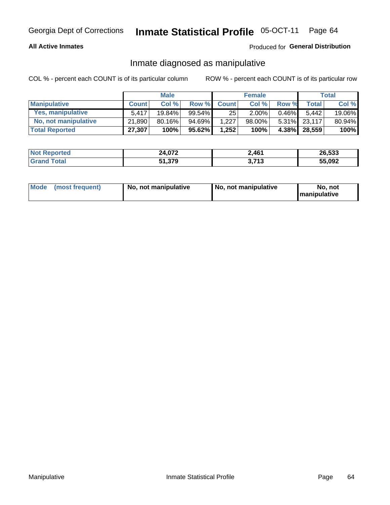### **All Active Inmates**

### Produced for General Distribution

# Inmate diagnosed as manipulative

COL % - percent each COUNT is of its particular column

|                       | <b>Male</b>  |           | <b>Female</b> |              |        | Total    |              |        |
|-----------------------|--------------|-----------|---------------|--------------|--------|----------|--------------|--------|
| <b>Manipulative</b>   | <b>Count</b> | Col %     | Row %         | <b>Count</b> | Col%   | Row %    | Total        | Col %  |
| Yes, manipulative     | 5.417        | $19.84\%$ | 99.54%        | 25           | 2.00%  | $0.46\%$ | 5.442        | 19.06% |
| No, not manipulative  | 21,890       | $80.16\%$ | 94.69%        | 1.227        | 98.00% |          | 5.31% 23,117 | 80.94% |
| <b>Total Reported</b> | 27,307       | 100%      | $95.62\%$     | 1,252        | 100%   | $4.38\%$ | 28,559       | 100%   |

| <b>Not Reported</b>   | 24,072 | 2,461                | 26,533 |
|-----------------------|--------|----------------------|--------|
| <b>Grand</b><br>™otai | 51,379 | <b>2.742</b><br>טווט | 55,092 |

| Mode | (most frequent) | No, not manipulative | No, not manipulative | No. not<br><b>I</b> manipulative |
|------|-----------------|----------------------|----------------------|----------------------------------|
|------|-----------------|----------------------|----------------------|----------------------------------|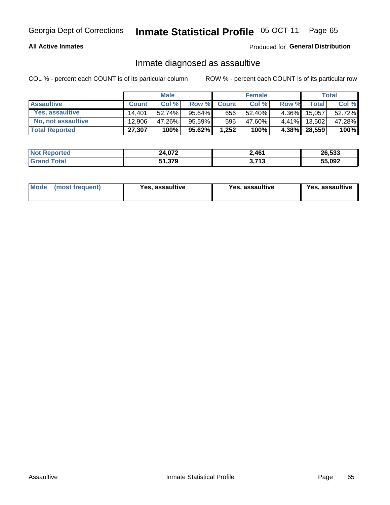### **All Active Inmates**

### Produced for General Distribution

# Inmate diagnosed as assaultive

COL % - percent each COUNT is of its particular column

|                       |              | <b>Male</b> |        |              | <b>Female</b> |          |              | Total  |
|-----------------------|--------------|-------------|--------|--------------|---------------|----------|--------------|--------|
| <b>Assaultive</b>     | <b>Count</b> | Col%        | Row %  | <b>Count</b> | Col %         | Row %    | <b>Total</b> | Col %  |
| Yes, assaultive       | 14.401       | $52.74\%$   | 95.64% | 656          | 52.40%        | 4.36%    | 15,057       | 52.72% |
| No, not assaultive    | 12.906       | 47.26%      | 95.59% | 596          | 47.60%        | $4.41\%$ | 13,502       | 47.28% |
| <b>Total Reported</b> | 27,307       | 100%        | 95.62% | 1,252        | 100%          |          | 4.38% 28,559 | 100%   |

| <b>Not</b><br>Reported | 24,072 | 2,461                          | 26,533 |
|------------------------|--------|--------------------------------|--------|
| ⊺ota                   | 51,379 | <b>742</b><br>. <u>.</u><br>v. | 55,092 |

| Mode (most frequent)<br>Yes, assaultive | Yes, assaultive | <b>Yes, assaultive</b> |
|-----------------------------------------|-----------------|------------------------|
|-----------------------------------------|-----------------|------------------------|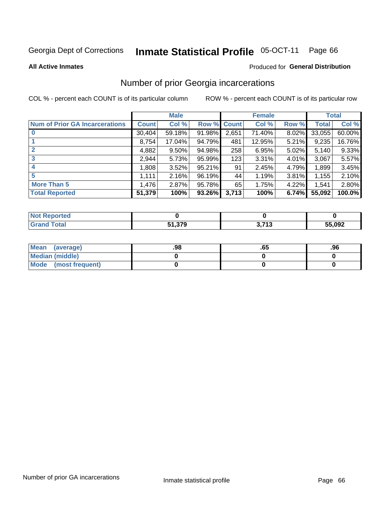#### Inmate Statistical Profile 05-OCT-11 Page 66

**All Active Inmates** 

### **Produced for General Distribution**

# Number of prior Georgia incarcerations

COL % - percent each COUNT is of its particular column

|                                       |              | <b>Male</b> |                    |       | <b>Female</b> |       |        | <b>Total</b> |
|---------------------------------------|--------------|-------------|--------------------|-------|---------------|-------|--------|--------------|
| <b>Num of Prior GA Incarcerations</b> | <b>Count</b> | Col %       | <b>Row % Count</b> |       | Col %         | Row % | Total  | Col %        |
| $\bf{0}$                              | 30,404       | 59.18%      | 91.98%             | 2,651 | 71.40%        | 8.02% | 33,055 | 60.00%       |
|                                       | 8,754        | 17.04%      | 94.79%             | 481   | 12.95%        | 5.21% | 9,235  | 16.76%       |
| $\mathbf{2}$                          | 4,882        | 9.50%       | 94.98%             | 258   | 6.95%         | 5.02% | 5,140  | 9.33%        |
| 3                                     | 2,944        | 5.73%       | 95.99%             | 123   | 3.31%         | 4.01% | 3,067  | 5.57%        |
| 4                                     | 1,808        | 3.52%       | 95.21%             | 91    | 2.45%         | 4.79% | 1,899  | 3.45%        |
| 5                                     | 1,111        | 2.16%       | 96.19%             | 44    | 1.19%         | 3.81% | 1,155  | 2.10%        |
| <b>More Than 5</b>                    | 1,476        | 2.87%       | 95.78%             | 65    | 1.75%         | 4.22% | 1,541  | 2.80%        |
| <b>Total Reported</b>                 | 51,379       | 100%        | 93.26%             | 3,713 | 100%          | 6.74% | 55,092 | 100.0%       |

| Reported<br><b>NOT</b> |         |               |        |
|------------------------|---------|---------------|--------|
| <b>c</b> otal          | 51 270  | <b>1 74 2</b> | 55,092 |
| Grz                    | פ וכ.וכ |               |        |

| Mean (average)       | .98 | .oa | .96 |
|----------------------|-----|-----|-----|
| Median (middle)      |     |     |     |
| Mode (most frequent) |     |     |     |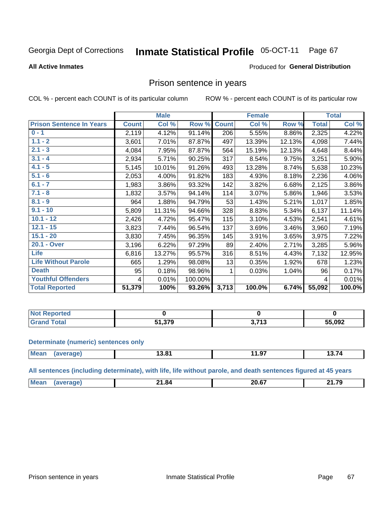#### **Inmate Statistical Profile 05-OCT-11** Page 67

#### **All Active Inmates**

#### Produced for General Distribution

### Prison sentence in years

COL % - percent each COUNT is of its particular column

ROW % - percent each COUNT is of its particular row

|                                 |              | <b>Male</b> |         |              | <b>Female</b> |        |              | <b>Total</b> |
|---------------------------------|--------------|-------------|---------|--------------|---------------|--------|--------------|--------------|
| <b>Prison Sentence In Years</b> | <b>Count</b> | Col %       | Row %   | <b>Count</b> | Col %         | Row %  | <b>Total</b> | Col %        |
| $0 - 1$                         | 2,119        | 4.12%       | 91.14%  | 206          | 5.55%         | 8.86%  | 2,325        | 4.22%        |
| $1.1 - 2$                       | 3,601        | 7.01%       | 87.87%  | 497          | 13.39%        | 12.13% | 4,098        | 7.44%        |
| $2.1 - 3$                       | 4,084        | 7.95%       | 87.87%  | 564          | 15.19%        | 12.13% | 4,648        | 8.44%        |
| $3.1 - 4$                       | 2,934        | 5.71%       | 90.25%  | 317          | 8.54%         | 9.75%  | 3,251        | 5.90%        |
| $4.1 - 5$                       | 5,145        | 10.01%      | 91.26%  | 493          | 13.28%        | 8.74%  | 5,638        | 10.23%       |
| $5.1 - 6$                       | 2,053        | 4.00%       | 91.82%  | 183          | 4.93%         | 8.18%  | 2,236        | 4.06%        |
| $6.1 - 7$                       | 1,983        | 3.86%       | 93.32%  | 142          | 3.82%         | 6.68%  | 2,125        | 3.86%        |
| $7.1 - 8$                       | 1,832        | 3.57%       | 94.14%  | 114          | 3.07%         | 5.86%  | 1,946        | 3.53%        |
| $8.1 - 9$                       | 964          | 1.88%       | 94.79%  | 53           | 1.43%         | 5.21%  | 1,017        | 1.85%        |
| $9.1 - 10$                      | 5,809        | 11.31%      | 94.66%  | 328          | 8.83%         | 5.34%  | 6,137        | 11.14%       |
| $10.1 - 12$                     | 2,426        | 4.72%       | 95.47%  | 115          | 3.10%         | 4.53%  | 2,541        | 4.61%        |
| $12.1 - 15$                     | 3,823        | 7.44%       | 96.54%  | 137          | 3.69%         | 3.46%  | 3,960        | 7.19%        |
| $15.1 - 20$                     | 3,830        | 7.45%       | 96.35%  | 145          | 3.91%         | 3.65%  | 3,975        | 7.22%        |
| 20.1 - Over                     | 3,196        | 6.22%       | 97.29%  | 89           | 2.40%         | 2.71%  | 3,285        | 5.96%        |
| <b>Life</b>                     | 6,816        | 13.27%      | 95.57%  | 316          | 8.51%         | 4.43%  | 7,132        | 12.95%       |
| <b>Life Without Parole</b>      | 665          | 1.29%       | 98.08%  | 13           | 0.35%         | 1.92%  | 678          | 1.23%        |
| <b>Death</b>                    | 95           | 0.18%       | 98.96%  |              | 0.03%         | 1.04%  | 96           | 0.17%        |
| <b>Youthful Offenders</b>       | 4            | 0.01%       | 100.00% |              |               |        | 4            | 0.01%        |
| <b>Total Reported</b>           | 51,379       | 100%        | 93.26%  | 3,713        | 100.0%        | 6.74%  | 55,092       | 100.0%       |

| <b>Reported</b><br>I NOT |                    |                   |        |
|--------------------------|--------------------|-------------------|--------|
|                          | 51 27Q<br>- 71.919 | <b>מוּד נ</b><br> | 55,092 |

#### **Determinate (numeric) sentences only**

| Mean | ממו | 13.81 | $-$<br>. .<br>1.J | .<br>1 Д<br>רוטי |
|------|-----|-------|-------------------|------------------|
|      |     |       |                   |                  |

All sentences (including determinate), with life, life without parole, and death sentences figured at 45 years

| 'м | $-1.0$ | ባስ ድማ<br>____ | <b>04.70</b><br>. |
|----|--------|---------------|-------------------|
|    |        |               |                   |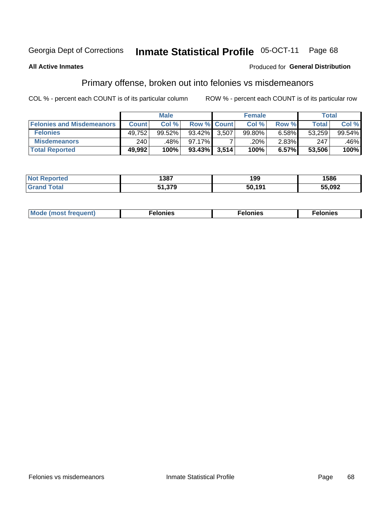#### **Inmate Statistical Profile 05-OCT-11** Page 68

#### **All Active Inmates**

#### Produced for General Distribution

# Primary offense, broken out into felonies vs misdemeanors

COL % - percent each COUNT is of its particular column

|                                  | <b>Male</b>  |        |                 |                    | <b>Female</b> | Total |        |           |
|----------------------------------|--------------|--------|-----------------|--------------------|---------------|-------|--------|-----------|
| <b>Felonies and Misdemeanors</b> | <b>Count</b> | Col%   |                 | <b>Row % Count</b> | Col%          | Row % | Total, | Col %     |
| <b>Felonies</b>                  | 49,752       | 99.52% | 93.42%          | 3,507              | 99.80%        | 6.58% | 53,259 | $99.54\%$ |
| <b>Misdemeanors</b>              | 240          | .48%   | 97.17%          |                    | .20%          | 2.83% | 247    | .46%      |
| <b>Total Reported</b>            | 49,992       | 100%   | $93.43\%$ 3,514 |                    | 100%          | 6.57% | 53,506 | 100%      |

| <b>Not</b><br>eported   | 1387 | 199    | 1586   |
|-------------------------|------|--------|--------|
| ՝ Granև<br><b>Total</b> | 270  | 50 101 | 55,092 |

|  | Mo | . | a masa sa sa<br>. | onies<br>. |
|--|----|---|-------------------|------------|
|--|----|---|-------------------|------------|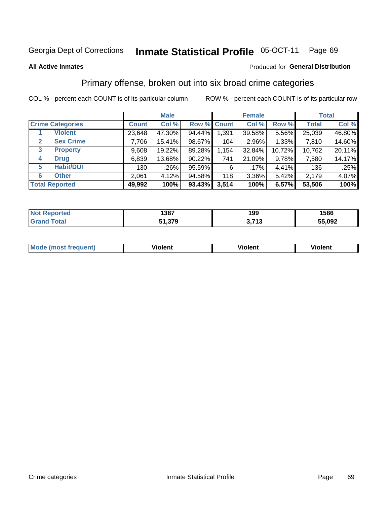# Georgia Dept of Corrections **Inmate Statistical Profile** 05-OCT-11 Page 69

#### **All Active Inmates**

### Produced for **General Distribution**

# Primary offense, broken out into six broad crime categories

COL % - percent each COUNT is of its particular column ROW % - percent each COUNT is of its particular row

|                                 | <b>Male</b>  |        |           | <b>Female</b> |          |        | <b>Total</b> |        |
|---------------------------------|--------------|--------|-----------|---------------|----------|--------|--------------|--------|
| <b>Crime Categories</b>         | <b>Count</b> | Col %  |           | Row % Count   | Col %    | Row %  | <b>Total</b> | Col %  |
| <b>Violent</b>                  | 23,648       | 47.30% | 94.44%    | 1,391         | 39.58%   | 5.56%  | 25,039       | 46.80% |
| <b>Sex Crime</b><br>2           | 7,706        | 15.41% | 98.67%    | 104           | $2.96\%$ | 1.33%  | 7,810        | 14.60% |
| $\mathbf{3}$<br><b>Property</b> | 9,608        | 19.22% | 89.28%    | 1,154         | 32.84%   | 10.72% | 10,762       | 20.11% |
| <b>Drug</b><br>4                | 6,839        | 13.68% | 90.22%    | 741           | 21.09%   | 9.78%  | 7,580        | 14.17% |
| <b>Habit/DUI</b><br>5           | 130          | .26%   | 95.59%    | 6             | $.17\%$  | 4.41%  | 136          | .25%   |
| <b>Other</b><br>6               | 2,061        | 4.12%  | 94.58%    | 118           | 3.36%    | 5.42%  | 2,179        | 4.07%  |
| <b>Total Reported</b>           | 49,992       | 100%   | $93.43\%$ | 3,514         | 100%     | 6.57%  | 53,506       | 100%   |

| тео<br>NO | 1387                    | 199            | 1586 |
|-----------|-------------------------|----------------|------|
|           | 270<br>E4<br>J I .J I J | , 749<br><br>. | ,092 |

| <b>Mode (most frequent)</b> | .<br>ïolent | 'iolent | ---<br>Violent |
|-----------------------------|-------------|---------|----------------|
|                             |             |         |                |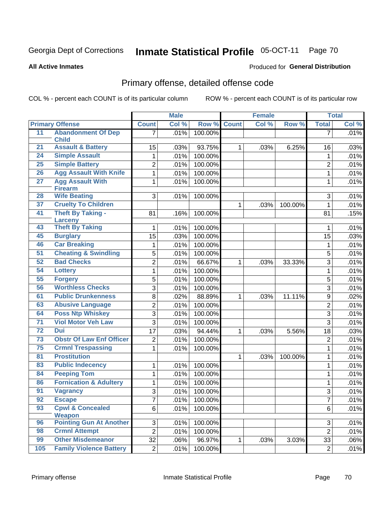# Georgia Dept of Corrections **Inmate Statistical Profile** 05-OCT-11 Page 70

**All Active Inmates**

### Produced for **General Distribution**

# Primary offense, detailed offense code

COL % - percent each COUNT is of its particular column ROW % - percent each COUNT is of its particular row

|                 |                                           |                | <b>Male</b> |         |              | <b>Female</b> |         |                | <b>Total</b> |
|-----------------|-------------------------------------------|----------------|-------------|---------|--------------|---------------|---------|----------------|--------------|
|                 | <b>Primary Offense</b>                    | <b>Count</b>   | Col %       | Row %   | <b>Count</b> | Col %         | Row %   | <b>Total</b>   | Col %        |
| 11              | <b>Abandonment Of Dep</b>                 | $\overline{7}$ | .01%        | 100.00% |              |               |         | $\overline{7}$ | .01%         |
|                 | <b>Child</b>                              |                |             |         |              |               |         |                |              |
| 21              | <b>Assault &amp; Battery</b>              | 15             | .03%        | 93.75%  | 1            | .03%          | 6.25%   | 16             | .03%         |
| 24              | <b>Simple Assault</b>                     | $\mathbf{1}$   | .01%        | 100.00% |              |               |         | 1              | .01%         |
| 25              | <b>Simple Battery</b>                     | $\overline{c}$ | .01%        | 100.00% |              |               |         | $\overline{2}$ | .01%         |
| 26              | <b>Agg Assault With Knife</b>             | $\mathbf 1$    | .01%        | 100.00% |              |               |         | $\mathbf{1}$   | .01%         |
| $\overline{27}$ | <b>Agg Assault With</b><br><b>Firearm</b> | $\mathbf{1}$   | .01%        | 100.00% |              |               |         | $\mathbf{1}$   | .01%         |
| 28              | <b>Wife Beating</b>                       | 3              | .01%        | 100.00% |              |               |         | 3              | .01%         |
| 37              | <b>Cruelty To Children</b>                |                |             |         | 1            | .03%          | 100.00% | $\mathbf{1}$   | .01%         |
| 41              | <b>Theft By Taking -</b>                  | 81             | .16%        | 100.00% |              |               |         | 81             | .15%         |
|                 | <b>Larceny</b>                            |                |             |         |              |               |         |                |              |
| 43              | <b>Theft By Taking</b>                    | 1              | .01%        | 100.00% |              |               |         | 1              | .01%         |
| 45              | <b>Burglary</b>                           | 15             | .03%        | 100.00% |              |               |         | 15             | .03%         |
| 46              | <b>Car Breaking</b>                       | $\mathbf 1$    | .01%        | 100.00% |              |               |         | $\mathbf{1}$   | .01%         |
| 51              | <b>Cheating &amp; Swindling</b>           | $\overline{5}$ | .01%        | 100.00% |              |               |         | 5              | .01%         |
| 52              | <b>Bad Checks</b>                         | $\overline{2}$ | .01%        | 66.67%  | 1            | .03%          | 33.33%  | 3              | .01%         |
| 54              | <b>Lottery</b>                            | $\mathbf{1}$   | .01%        | 100.00% |              |               |         | $\mathbf 1$    | .01%         |
| 55              | <b>Forgery</b>                            | 5              | .01%        | 100.00% |              |               |         | 5              | .01%         |
| 56              | <b>Worthless Checks</b>                   | $\overline{3}$ | .01%        | 100.00% |              |               |         | 3              | .01%         |
| 61              | <b>Public Drunkenness</b>                 | 8              | .02%        | 88.89%  | 1            | .03%          | 11.11%  | 9              | .02%         |
| 63              | <b>Abusive Language</b>                   | $\overline{2}$ | .01%        | 100.00% |              |               |         | $\overline{2}$ | .01%         |
| 64              | <b>Poss Ntp Whiskey</b>                   | $\overline{3}$ | .01%        | 100.00% |              |               |         | 3              | .01%         |
| $\overline{71}$ | <b>Viol Motor Veh Law</b>                 | $\overline{3}$ | .01%        | 100.00% |              |               |         | 3              | .01%         |
| $\overline{72}$ | <b>Dui</b>                                | 17             | .03%        | 94.44%  | 1            | .03%          | 5.56%   | 18             | .03%         |
| 73              | <b>Obstr Of Law Enf Officer</b>           | 2              | .01%        | 100.00% |              |               |         | $\overline{2}$ | .01%         |
| 75              | <b>Crmnl Trespassing</b>                  | $\mathbf{1}$   | .01%        | 100.00% |              |               |         | $\mathbf{1}$   | .01%         |
| 81              | <b>Prostitution</b>                       |                |             |         | 1            | .03%          | 100.00% | $\mathbf{1}$   | .01%         |
| 83              | <b>Public Indecency</b>                   | $\mathbf{1}$   | .01%        | 100.00% |              |               |         | $\mathbf 1$    | .01%         |
| 84              | <b>Peeping Tom</b>                        | $\mathbf{1}$   | .01%        | 100.00% |              |               |         | $\mathbf 1$    | .01%         |
| 86              | <b>Fornication &amp; Adultery</b>         | $\mathbf 1$    | .01%        | 100.00% |              |               |         | $\mathbf{1}$   | .01%         |
| 91              | <b>Vagrancy</b>                           | 3              | .01%        | 100.00% |              |               |         | 3              | .01%         |
| 92              | <b>Escape</b>                             | 7              | .01%        | 100.00% |              |               |         | $\prime$       | .01%         |
| 93              | <b>Cpwl &amp; Concealed</b>               | 6              | .01%        | 100.00% |              |               |         | $6\phantom{1}$ | .01%         |
|                 | <b>Weapon</b>                             |                |             |         |              |               |         |                |              |
| 96              | <b>Pointing Gun At Another</b>            | 3 <sup>1</sup> | .01%        | 100.00% |              |               |         | 3              | .01%         |
| 98              | <b>Crmnl Attempt</b>                      | $\overline{2}$ | .01%        | 100.00% |              |               |         | $\overline{2}$ | .01%         |
| 99              | <b>Other Misdemeanor</b>                  | 32             | .06%        | 96.97%  | $\mathbf{1}$ | .03%          | 3.03%   | 33             | .06%         |
| 105             | <b>Family Violence Battery</b>            | $\overline{c}$ | .01%        | 100.00% |              |               |         | $\overline{2}$ | .01%         |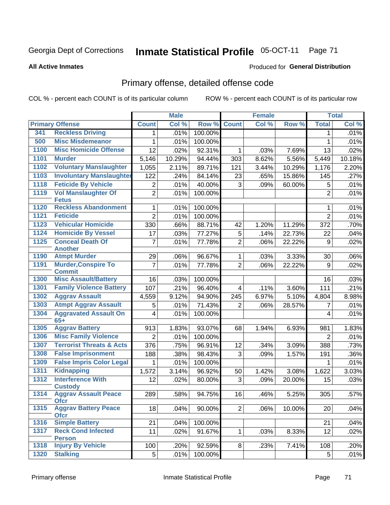# Georgia Dept of Corrections **Inmate Statistical Profile** 05-OCT-11 Page 71

#### **All Active Inmates**

#### Produced for **General Distribution**

# Primary offense, detailed offense code

COL % - percent each COUNT is of its particular column ROW % - percent each COUNT is of its particular row

|      |                                             |                         | <b>Male</b> |         |                | <b>Female</b> |        |                | <b>Total</b> |
|------|---------------------------------------------|-------------------------|-------------|---------|----------------|---------------|--------|----------------|--------------|
|      | <b>Primary Offense</b>                      | <b>Count</b>            | Col %       | Row %   | <b>Count</b>   | Col %         | Row %  | <b>Total</b>   | Col %        |
| 341  | <b>Reckless Driving</b>                     | 1 <sup>1</sup>          | .01%        | 100.00% |                |               |        | 1              | .01%         |
| 500  | <b>Misc Misdemeanor</b>                     | $\mathbf{1}$            | .01%        | 100.00% |                |               |        | $\mathbf{1}$   | .01%         |
| 1100 | <b>Misc Homicide Offense</b>                | 12                      | .02%        | 92.31%  | 1              | .03%          | 7.69%  | 13             | .02%         |
| 1101 | <b>Murder</b>                               | 5,146                   | 10.29%      | 94.44%  | 303            | 8.62%         | 5.56%  | 5,449          | 10.18%       |
| 1102 | <b>Voluntary Manslaughter</b>               | 1,055                   | 2.11%       | 89.71%  | 121            | 3.44%         | 10.29% | 1,176          | 2.20%        |
| 1103 | <b>Involuntary Manslaughter</b>             | 122                     | .24%        | 84.14%  | 23             | .65%          | 15.86% | 145            | .27%         |
| 1118 | <b>Feticide By Vehicle</b>                  | $\overline{2}$          | .01%        | 40.00%  | 3              | .09%          | 60.00% | 5              | .01%         |
| 1119 | <b>Vol Manslaughter Of</b><br><b>Fetus</b>  | $\overline{2}$          | .01%        | 100.00% |                |               |        | $\overline{2}$ | .01%         |
| 1120 | <b>Reckless Abandonment</b>                 | 1                       | .01%        | 100.00% |                |               |        | 1              | .01%         |
| 1121 | <b>Feticide</b>                             | $\overline{2}$          | .01%        | 100.00% |                |               |        | $\overline{2}$ | .01%         |
| 1123 | <b>Vehicular Homicide</b>                   | 330                     | .66%        | 88.71%  | 42             | 1.20%         | 11.29% | 372            | .70%         |
| 1124 | <b>Homicide By Vessel</b>                   | 17                      | .03%        | 77.27%  | $\mathbf 5$    | .14%          | 22.73% | 22             | .04%         |
| 1125 | <b>Conceal Death Of</b>                     | $\overline{7}$          | .01%        | 77.78%  | $\overline{2}$ | .06%          | 22.22% | 9              | .02%         |
|      | <b>Another</b>                              |                         |             |         |                |               |        |                |              |
| 1190 | <b>Atmpt Murder</b>                         | 29                      | .06%        | 96.67%  | 1              | .03%          | 3.33%  | 30             | $.06\%$      |
| 1191 | <b>Murder, Conspire To</b><br><b>Commit</b> | $\overline{7}$          | .01%        | 77.78%  | $\overline{2}$ | .06%          | 22.22% | 9              | .02%         |
| 1300 | <b>Misc Assault/Battery</b>                 | 16                      | .03%        | 100.00% |                |               |        | 16             | .03%         |
| 1301 | <b>Family Violence Battery</b>              | 107                     | .21%        | 96.40%  | 4              | .11%          | 3.60%  | 111            | .21%         |
| 1302 | <b>Aggrav Assault</b>                       | 4,559                   | 9.12%       | 94.90%  | 245            | 6.97%         | 5.10%  | 4,804          | 8.98%        |
| 1303 | <b>Atmpt Aggrav Assault</b>                 | 5                       | .01%        | 71.43%  | $\overline{2}$ | .06%          | 28.57% | 7              | .01%         |
| 1304 | <b>Aggravated Assault On</b><br>$65+$       | $\overline{\mathbf{4}}$ | .01%        | 100.00% |                |               |        | 4              | .01%         |
| 1305 | <b>Aggrav Battery</b>                       | 913                     | 1.83%       | 93.07%  | 68             | 1.94%         | 6.93%  | 981            | 1.83%        |
| 1306 | <b>Misc Family Violence</b>                 | $\overline{2}$          | .01%        | 100.00% |                |               |        | $\overline{2}$ | .01%         |
| 1307 | <b>Terrorist Threats &amp; Acts</b>         | 376                     | .75%        | 96.91%  | 12             | .34%          | 3.09%  | 388            | .73%         |
| 1308 | <b>False Imprisonment</b>                   | 188                     | .38%        | 98.43%  | 3              | .09%          | 1.57%  | 191            | .36%         |
| 1309 | <b>False Impris Color Legal</b>             | 1                       | .01%        | 100.00% |                |               |        | 1              | .01%         |
| 1311 | <b>Kidnapping</b>                           | 1,572                   | 3.14%       | 96.92%  | 50             | 1.42%         | 3.08%  | 1,622          | 3.03%        |
| 1312 | <b>Interference With</b><br><b>Custody</b>  | 12                      | .02%        | 80.00%  | 3              | .09%          | 20.00% | 15             | .03%         |
| 1314 | <b>Aggrav Assault Peace</b><br><b>Ofcr</b>  | 289                     | .58%        | 94.75%  | 16             | .46%          | 5.25%  | 305            | .57%         |
| 1315 | <b>Aggrav Battery Peace</b><br><b>Ofcr</b>  | 18                      | .04%        | 90.00%  | $\overline{2}$ | .06%          | 10.00% | 20             | .04%         |
| 1316 | <b>Simple Battery</b>                       | 21                      | .04%        | 100.00% |                |               |        | 21             | .04%         |
| 1317 | <b>Reck Cond Infected</b><br><b>Person</b>  | 11                      | .02%        | 91.67%  | $\mathbf{1}$   | .03%          | 8.33%  | 12             | .02%         |
| 1318 | <b>Injury By Vehicle</b>                    | 100                     | .20%        | 92.59%  | 8              | .23%          | 7.41%  | 108            | .20%         |
| 1320 | <b>Stalking</b>                             | 5 <sup>1</sup>          | .01%        | 100.00% |                |               |        | 5              | .01%         |
|      |                                             |                         |             |         |                |               |        |                |              |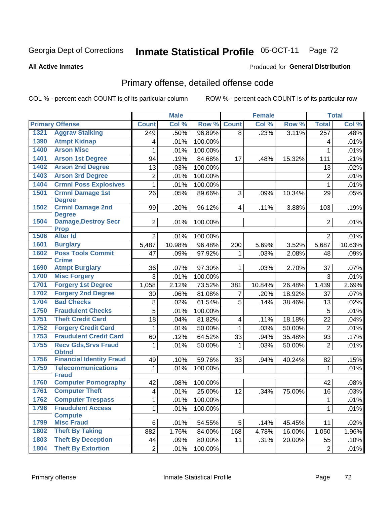**All Active Inmates**

#### Produced for **General Distribution**

### Primary offense, detailed offense code

| Col %<br>Col %<br><b>Primary Offense</b><br>Row %<br><b>Count</b><br>Row %<br><b>Total</b><br><b>Count</b><br><b>Aggrav Stalking</b><br>1321<br>96.89%<br>.23%<br>3.11%<br>$\overline{249}$<br>.50%<br>$\overline{257}$<br>8<br><b>Atmpt Kidnap</b><br>1390<br>100.00%<br>.01%<br>4<br>4<br><b>Arson Misc</b><br>1400<br>.01%<br>100.00%<br>1<br>1<br>1401<br><b>Arson 1st Degree</b><br>84.68%<br>.19%<br>15.32%<br>94<br>17<br>.48%<br>111<br>1402<br><b>Arson 2nd Degree</b><br>.03%<br>100.00%<br>13<br>13<br><b>Arson 3rd Degree</b><br>1403<br>$\overline{2}$<br>100.00%<br>.01%<br>$\overline{2}$<br><b>Crmnl Poss Explosives</b><br>1404<br>$\mathbf{1}$<br>100.00%<br>.01%<br>$\mathbf{1}$<br><b>Crmnl Damage 1st</b><br>1501<br>26<br>.05%<br>89.66%<br>3<br>10.34%<br>.09%<br>29<br><b>Degree</b><br><b>Crmnl Damage 2nd</b><br>1502<br>99<br>96.12%<br>.20%<br>.11%<br>3.88%<br>103<br>.19%<br>4<br><b>Degree</b><br><b>Damage, Destroy Secr</b><br>1504<br>$\overline{2}$<br>100.00%<br>$\overline{2}$<br>.01%<br><b>Prop</b><br><b>Alter Id</b><br>1506<br>$\overline{2}$<br>.01%<br>100.00%<br>$\overline{2}$<br>.01%<br>1601<br><b>Burglary</b><br>10.98%<br>10.63%<br>5,487<br>96.48%<br>5.69%<br>3.52%<br>5,687<br>200<br><b>Poss Tools Commit</b><br>1602<br>97.92%<br>.03%<br>47<br>.09%<br>2.08%<br>.09%<br>1<br>48<br><b>Crime</b><br><b>Atmpt Burglary</b><br>1690<br>97.30%<br>36<br>1<br>2.70%<br>37<br>.07%<br>$.07\%$<br>.03%<br>1700<br><b>Misc Forgery</b><br>3<br>.01%<br>100.00%<br>3<br>.01%<br><b>Forgery 1st Degree</b><br>1701<br>73.52%<br>1,058<br>2.12%<br>10.84%<br>26.48%<br>2.69%<br>381<br>1,439<br>1702<br><b>Forgery 2nd Degree</b><br>81.08%<br>18.92%<br>.06%<br>$\overline{7}$<br>.20%<br>37<br>.07%<br>30<br><b>Bad Checks</b><br>1704<br>61.54%<br>5<br>8<br>.02%<br>.14%<br>38.46%<br>13<br>.02%<br>1750<br><b>Fraudulent Checks</b><br>$\overline{5}$<br>.01%<br>100.00%<br>5<br>.01%<br>1751<br><b>Theft Credit Card</b><br>18<br>81.82%<br>.04%<br>18.18%<br>22<br>.04%<br>$\overline{4}$<br>.11%<br>1752<br><b>Forgery Credit Card</b><br>.01%<br>50.00%<br>.03%<br>50.00%<br>$\overline{2}$<br>$\mathbf{1}$<br>1<br>.01%<br><b>Fraudulent Credit Card</b><br>1753<br>.12%<br>64.52%<br>33<br>60<br>.94%<br>35.48%<br>93<br>.17%<br>1755<br><b>Recv Gds, Srvs Fraud</b><br>$\mathbf 1$<br>.01%<br>50.00%<br>1<br>.03%<br>$\overline{2}$<br>50.00%<br>.01%<br><b>Obtnd</b><br>1756<br><b>Financial Identity Fraud</b><br>59.76%<br>40.24%<br>.15%<br>49<br>.10%<br>33<br>.94%<br>82<br>1759<br><b>Telecommunications</b><br>.01%<br>100.00%<br>.01%<br>$\mathbf{1}$<br>$\mathbf{1}$<br><b>Fraud</b><br><b>Computer Pornography</b><br>1760<br>42<br>.08%<br>100.00%<br>.08%<br>42<br>1761<br><b>Computer Theft</b><br>$\overline{\mathbf{4}}$<br>.01%<br>25.00%<br>12<br>16<br>.03%<br>.34%<br>75.00%<br>1762<br><b>Computer Trespass</b><br>$\mathbf{1}$<br>.01%<br>100.00%<br>1<br>.01% |  | <b>Male</b> |  | <b>Female</b> |  | <b>Total</b> |
|------------------------------------------------------------------------------------------------------------------------------------------------------------------------------------------------------------------------------------------------------------------------------------------------------------------------------------------------------------------------------------------------------------------------------------------------------------------------------------------------------------------------------------------------------------------------------------------------------------------------------------------------------------------------------------------------------------------------------------------------------------------------------------------------------------------------------------------------------------------------------------------------------------------------------------------------------------------------------------------------------------------------------------------------------------------------------------------------------------------------------------------------------------------------------------------------------------------------------------------------------------------------------------------------------------------------------------------------------------------------------------------------------------------------------------------------------------------------------------------------------------------------------------------------------------------------------------------------------------------------------------------------------------------------------------------------------------------------------------------------------------------------------------------------------------------------------------------------------------------------------------------------------------------------------------------------------------------------------------------------------------------------------------------------------------------------------------------------------------------------------------------------------------------------------------------------------------------------------------------------------------------------------------------------------------------------------------------------------------------------------------------------------------------------------------------------------------------------------------------------------------------------------------------------------------------------------------------------------------------------------------------------------------------------------------------------------------------------------------------------------------------------------------------------------------------------------------------------------------------------------------------------------------------------------------------------|--|-------------|--|---------------|--|--------------|
|                                                                                                                                                                                                                                                                                                                                                                                                                                                                                                                                                                                                                                                                                                                                                                                                                                                                                                                                                                                                                                                                                                                                                                                                                                                                                                                                                                                                                                                                                                                                                                                                                                                                                                                                                                                                                                                                                                                                                                                                                                                                                                                                                                                                                                                                                                                                                                                                                                                                                                                                                                                                                                                                                                                                                                                                                                                                                                                                                |  |             |  |               |  | Col %        |
|                                                                                                                                                                                                                                                                                                                                                                                                                                                                                                                                                                                                                                                                                                                                                                                                                                                                                                                                                                                                                                                                                                                                                                                                                                                                                                                                                                                                                                                                                                                                                                                                                                                                                                                                                                                                                                                                                                                                                                                                                                                                                                                                                                                                                                                                                                                                                                                                                                                                                                                                                                                                                                                                                                                                                                                                                                                                                                                                                |  |             |  |               |  | .48%         |
|                                                                                                                                                                                                                                                                                                                                                                                                                                                                                                                                                                                                                                                                                                                                                                                                                                                                                                                                                                                                                                                                                                                                                                                                                                                                                                                                                                                                                                                                                                                                                                                                                                                                                                                                                                                                                                                                                                                                                                                                                                                                                                                                                                                                                                                                                                                                                                                                                                                                                                                                                                                                                                                                                                                                                                                                                                                                                                                                                |  |             |  |               |  | .01%         |
|                                                                                                                                                                                                                                                                                                                                                                                                                                                                                                                                                                                                                                                                                                                                                                                                                                                                                                                                                                                                                                                                                                                                                                                                                                                                                                                                                                                                                                                                                                                                                                                                                                                                                                                                                                                                                                                                                                                                                                                                                                                                                                                                                                                                                                                                                                                                                                                                                                                                                                                                                                                                                                                                                                                                                                                                                                                                                                                                                |  |             |  |               |  | .01%         |
|                                                                                                                                                                                                                                                                                                                                                                                                                                                                                                                                                                                                                                                                                                                                                                                                                                                                                                                                                                                                                                                                                                                                                                                                                                                                                                                                                                                                                                                                                                                                                                                                                                                                                                                                                                                                                                                                                                                                                                                                                                                                                                                                                                                                                                                                                                                                                                                                                                                                                                                                                                                                                                                                                                                                                                                                                                                                                                                                                |  |             |  |               |  | .21%         |
|                                                                                                                                                                                                                                                                                                                                                                                                                                                                                                                                                                                                                                                                                                                                                                                                                                                                                                                                                                                                                                                                                                                                                                                                                                                                                                                                                                                                                                                                                                                                                                                                                                                                                                                                                                                                                                                                                                                                                                                                                                                                                                                                                                                                                                                                                                                                                                                                                                                                                                                                                                                                                                                                                                                                                                                                                                                                                                                                                |  |             |  |               |  | .02%         |
|                                                                                                                                                                                                                                                                                                                                                                                                                                                                                                                                                                                                                                                                                                                                                                                                                                                                                                                                                                                                                                                                                                                                                                                                                                                                                                                                                                                                                                                                                                                                                                                                                                                                                                                                                                                                                                                                                                                                                                                                                                                                                                                                                                                                                                                                                                                                                                                                                                                                                                                                                                                                                                                                                                                                                                                                                                                                                                                                                |  |             |  |               |  | .01%         |
|                                                                                                                                                                                                                                                                                                                                                                                                                                                                                                                                                                                                                                                                                                                                                                                                                                                                                                                                                                                                                                                                                                                                                                                                                                                                                                                                                                                                                                                                                                                                                                                                                                                                                                                                                                                                                                                                                                                                                                                                                                                                                                                                                                                                                                                                                                                                                                                                                                                                                                                                                                                                                                                                                                                                                                                                                                                                                                                                                |  |             |  |               |  | .01%         |
|                                                                                                                                                                                                                                                                                                                                                                                                                                                                                                                                                                                                                                                                                                                                                                                                                                                                                                                                                                                                                                                                                                                                                                                                                                                                                                                                                                                                                                                                                                                                                                                                                                                                                                                                                                                                                                                                                                                                                                                                                                                                                                                                                                                                                                                                                                                                                                                                                                                                                                                                                                                                                                                                                                                                                                                                                                                                                                                                                |  |             |  |               |  | .05%         |
|                                                                                                                                                                                                                                                                                                                                                                                                                                                                                                                                                                                                                                                                                                                                                                                                                                                                                                                                                                                                                                                                                                                                                                                                                                                                                                                                                                                                                                                                                                                                                                                                                                                                                                                                                                                                                                                                                                                                                                                                                                                                                                                                                                                                                                                                                                                                                                                                                                                                                                                                                                                                                                                                                                                                                                                                                                                                                                                                                |  |             |  |               |  |              |
|                                                                                                                                                                                                                                                                                                                                                                                                                                                                                                                                                                                                                                                                                                                                                                                                                                                                                                                                                                                                                                                                                                                                                                                                                                                                                                                                                                                                                                                                                                                                                                                                                                                                                                                                                                                                                                                                                                                                                                                                                                                                                                                                                                                                                                                                                                                                                                                                                                                                                                                                                                                                                                                                                                                                                                                                                                                                                                                                                |  |             |  |               |  |              |
|                                                                                                                                                                                                                                                                                                                                                                                                                                                                                                                                                                                                                                                                                                                                                                                                                                                                                                                                                                                                                                                                                                                                                                                                                                                                                                                                                                                                                                                                                                                                                                                                                                                                                                                                                                                                                                                                                                                                                                                                                                                                                                                                                                                                                                                                                                                                                                                                                                                                                                                                                                                                                                                                                                                                                                                                                                                                                                                                                |  |             |  |               |  | .01%         |
|                                                                                                                                                                                                                                                                                                                                                                                                                                                                                                                                                                                                                                                                                                                                                                                                                                                                                                                                                                                                                                                                                                                                                                                                                                                                                                                                                                                                                                                                                                                                                                                                                                                                                                                                                                                                                                                                                                                                                                                                                                                                                                                                                                                                                                                                                                                                                                                                                                                                                                                                                                                                                                                                                                                                                                                                                                                                                                                                                |  |             |  |               |  |              |
|                                                                                                                                                                                                                                                                                                                                                                                                                                                                                                                                                                                                                                                                                                                                                                                                                                                                                                                                                                                                                                                                                                                                                                                                                                                                                                                                                                                                                                                                                                                                                                                                                                                                                                                                                                                                                                                                                                                                                                                                                                                                                                                                                                                                                                                                                                                                                                                                                                                                                                                                                                                                                                                                                                                                                                                                                                                                                                                                                |  |             |  |               |  |              |
|                                                                                                                                                                                                                                                                                                                                                                                                                                                                                                                                                                                                                                                                                                                                                                                                                                                                                                                                                                                                                                                                                                                                                                                                                                                                                                                                                                                                                                                                                                                                                                                                                                                                                                                                                                                                                                                                                                                                                                                                                                                                                                                                                                                                                                                                                                                                                                                                                                                                                                                                                                                                                                                                                                                                                                                                                                                                                                                                                |  |             |  |               |  |              |
|                                                                                                                                                                                                                                                                                                                                                                                                                                                                                                                                                                                                                                                                                                                                                                                                                                                                                                                                                                                                                                                                                                                                                                                                                                                                                                                                                                                                                                                                                                                                                                                                                                                                                                                                                                                                                                                                                                                                                                                                                                                                                                                                                                                                                                                                                                                                                                                                                                                                                                                                                                                                                                                                                                                                                                                                                                                                                                                                                |  |             |  |               |  |              |
|                                                                                                                                                                                                                                                                                                                                                                                                                                                                                                                                                                                                                                                                                                                                                                                                                                                                                                                                                                                                                                                                                                                                                                                                                                                                                                                                                                                                                                                                                                                                                                                                                                                                                                                                                                                                                                                                                                                                                                                                                                                                                                                                                                                                                                                                                                                                                                                                                                                                                                                                                                                                                                                                                                                                                                                                                                                                                                                                                |  |             |  |               |  |              |
|                                                                                                                                                                                                                                                                                                                                                                                                                                                                                                                                                                                                                                                                                                                                                                                                                                                                                                                                                                                                                                                                                                                                                                                                                                                                                                                                                                                                                                                                                                                                                                                                                                                                                                                                                                                                                                                                                                                                                                                                                                                                                                                                                                                                                                                                                                                                                                                                                                                                                                                                                                                                                                                                                                                                                                                                                                                                                                                                                |  |             |  |               |  |              |
|                                                                                                                                                                                                                                                                                                                                                                                                                                                                                                                                                                                                                                                                                                                                                                                                                                                                                                                                                                                                                                                                                                                                                                                                                                                                                                                                                                                                                                                                                                                                                                                                                                                                                                                                                                                                                                                                                                                                                                                                                                                                                                                                                                                                                                                                                                                                                                                                                                                                                                                                                                                                                                                                                                                                                                                                                                                                                                                                                |  |             |  |               |  |              |
|                                                                                                                                                                                                                                                                                                                                                                                                                                                                                                                                                                                                                                                                                                                                                                                                                                                                                                                                                                                                                                                                                                                                                                                                                                                                                                                                                                                                                                                                                                                                                                                                                                                                                                                                                                                                                                                                                                                                                                                                                                                                                                                                                                                                                                                                                                                                                                                                                                                                                                                                                                                                                                                                                                                                                                                                                                                                                                                                                |  |             |  |               |  |              |
|                                                                                                                                                                                                                                                                                                                                                                                                                                                                                                                                                                                                                                                                                                                                                                                                                                                                                                                                                                                                                                                                                                                                                                                                                                                                                                                                                                                                                                                                                                                                                                                                                                                                                                                                                                                                                                                                                                                                                                                                                                                                                                                                                                                                                                                                                                                                                                                                                                                                                                                                                                                                                                                                                                                                                                                                                                                                                                                                                |  |             |  |               |  |              |
|                                                                                                                                                                                                                                                                                                                                                                                                                                                                                                                                                                                                                                                                                                                                                                                                                                                                                                                                                                                                                                                                                                                                                                                                                                                                                                                                                                                                                                                                                                                                                                                                                                                                                                                                                                                                                                                                                                                                                                                                                                                                                                                                                                                                                                                                                                                                                                                                                                                                                                                                                                                                                                                                                                                                                                                                                                                                                                                                                |  |             |  |               |  |              |
|                                                                                                                                                                                                                                                                                                                                                                                                                                                                                                                                                                                                                                                                                                                                                                                                                                                                                                                                                                                                                                                                                                                                                                                                                                                                                                                                                                                                                                                                                                                                                                                                                                                                                                                                                                                                                                                                                                                                                                                                                                                                                                                                                                                                                                                                                                                                                                                                                                                                                                                                                                                                                                                                                                                                                                                                                                                                                                                                                |  |             |  |               |  |              |
|                                                                                                                                                                                                                                                                                                                                                                                                                                                                                                                                                                                                                                                                                                                                                                                                                                                                                                                                                                                                                                                                                                                                                                                                                                                                                                                                                                                                                                                                                                                                                                                                                                                                                                                                                                                                                                                                                                                                                                                                                                                                                                                                                                                                                                                                                                                                                                                                                                                                                                                                                                                                                                                                                                                                                                                                                                                                                                                                                |  |             |  |               |  |              |
|                                                                                                                                                                                                                                                                                                                                                                                                                                                                                                                                                                                                                                                                                                                                                                                                                                                                                                                                                                                                                                                                                                                                                                                                                                                                                                                                                                                                                                                                                                                                                                                                                                                                                                                                                                                                                                                                                                                                                                                                                                                                                                                                                                                                                                                                                                                                                                                                                                                                                                                                                                                                                                                                                                                                                                                                                                                                                                                                                |  |             |  |               |  |              |
|                                                                                                                                                                                                                                                                                                                                                                                                                                                                                                                                                                                                                                                                                                                                                                                                                                                                                                                                                                                                                                                                                                                                                                                                                                                                                                                                                                                                                                                                                                                                                                                                                                                                                                                                                                                                                                                                                                                                                                                                                                                                                                                                                                                                                                                                                                                                                                                                                                                                                                                                                                                                                                                                                                                                                                                                                                                                                                                                                |  |             |  |               |  |              |
|                                                                                                                                                                                                                                                                                                                                                                                                                                                                                                                                                                                                                                                                                                                                                                                                                                                                                                                                                                                                                                                                                                                                                                                                                                                                                                                                                                                                                                                                                                                                                                                                                                                                                                                                                                                                                                                                                                                                                                                                                                                                                                                                                                                                                                                                                                                                                                                                                                                                                                                                                                                                                                                                                                                                                                                                                                                                                                                                                |  |             |  |               |  |              |
|                                                                                                                                                                                                                                                                                                                                                                                                                                                                                                                                                                                                                                                                                                                                                                                                                                                                                                                                                                                                                                                                                                                                                                                                                                                                                                                                                                                                                                                                                                                                                                                                                                                                                                                                                                                                                                                                                                                                                                                                                                                                                                                                                                                                                                                                                                                                                                                                                                                                                                                                                                                                                                                                                                                                                                                                                                                                                                                                                |  |             |  |               |  |              |
|                                                                                                                                                                                                                                                                                                                                                                                                                                                                                                                                                                                                                                                                                                                                                                                                                                                                                                                                                                                                                                                                                                                                                                                                                                                                                                                                                                                                                                                                                                                                                                                                                                                                                                                                                                                                                                                                                                                                                                                                                                                                                                                                                                                                                                                                                                                                                                                                                                                                                                                                                                                                                                                                                                                                                                                                                                                                                                                                                |  |             |  |               |  |              |
|                                                                                                                                                                                                                                                                                                                                                                                                                                                                                                                                                                                                                                                                                                                                                                                                                                                                                                                                                                                                                                                                                                                                                                                                                                                                                                                                                                                                                                                                                                                                                                                                                                                                                                                                                                                                                                                                                                                                                                                                                                                                                                                                                                                                                                                                                                                                                                                                                                                                                                                                                                                                                                                                                                                                                                                                                                                                                                                                                |  |             |  |               |  |              |
|                                                                                                                                                                                                                                                                                                                                                                                                                                                                                                                                                                                                                                                                                                                                                                                                                                                                                                                                                                                                                                                                                                                                                                                                                                                                                                                                                                                                                                                                                                                                                                                                                                                                                                                                                                                                                                                                                                                                                                                                                                                                                                                                                                                                                                                                                                                                                                                                                                                                                                                                                                                                                                                                                                                                                                                                                                                                                                                                                |  |             |  |               |  |              |
|                                                                                                                                                                                                                                                                                                                                                                                                                                                                                                                                                                                                                                                                                                                                                                                                                                                                                                                                                                                                                                                                                                                                                                                                                                                                                                                                                                                                                                                                                                                                                                                                                                                                                                                                                                                                                                                                                                                                                                                                                                                                                                                                                                                                                                                                                                                                                                                                                                                                                                                                                                                                                                                                                                                                                                                                                                                                                                                                                |  |             |  |               |  |              |
| 1796<br><b>Fraudulent Access</b>                                                                                                                                                                                                                                                                                                                                                                                                                                                                                                                                                                                                                                                                                                                                                                                                                                                                                                                                                                                                                                                                                                                                                                                                                                                                                                                                                                                                                                                                                                                                                                                                                                                                                                                                                                                                                                                                                                                                                                                                                                                                                                                                                                                                                                                                                                                                                                                                                                                                                                                                                                                                                                                                                                                                                                                                                                                                                                               |  |             |  |               |  |              |
| $\mathbf{1}$<br>.01%<br>100.00%<br>1<br><b>Compute</b>                                                                                                                                                                                                                                                                                                                                                                                                                                                                                                                                                                                                                                                                                                                                                                                                                                                                                                                                                                                                                                                                                                                                                                                                                                                                                                                                                                                                                                                                                                                                                                                                                                                                                                                                                                                                                                                                                                                                                                                                                                                                                                                                                                                                                                                                                                                                                                                                                                                                                                                                                                                                                                                                                                                                                                                                                                                                                         |  |             |  |               |  | .01%         |
| 1799<br><b>Misc Fraud</b><br>6<br>5<br>.01%<br>54.55%<br>.14%<br>45.45%<br>11                                                                                                                                                                                                                                                                                                                                                                                                                                                                                                                                                                                                                                                                                                                                                                                                                                                                                                                                                                                                                                                                                                                                                                                                                                                                                                                                                                                                                                                                                                                                                                                                                                                                                                                                                                                                                                                                                                                                                                                                                                                                                                                                                                                                                                                                                                                                                                                                                                                                                                                                                                                                                                                                                                                                                                                                                                                                  |  |             |  |               |  | .02%         |
| 1802<br><b>Theft By Taking</b><br>882<br>1.76%<br>84.00%<br>168<br>1,050<br>4.78%<br>16.00%                                                                                                                                                                                                                                                                                                                                                                                                                                                                                                                                                                                                                                                                                                                                                                                                                                                                                                                                                                                                                                                                                                                                                                                                                                                                                                                                                                                                                                                                                                                                                                                                                                                                                                                                                                                                                                                                                                                                                                                                                                                                                                                                                                                                                                                                                                                                                                                                                                                                                                                                                                                                                                                                                                                                                                                                                                                    |  |             |  |               |  | 1.96%        |
| 1803<br><b>Theft By Deception</b><br>80.00%<br>20.00%<br>44<br>.09%<br>11<br>.31%<br>55                                                                                                                                                                                                                                                                                                                                                                                                                                                                                                                                                                                                                                                                                                                                                                                                                                                                                                                                                                                                                                                                                                                                                                                                                                                                                                                                                                                                                                                                                                                                                                                                                                                                                                                                                                                                                                                                                                                                                                                                                                                                                                                                                                                                                                                                                                                                                                                                                                                                                                                                                                                                                                                                                                                                                                                                                                                        |  |             |  |               |  | .10%         |
| 1804<br><b>Theft By Extortion</b><br>$\overline{2}$<br>100.00%<br>$\overline{2}$<br>.01%                                                                                                                                                                                                                                                                                                                                                                                                                                                                                                                                                                                                                                                                                                                                                                                                                                                                                                                                                                                                                                                                                                                                                                                                                                                                                                                                                                                                                                                                                                                                                                                                                                                                                                                                                                                                                                                                                                                                                                                                                                                                                                                                                                                                                                                                                                                                                                                                                                                                                                                                                                                                                                                                                                                                                                                                                                                       |  |             |  |               |  | .01%         |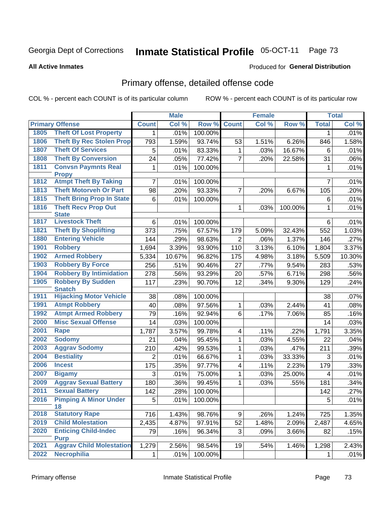#### **All Active Inmates**

#### Produced for **General Distribution**

### Primary offense, detailed offense code

|      |                                            |                | <b>Male</b> |         |                 | <b>Female</b> |                    |                | <b>Total</b> |
|------|--------------------------------------------|----------------|-------------|---------|-----------------|---------------|--------------------|----------------|--------------|
|      | <b>Primary Offense</b>                     | <b>Count</b>   | Col %       | Row %   | <b>Count</b>    | Col %         | Row %              | <b>Total</b>   | Col %        |
| 1805 | <b>Theft Of Lost Property</b>              | $\mathbf 1$    | .01%        | 100.00% |                 |               |                    | $\mathbf{1}$   | .01%         |
| 1806 | <b>Theft By Rec Stolen Prop</b>            | 793            | 1.59%       | 93.74%  | 53              | 1.51%         | 6.26%              | 846            | 1.58%        |
| 1807 | <b>Theft Of Services</b>                   | 5              | .01%        | 83.33%  | 1               | .03%          | 16.67%             | 6              | .01%         |
| 1808 | <b>Theft By Conversion</b>                 | 24             | .05%        | 77.42%  | 7               | .20%          | 22.58%             | 31             | .06%         |
| 1811 | <b>Convsn Paymnts Real</b>                 | $\mathbf{1}$   | .01%        | 100.00% |                 |               |                    | 1              | .01%         |
|      | <b>Propy</b>                               |                |             |         |                 |               |                    |                |              |
| 1812 | <b>Atmpt Theft By Taking</b>               | $\overline{7}$ | .01%        | 100.00% |                 |               |                    | 7              | .01%         |
| 1813 | <b>Theft Motorveh Or Part</b>              | 98             | .20%        | 93.33%  | $\overline{7}$  | .20%          | 6.67%              | 105            | .20%         |
| 1815 | <b>Theft Bring Prop In State</b>           | 6              | .01%        | 100.00% |                 |               |                    | 6              | .01%         |
| 1816 | <b>Theft Recv Prop Out</b><br><b>State</b> |                |             |         | 1               | .03%          | 100.00%            | 1              | .01%         |
| 1817 | <b>Livestock Theft</b>                     | 6              | .01%        | 100.00% |                 |               |                    | $6\phantom{1}$ | .01%         |
| 1821 | <b>Theft By Shoplifting</b>                | 373            | .75%        | 67.57%  | 179             | 5.09%         | 32.43%             | 552            | 1.03%        |
| 1880 | <b>Entering Vehicle</b>                    | 144            | .29%        | 98.63%  | $\overline{2}$  | .06%          | 1.37%              | 146            | .27%         |
| 1901 | <b>Robbery</b>                             | 1,694          | 3.39%       | 93.90%  | 110             | 3.13%         | 6.10%              | 1,804          | 3.37%        |
| 1902 | <b>Armed Robbery</b>                       | 5,334          | 10.67%      | 96.82%  | 175             | 4.98%         | 3.18%              | 5,509          | 10.30%       |
| 1903 | <b>Robbery By Force</b>                    | 256            | .51%        | 90.46%  | 27              | .77%          | 9.54%              | 283            | .53%         |
| 1904 | <b>Robbery By Intimidation</b>             | 278            | .56%        | 93.29%  | 20              | .57%          | 6.71%              | 298            | .56%         |
| 1905 | <b>Robbery By Sudden</b>                   | 117            | .23%        | 90.70%  | 12              | .34%          | 9.30%              | 129            | .24%         |
|      | <b>Snatch</b>                              |                |             |         |                 |               |                    |                |              |
| 1911 | <b>Hijacking Motor Vehicle</b>             | 38             | .08%        | 100.00% |                 |               |                    | 38             | .07%         |
| 1991 | <b>Atmpt Robbery</b>                       | 40             | .08%        | 97.56%  | $\mathbf 1$     | .03%          | 2.44%              | 41             | .08%         |
| 1992 | <b>Atmpt Armed Robbery</b>                 | 79             | .16%        | 92.94%  | $6\phantom{1}6$ | .17%          | 7.06%              | 85             | .16%         |
| 2000 | <b>Misc Sexual Offense</b>                 | 14             | .03%        | 100.00% |                 |               |                    | 14             | .03%         |
| 2001 | <b>Rape</b>                                | 1,787          | 3.57%       | 99.78%  | 4               | .11%          | $\overline{.}22\%$ | 1,791          | 3.35%        |
| 2002 | <b>Sodomy</b>                              | 21             | .04%        | 95.45%  | 1               | .03%          | 4.55%              | 22             | .04%         |
| 2003 | <b>Aggrav Sodomy</b>                       | 210            | .42%        | 99.53%  | 1               | .03%          | .47%               | 211            | .39%         |
| 2004 | <b>Bestiality</b>                          | $\overline{2}$ | .01%        | 66.67%  | 1               | .03%          | 33.33%             | 3              | .01%         |
| 2006 | <b>Incest</b>                              | 175            | .35%        | 97.77%  | 4               | .11%          | 2.23%              | 179            | .33%         |
| 2007 | <b>Bigamy</b>                              | $\mathbf{3}$   | .01%        | 75.00%  | 1               | .03%          | 25.00%             | 4              | .01%         |
| 2009 | <b>Aggrav Sexual Battery</b>               | 180            | .36%        | 99.45%  | 1               | .03%          | .55%               | 181            | .34%         |
| 2011 | <b>Sexual Battery</b>                      | 142            | .28%        | 100.00% |                 |               |                    | 142            | .27%         |
| 2016 | <b>Pimping A Minor Under</b><br>18         | 5              | .01%        | 100.00% |                 |               |                    | 5              | .01%         |
| 2018 | <b>Statutory Rape</b>                      | 716            | 1.43%       | 98.76%  | 9               | .26%          | 1.24%              | 725            | 1.35%        |
| 2019 | <b>Child Molestation</b>                   | 2,435          | 4.87%       | 97.91%  | 52              | 1.48%         | 2.09%              | 2,487          | 4.65%        |
| 2020 | <b>Enticing Child-Indec</b>                | 79             | .16%        | 96.34%  | 3               | .09%          | 3.66%              | 82             | .15%         |
|      | <b>Purp</b>                                |                |             |         |                 |               |                    |                |              |
| 2021 | <b>Aggrav Child Molestation</b>            | 1,279          | 2.56%       | 98.54%  | 19              | .54%          | 1.46%              | 1,298          | 2.43%        |
| 2022 | <b>Necrophilia</b>                         | $\mathbf 1$    | .01%        | 100.00% |                 |               |                    | $\mathbf 1$    | .01%         |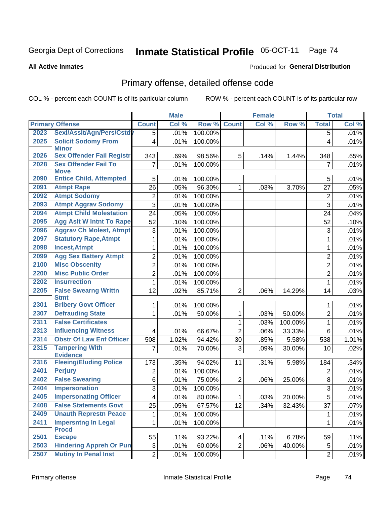#### **All Active Inmates**

#### Produced for **General Distribution**

### Primary offense, detailed offense code

|      |                                            | <b>Male</b>             |       |         | <b>Female</b>  |       | <b>Total</b> |                |       |
|------|--------------------------------------------|-------------------------|-------|---------|----------------|-------|--------------|----------------|-------|
|      | <b>Primary Offense</b>                     | <b>Count</b>            | Col % | Row %   | <b>Count</b>   | Col % | Row %        | <b>Total</b>   | Col % |
| 2023 | Sexl/Asslt/Agn/Pers/Cstdy                  | 5                       | .01%  | 100.00% |                |       |              | 5              | .01%  |
| 2025 | <b>Solicit Sodomy From</b><br><b>Minor</b> | $\overline{\mathbf{4}}$ | .01%  | 100.00% |                |       |              | 4              | .01%  |
| 2026 | <b>Sex Offender Fail Registr</b>           | 343                     | .69%  | 98.56%  | 5              | .14%  | 1.44%        | 348            | .65%  |
| 2028 | <b>Sex Offender Fail To</b><br><b>Move</b> | $\overline{7}$          | .01%  | 100.00% |                |       |              | $\overline{7}$ | .01%  |
| 2090 | <b>Entice Child, Attempted</b>             | 5                       | .01%  | 100.00% |                |       |              | 5              | .01%  |
| 2091 | <b>Atmpt Rape</b>                          | 26                      | .05%  | 96.30%  | 1              | .03%  | 3.70%        | 27             | .05%  |
| 2092 | <b>Atmpt Sodomy</b>                        | $\overline{2}$          | .01%  | 100.00% |                |       |              | $\overline{2}$ | .01%  |
| 2093 | <b>Atmpt Aggrav Sodomy</b>                 | $\overline{3}$          | .01%  | 100.00% |                |       |              | 3              | .01%  |
| 2094 | <b>Atmpt Child Molestation</b>             | 24                      | .05%  | 100.00% |                |       |              | 24             | .04%  |
| 2095 | <b>Agg Aslt W Intnt To Rape</b>            | 52                      | .10%  | 100.00% |                |       |              | 52             | .10%  |
| 2096 | <b>Aggrav Ch Molest, Atmpt</b>             | 3                       | .01%  | 100.00% |                |       |              | 3              | .01%  |
| 2097 | <b>Statutory Rape, Atmpt</b>               | $\mathbf{1}$            | .01%  | 100.00% |                |       |              | 1              | .01%  |
| 2098 | <b>Incest, Atmpt</b>                       | $\mathbf{1}$            | .01%  | 100.00% |                |       |              | 1              | .01%  |
| 2099 | <b>Agg Sex Battery Atmpt</b>               | $\overline{2}$          | .01%  | 100.00% |                |       |              | $\overline{2}$ | .01%  |
| 2100 | <b>Misc Obscenity</b>                      | $\overline{2}$          | .01%  | 100.00% |                |       |              | $\overline{2}$ | .01%  |
| 2200 | <b>Misc Public Order</b>                   | $\overline{2}$          | .01%  | 100.00% |                |       |              | $\overline{2}$ | .01%  |
| 2202 | <b>Insurrection</b>                        | $\mathbf{1}$            | .01%  | 100.00% |                |       |              | $\mathbf{1}$   | .01%  |
| 2205 | <b>False Swearng Writtn</b><br><b>Stmt</b> | 12                      | .02%  | 85.71%  | $\overline{2}$ | .06%  | 14.29%       | 14             | .03%  |
| 2301 | <b>Bribery Govt Officer</b>                | $\mathbf{1}$            | .01%  | 100.00% |                |       |              | 1              | .01%  |
| 2307 | <b>Defrauding State</b>                    | $\mathbf 1$             | .01%  | 50.00%  | 1              | .03%  | 50.00%       | $\overline{2}$ | .01%  |
| 2311 | <b>False Certificates</b>                  |                         |       |         | 1              | .03%  | 100.00%      | $\mathbf{1}$   | .01%  |
| 2313 | <b>Influencing Witness</b>                 | $\overline{4}$          | .01%  | 66.67%  | $\overline{2}$ | .06%  | 33.33%       | 6              | .01%  |
| 2314 | <b>Obstr Of Law Enf Officer</b>            | 508                     | 1.02% | 94.42%  | 30             | .85%  | 5.58%        | 538            | 1.01% |
| 2315 | <b>Tampering With</b><br><b>Evidence</b>   | $\overline{7}$          | .01%  | 70.00%  | 3              | .09%  | 30.00%       | 10             | .02%  |
| 2316 | <b>Fleeing/Eluding Police</b>              | 173                     | .35%  | 94.02%  | 11             | .31%  | 5.98%        | 184            | .34%  |
| 2401 | <b>Perjury</b>                             | $\overline{2}$          | .01%  | 100.00% |                |       |              | $\overline{2}$ | .01%  |
| 2402 | <b>False Swearing</b>                      | 6                       | .01%  | 75.00%  | $\overline{2}$ | .06%  | 25.00%       | 8              | .01%  |
| 2404 | <b>Impersonation</b>                       | 3                       | .01%  | 100.00% |                |       |              | 3              | .01%  |
| 2405 | <b>Impersonating Officer</b>               | $\overline{\mathbf{4}}$ | .01%  | 80.00%  | $\mathbf{1}$   | .03%  | 20.00%       | $\overline{5}$ | .01%  |
| 2408 | <b>False Statements Govt</b>               | 25                      | .05%  | 67.57%  | 12             | .34%  | 32.43%       | 37             | .07%  |
| 2409 | <b>Unauth Represtn Peace</b>               | $\mathbf{1}$            | .01%  | 100.00% |                |       |              | 1              | .01%  |
| 2411 | <b>Impersntng In Legal</b><br><b>Procd</b> | $\mathbf 1$             | .01%  | 100.00% |                |       |              | 1              | .01%  |
| 2501 | <b>Escape</b>                              | 55                      | .11%  | 93.22%  | 4              | .11%  | 6.78%        | 59             | .11%  |
| 2503 | <b>Hindering Appreh Or Pun</b>             | 3                       | .01%  | 60.00%  | $\overline{2}$ | .06%  | 40.00%       | 5              | .01%  |
| 2507 | <b>Mutiny In Penal Inst</b>                | $\overline{2}$          | .01%  | 100.00% |                |       |              | $\overline{2}$ | .01%  |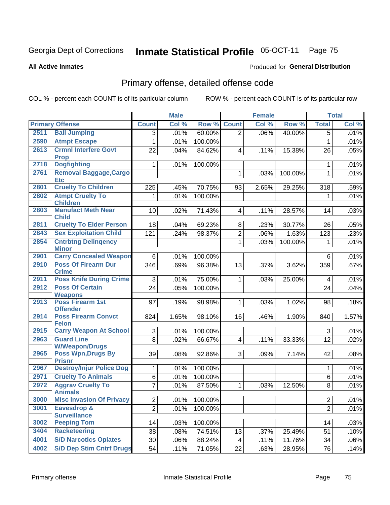#### **All Active Inmates**

#### Produced for **General Distribution**

### Primary offense, detailed offense code

|      |                                               | <b>Male</b>    |       | <b>Female</b> |                         |       | <b>Total</b> |                |       |
|------|-----------------------------------------------|----------------|-------|---------------|-------------------------|-------|--------------|----------------|-------|
|      | <b>Primary Offense</b>                        | <b>Count</b>   | Col % | Row %         | <b>Count</b>            | Col % | Row %        | <b>Total</b>   | Col % |
| 2511 | <b>Bail Jumping</b>                           | $\overline{3}$ | .01%  | 60.00%        | $\overline{2}$          | .06%  | 40.00%       | $\overline{5}$ | .01%  |
| 2590 | <b>Atmpt Escape</b>                           | 1              | .01%  | 100.00%       |                         |       |              | $\mathbf{1}$   | .01%  |
| 2613 | <b>Crmnl Interfere Govt</b>                   | 22             | .04%  | 84.62%        | $\overline{4}$          | .11%  | 15.38%       | 26             | .05%  |
|      | <b>Prop</b>                                   |                |       |               |                         |       |              |                |       |
| 2718 | <b>Dogfighting</b>                            | 1              | .01%  | 100.00%       |                         |       |              | 1              | .01%  |
| 2761 | <b>Removal Baggage, Cargo</b><br><b>Etc</b>   |                |       |               | 1                       | .03%  | 100.00%      | $\mathbf{1}$   | .01%  |
| 2801 | <b>Cruelty To Children</b>                    | 225            | .45%  | 70.75%        | 93                      | 2.65% | 29.25%       | 318            | .59%  |
| 2802 | <b>Atmpt Cruelty To</b>                       | 1              | .01%  | 100.00%       |                         |       |              | 1              | .01%  |
|      | <b>Children</b>                               |                |       |               |                         |       |              |                |       |
| 2803 | <b>Manufact Meth Near</b><br><b>Child</b>     | 10             | .02%  | 71.43%        | $\overline{4}$          | .11%  | 28.57%       | 14             | .03%  |
| 2811 | <b>Cruelty To Elder Person</b>                | 18             | .04%  | 69.23%        | 8                       | .23%  | 30.77%       | 26             | .05%  |
| 2843 | <b>Sex Exploitation Child</b>                 | 121            | .24%  | 98.37%        | $\overline{2}$          | .06%  | 1.63%        | 123            | .23%  |
| 2854 | <b>Cntrbtng Delingency</b>                    |                |       |               | $\mathbf{1}$            | .03%  | 100.00%      | 1              | .01%  |
|      | <b>Minor</b>                                  |                |       |               |                         |       |              |                |       |
| 2901 | <b>Carry Concealed Weapon</b>                 | 6 <sup>1</sup> | .01%  | 100.00%       |                         |       |              | 6              | .01%  |
| 2910 | <b>Poss Of Firearm Dur</b>                    | 346            | .69%  | 96.38%        | 13                      | .37%  | 3.62%        | 359            | .67%  |
|      | <b>Crime</b>                                  |                |       |               |                         |       |              |                |       |
| 2911 | <b>Poss Knife During Crime</b>                | 3 <sup>1</sup> | .01%  | 75.00%        | $\mathbf{1}$            | .03%  | 25.00%       | $\overline{4}$ | .01%  |
| 2912 | <b>Poss Of Certain</b><br><b>Weapons</b>      | 24             | .05%  | 100.00%       |                         |       |              | 24             | .04%  |
| 2913 | <b>Poss Firearm 1st</b>                       | 97             | .19%  | 98.98%        | $\mathbf{1}$            | .03%  | 1.02%        | 98             | .18%  |
|      | <b>Offender</b>                               |                |       |               |                         |       |              |                |       |
| 2914 | <b>Poss Firearm Convct</b>                    | 824            | 1.65% | 98.10%        | 16                      | .46%  | 1.90%        | 840            | 1.57% |
| 2915 | <b>Felon</b><br><b>Carry Weapon At School</b> | 3              | .01%  | 100.00%       |                         |       |              | 3              | .01%  |
| 2963 | <b>Guard Line</b>                             | 8              | .02%  | 66.67%        | $\overline{4}$          | .11%  | 33.33%       | 12             | .02%  |
|      | <b>W/Weapon/Drugs</b>                         |                |       |               |                         |       |              |                |       |
| 2965 | <b>Poss Wpn, Drugs By</b>                     | 39             | .08%  | 92.86%        | 3                       | .09%  | 7.14%        | 42             | .08%  |
|      | <b>Prisnr</b>                                 |                |       |               |                         |       |              |                |       |
| 2967 | <b>Destroy/Injur Police Dog</b>               | 1              | .01%  | 100.00%       |                         |       |              | 1              | .01%  |
| 2971 | <b>Cruelty To Animals</b>                     | 6              | .01%  | 100.00%       |                         |       |              | 6              | .01%  |
| 2972 | <b>Aggrav Cruelty To</b><br><b>Animals</b>    | $\overline{7}$ | .01%  | 87.50%        | $\mathbf{1}$            | .03%  | 12.50%       | 8              | .01%  |
| 3000 | <b>Misc Invasion Of Privacy</b>               | $\overline{c}$ | .01%  | 100.00%       |                         |       |              | $\overline{c}$ | .01%  |
| 3001 | Eavesdrop &                                   | $\overline{2}$ | .01%  | 100.00%       |                         |       |              | $\overline{2}$ | .01%  |
|      | <b>Surveillance</b>                           |                |       |               |                         |       |              |                |       |
| 3002 | <b>Peeping Tom</b>                            | 14             | .03%  | 100.00%       |                         |       |              | 14             | .03%  |
| 3404 | <b>Racketeering</b>                           | 38             | .08%  | 74.51%        | 13                      | .37%  | 25.49%       | 51             | .10%  |
| 4001 | <b>S/D Narcotics Opiates</b>                  | 30             | .06%  | 88.24%        | $\overline{\mathbf{4}}$ | .11%  | 11.76%       | 34             | .06%  |
| 4002 | <b>S/D Dep Stim Cntrf Drugs</b>               | 54             | .11%  | 71.05%        | 22                      | .63%  | 28.95%       | 76             | .14%  |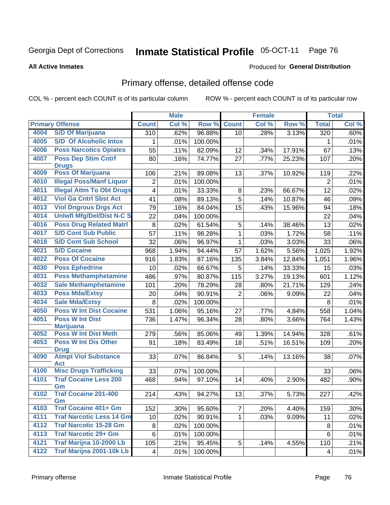#### **All Active Inmates**

#### Produced for **General Distribution**

### Primary offense, detailed offense code

|      |                                            | <b>Male</b>              |       |         | <b>Female</b>   |       | <b>Total</b> |                         |       |
|------|--------------------------------------------|--------------------------|-------|---------|-----------------|-------|--------------|-------------------------|-------|
|      | <b>Primary Offense</b>                     | <b>Count</b>             | Col % | Row %   | <b>Count</b>    | Col % | Row %        | <b>Total</b>            | Col % |
| 4004 | <b>S/D Of Marijuana</b>                    | 310                      | .62%  | 96.88%  | 10 <sup>1</sup> | .28%  | 3.13%        | 320                     | .60%  |
| 4005 | <b>S/D Of Alcoholic Intox</b>              | 1                        | .01%  | 100.00% |                 |       |              | 1                       | .01%  |
| 4006 | <b>Poss Narcotics Opiates</b>              | 55                       | .11%  | 82.09%  | 12              | .34%  | 17.91%       | 67                      | .13%  |
| 4007 | <b>Poss Dep Stim Cntrf</b>                 | 80                       | .16%  | 74.77%  | 27              | .77%  | 25.23%       | 107                     | .20%  |
|      | <b>Drugs</b>                               |                          |       |         |                 |       |              |                         |       |
| 4009 | <b>Poss Of Marijuana</b>                   | 106                      | .21%  | 89.08%  | 13              | .37%  | 10.92%       | 119                     | .22%  |
| 4010 | <b>Illegal Poss/Manf Liquor</b>            | 2                        | .01%  | 100.00% |                 |       |              | $\overline{2}$          | .01%  |
| 4011 | <b>Illegal Attm To Obt Drugs</b>           | 4                        | .01%  | 33.33%  | 8               | .23%  | 66.67%       | 12                      | .02%  |
| 4012 | <b>Viol Ga Cntrl Sbst Act</b>              | 41                       | .08%  | 89.13%  | $\overline{5}$  | .14%  | 10.87%       | 46                      | .09%  |
| 4013 | <b>Viol Dngrous Drgs Act</b>               | 79                       | .16%  | 84.04%  | 15              | .43%  | 15.96%       | 94                      | .18%  |
| 4014 | <b>Uniwfl Mfg/Del/Dist N-C S</b>           | 22                       | .04%  | 100.00% |                 |       |              | 22                      | .04%  |
| 4016 | <b>Poss Drug Related Matri</b>             | 8                        | .02%  | 61.54%  | 5               | .14%  | 38.46%       | 13                      | .02%  |
| 4017 | <b>S/D Cont Sub Public</b>                 | 57                       | .11%  | 98.28%  | 1               | .03%  | 1.72%        | 58                      | .11%  |
| 4018 | <b>S/D Cont Sub School</b>                 | 32                       | .06%  | 96.97%  | 1               | .03%  | 3.03%        | 33                      | .06%  |
| 4021 | <b>S/D Cocaine</b>                         | 968                      | 1.94% | 94.44%  | 57              | 1.62% | 5.56%        | 1,025                   | 1.92% |
| 4022 | <b>Poss Of Cocaine</b>                     | 916                      | 1.83% | 87.16%  | 135             | 3.84% | 12.84%       | 1,051                   | 1.96% |
| 4030 | <b>Poss Ephedrine</b>                      | 10                       | .02%  | 66.67%  | 5               | .14%  | 33.33%       | 15                      | .03%  |
| 4031 | <b>Poss Methamphetamine</b>                | 486                      | .97%  | 80.87%  | 115             | 3.27% | 19.13%       | 601                     | 1.12% |
| 4032 | <b>Sale Methamphetamine</b>                | 101                      | .20%  | 78.29%  | 28              | .80%  | 21.71%       | 129                     | .24%  |
| 4033 | <b>Poss Mda/Extsy</b>                      | 20                       | .04%  | 90.91%  | $\overline{2}$  | .06%  | 9.09%        | 22                      | .04%  |
| 4034 | <b>Sale Mda/Extsy</b>                      | 8                        | .02%  | 100.00% |                 |       |              | 8                       | .01%  |
| 4050 | <b>Poss W Int Dist Cocaine</b>             | 531                      | 1.06% | 95.16%  | 27              | .77%  | 4.84%        | 558                     | 1.04% |
| 4051 | <b>Poss W Int Dist</b>                     | 736                      | 1.47% | 96.34%  | 28              | .80%  | 3.66%        | 764                     | 1.43% |
|      | <b>Marijuana</b>                           |                          |       |         |                 |       |              |                         |       |
| 4052 | <b>Poss W Int Dist Meth</b>                | 279                      | .56%  | 85.06%  | 49              | 1.39% | 14.94%       | 328                     | .61%  |
| 4053 | <b>Poss W Int Dis Other</b><br><b>Drug</b> | 91                       | .18%  | 83.49%  | 18              | .51%  | 16.51%       | 109                     | .20%  |
| 4090 | <b>Atmpt Viol Substance</b>                | 33                       | .07%  | 86.84%  | 5               | .14%  | 13.16%       | 38                      | .07%  |
|      | <b>Act</b>                                 |                          |       |         |                 |       |              |                         |       |
| 4100 | <b>Misc Drugs Trafficking</b>              | 33                       | .07%  | 100.00% |                 |       |              | 33                      | .06%  |
| 4101 | <b>Traf Cocaine Less 200</b><br>Gm         | 468                      | .94%  | 97.10%  | 14              | .40%  | 2.90%        | 482                     | .90%  |
| 4102 | <b>Traf Cocaine 201-400</b><br>Gm          | 214                      | .43%  | 94.27%  | 13              | .37%  | 5.73%        | 227                     | .42%  |
| 4103 | <b>Traf Cocaine 401+ Gm</b>                | 152                      | .30%  | 95.60%  | $\overline{7}$  | .20%  | 4.40%        | 159                     | .30%  |
| 4111 | <b>Traf Narcotic Less 14 Gm</b>            | 10                       | .02%  | 90.91%  | 1.              | .03%  | 9.09%        | 11                      | .02%  |
| 4112 | <b>Traf Narcotic 15-28 Gm</b>              | 8                        | .02%  | 100.00% |                 |       |              | 8                       | .01%  |
| 4113 | <b>Traf Narcotic 29+ Gm</b>                | 6                        | .01%  | 100.00% |                 |       |              | 6                       | .01%  |
| 4121 | <b>Traf Marijna 10-2000 Lb</b>             | 105                      | .21%  | 95.45%  | 5               | .14%  | 4.55%        | 110                     | .21%  |
| 4122 | Traf Marijna 2001-10k Lb                   | $\overline{\mathcal{A}}$ | .01%  | 100.00% |                 |       |              | $\overline{\mathbf{4}}$ | .01%  |
|      |                                            |                          |       |         |                 |       |              |                         |       |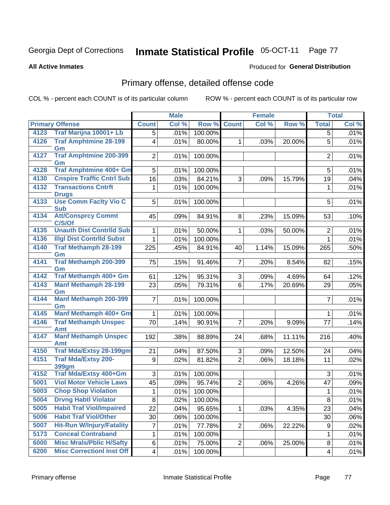**All Active Inmates**

#### Produced for **General Distribution**

### Primary offense, detailed offense code

|      |                                            |                 | <b>Male</b> |         |                  | Female |        |                | <b>Total</b> |
|------|--------------------------------------------|-----------------|-------------|---------|------------------|--------|--------|----------------|--------------|
|      | <b>Primary Offense</b>                     | <b>Count</b>    | Col %       | Row %   | <b>Count</b>     | Col %  | Row %  | <b>Total</b>   | Col %        |
|      | 4123 Traf Marijna 10001+ Lb                | $\overline{5}$  | .01%        | 100.00% |                  |        |        | $\overline{5}$ | .01%         |
| 4126 | <b>Traf Amphtmine 28-199</b><br>Gm         | $\overline{4}$  | .01%        | 80.00%  | 1                | .03%   | 20.00% | 5              | .01%         |
| 4127 | <b>Traf Amphtmine 200-399</b><br>Gm        | 2               | .01%        | 100.00% |                  |        |        | $\overline{2}$ | .01%         |
| 4128 | <b>Traf Amphtmine 400+ Gm</b>              | 5               | .01%        | 100.00% |                  |        |        | 5              | .01%         |
| 4130 | <b>Cnspire Traffic Cntrl Sub</b>           | 16              | .03%        | 84.21%  | 3                | .09%   | 15.79% | 19             | .04%         |
| 4132 | <b>Transactions Cntrft</b><br><b>Drugs</b> | $\mathbf 1$     | .01%        | 100.00% |                  |        |        | 1              | .01%         |
| 4133 | <b>Use Comm Facity Vio C</b><br><b>Sub</b> | 5 <sup>1</sup>  | .01%        | 100.00% |                  |        |        | 5              | .01%         |
| 4134 | <b>Att/Consprcy Commt</b><br>C/S/Of        | 45              | .09%        | 84.91%  | 8                | .23%   | 15.09% | 53             | .10%         |
| 4135 | <b>Unauth Dist Contrild Sub</b>            | 1               | .01%        | 50.00%  | 1                | .03%   | 50.00% | $\overline{2}$ | .01%         |
| 4136 | <b>Illgl Dist Contrild Subst</b>           | $\mathbf{1}$    | .01%        | 100.00% |                  |        |        | $\mathbf{1}$   | .01%         |
| 4140 | <b>Traf Methamph 28-199</b><br>Gm          | 225             | .45%        | 84.91%  | 40               | 1.14%  | 15.09% | 265            | .50%         |
| 4141 | <b>Traf Methamph 200-399</b><br>Gm         | 75              | .15%        | 91.46%  | $\overline{7}$   | .20%   | 8.54%  | 82             | .15%         |
| 4142 | Traf Methamph 400+ Gm                      | 61              | .12%        | 95.31%  | 3                | .09%   | 4.69%  | 64             | .12%         |
| 4143 | <b>Manf Methamph 28-199</b><br>Gm          | 23              | .05%        | 79.31%  | 6                | .17%   | 20.69% | 29             | .05%         |
| 4144 | Manf Methamph 200-399<br>Gm                | 7 <sup>1</sup>  | .01%        | 100.00% |                  |        |        | $\overline{7}$ | .01%         |
| 4145 | <b>Manf Methamph 400+ Gm</b>               | $\mathbf{1}$    | .01%        | 100.00% |                  |        |        | 1              | .01%         |
| 4146 | <b>Traf Methamph Unspec</b><br><b>Amt</b>  | 70              | .14%        | 90.91%  | $\overline{7}$   | .20%   | 9.09%  | 77             | .14%         |
| 4147 | <b>Manf Methamph Unspec</b><br>Amt         | 192             | .38%        | 88.89%  | 24               | .68%   | 11.11% | 216            | .40%         |
| 4150 | <b>Traf Mda/Extsy 28-199gm</b>             | 21              | .04%        | 87.50%  | $\sqrt{3}$       | .09%   | 12.50% | 24             | .04%         |
| 4151 | <b>Traf Mda/Extsy 200-</b><br><b>399gm</b> | 9               | .02%        | 81.82%  | $\overline{2}$   | .06%   | 18.18% | 11             | .02%         |
| 4152 | Traf Mda/Extsy 400+Gm                      | 3 <sup>1</sup>  | .01%        | 100.00% |                  |        |        | 3              | .01%         |
| 5001 | <b>Viol Motor Vehicle Laws</b>             | 45              | .09%        | 95.74%  | $\boldsymbol{2}$ | .06%   | 4.26%  | 47             | .09%         |
| 5003 | <b>Chop Shop Violation</b>                 | $\mathbf{1}$    | .01%        | 100.00% |                  |        |        | 1              | .01%         |
| 5004 | <b>Drvng Habtl Violator</b>                | 8               | .02%        | 100.00% |                  |        |        | $\bf 8$        | .01%         |
| 5005 | <b>Habit Traf Viol/Impaired</b>            | 22              | .04%        | 95.65%  | 1                | .03%   | 4.35%  | 23             | .04%         |
| 5006 | <b>Habit Traf Viol/Other</b>               | 30              | .06%        | 100.00% |                  |        |        | 30             | .06%         |
| 5007 | <b>Hit-Run W/Injury/Fatality</b>           | $\overline{7}$  | .01%        | 77.78%  | $\overline{2}$   | .06%   | 22.22% | 9              | .02%         |
| 5173 | <b>Conceal Contraband</b>                  | 1               | .01%        | 100.00% |                  |        |        | 1              | .01%         |
| 6000 | <b>Misc Mrals/Pblic H/Safty</b>            | 6               | .01%        | 75.00%  | $\overline{2}$   | .06%   | 25.00% | $\bf 8$        | .01%         |
| 6200 | <b>Misc CorrectionI Inst Off</b>           | $\vert 4 \vert$ | .01%        | 100.00% |                  |        |        | $\overline{4}$ | .01%         |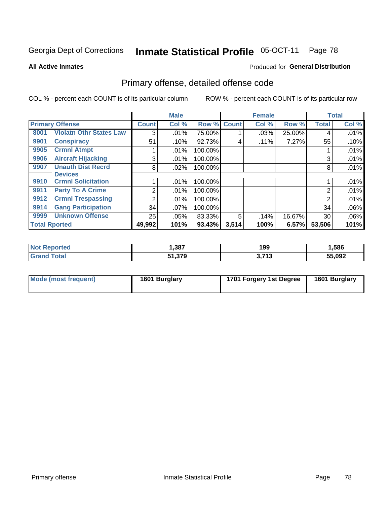**All Active Inmates**

#### Produced for **General Distribution**

### Primary offense, detailed offense code

|                      |                                            |              | <b>Male</b> |         |              | <b>Female</b> |        |                | <b>Total</b> |
|----------------------|--------------------------------------------|--------------|-------------|---------|--------------|---------------|--------|----------------|--------------|
|                      | <b>Primary Offense</b>                     | <b>Count</b> | Col %       | Row %   | <b>Count</b> | Col %         | Row %  | <b>Total</b>   | Col %        |
| 8001                 | <b>Violatn Othr States Law</b>             | 3            | .01%        | 75.00%  |              | .03%          | 25.00% | 4              | .01%         |
| 9901                 | <b>Conspiracy</b>                          | 51           | .10%        | 92.73%  | 4            | .11%          | 7.27%  | 55             | .10%         |
| 9905                 | <b>Crmnl Atmpt</b>                         |              | .01%        | 100.00% |              |               |        |                | .01%         |
| 9906                 | <b>Aircraft Hijacking</b>                  | 3            | .01%        | 100.00% |              |               |        | 3              | .01%         |
| 9907                 | <b>Unauth Dist Recrd</b><br><b>Devices</b> | 8            | .02%        | 100.00% |              |               |        | 8              | .01%         |
| 9910                 | <b>Crmnl Solicitation</b>                  |              | .01%        | 100.00% |              |               |        |                | .01%         |
| 9911                 | <b>Party To A Crime</b>                    | 2            | $.01\%$     | 100.00% |              |               |        | 2              | .01%         |
| 9912                 | <b>Crmnl Trespassing</b>                   | 2            | .01%        | 100.00% |              |               |        | $\overline{2}$ | .01%         |
| 9914                 | <b>Gang Participation</b>                  | 34           | .07%        | 100.00% |              |               |        | 34             | .06%         |
| 9999                 | <b>Unknown Offense</b>                     | 25           | .05%        | 83.33%  | 5            | .14%          | 16.67% | 30             | $.06\%$      |
| <b>Total Rported</b> |                                            | 49,992       | 101%        | 93.43%  | 3,514        | 100%          | 6.57%  | 53,506         | 101%         |

| <b>Not</b><br><b>Reported</b> | ,387   | 199                      | .586   |
|-------------------------------|--------|--------------------------|--------|
| Totai                         | 51,379 | <b>2742</b><br>. .<br>◡. | 55,092 |

| Mode (most frequent) | 1601 Burglary | 1701 Forgery 1st Degree | 1601 Burglary |
|----------------------|---------------|-------------------------|---------------|
|----------------------|---------------|-------------------------|---------------|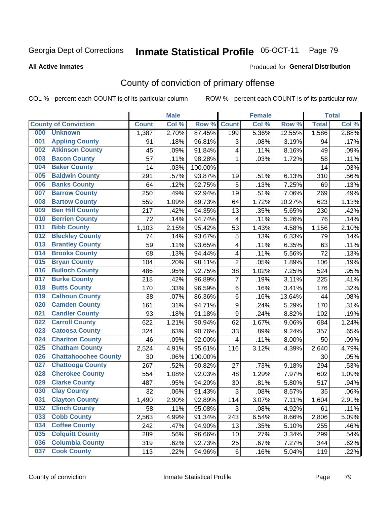**All Active Inmates**

#### Produced for **General Distribution**

### County of conviction of primary offense

|                                    |              | <b>Male</b> |       |         |                  | <b>Female</b> |        | <b>Total</b> |       |  |
|------------------------------------|--------------|-------------|-------|---------|------------------|---------------|--------|--------------|-------|--|
| <b>County of Conviction</b>        | <b>Count</b> |             | Col % | Row %   | <b>Count</b>     | Col %         | Row %  | <b>Total</b> | Col % |  |
| <b>Unknown</b><br>000              | 1,387        |             | 2.70% | 87.45%  | 199              | 5.36%         | 12.55% | 1,586        | 2.88% |  |
| <b>Appling County</b><br>001       |              | 91          | .18%  | 96.81%  | 3                | .08%          | 3.19%  | 94           | .17%  |  |
| <b>Atkinson County</b><br>002      |              | 45          | .09%  | 91.84%  | 4                | .11%          | 8.16%  | 49           | .09%  |  |
| <b>Bacon County</b><br>003         |              | 57          | .11%  | 98.28%  | $\mathbf{1}$     | .03%          | 1.72%  | 58           | .11%  |  |
| <b>Baker County</b><br>004         |              | 14          | .03%  | 100.00% |                  |               |        | 14           | .03%  |  |
| <b>Baldwin County</b><br>005       | 291          |             | .57%  | 93.87%  | 19               | .51%          | 6.13%  | 310          | .56%  |  |
| <b>Banks County</b><br>006         |              | 64          | .12%  | 92.75%  | 5                | .13%          | 7.25%  | 69           | .13%  |  |
| <b>Barrow County</b><br>007        | 250          |             | .49%  | 92.94%  | 19               | .51%          | 7.06%  | 269          | .49%  |  |
| <b>Bartow County</b><br>008        | 559          |             | 1.09% | 89.73%  | 64               | 1.72%         | 10.27% | 623          | 1.13% |  |
| <b>Ben Hill County</b><br>009      | 217          |             | .42%  | 94.35%  | 13               | .35%          | 5.65%  | 230          | .42%  |  |
| <b>Berrien County</b><br>010       |              | 72          | .14%  | 94.74%  | 4                | .11%          | 5.26%  | 76           | .14%  |  |
| <b>Bibb County</b><br>011          | 1,103        |             | 2.15% | 95.42%  | 53               | 1.43%         | 4.58%  | 1,156        | 2.10% |  |
| <b>Bleckley County</b><br>012      |              | 74          | .14%  | 93.67%  | 5                | .13%          | 6.33%  | 79           | .14%  |  |
| <b>Brantley County</b><br>013      |              | 59          | .11%  | 93.65%  | 4                | .11%          | 6.35%  | 63           | .11%  |  |
| <b>Brooks County</b><br>014        |              | 68          | .13%  | 94.44%  | 4                | .11%          | 5.56%  | 72           | .13%  |  |
| 015<br><b>Bryan County</b>         | 104          |             | .20%  | 98.11%  | $\overline{2}$   | .05%          | 1.89%  | 106          | .19%  |  |
| <b>Bulloch County</b><br>016       | 486          |             | .95%  | 92.75%  | 38               | 1.02%         | 7.25%  | 524          | .95%  |  |
| <b>Burke County</b><br>017         | 218          |             | .42%  | 96.89%  | 7                | .19%          | 3.11%  | 225          | .41%  |  |
| <b>Butts County</b><br>018         | 170          |             | .33%  | 96.59%  | 6                | .16%          | 3.41%  | 176          | .32%  |  |
| <b>Calhoun County</b><br>019       |              | 38          | .07%  | 86.36%  | 6                | .16%          | 13.64% | 44           | .08%  |  |
| <b>Camden County</b><br>020        | 161          |             | .31%  | 94.71%  | $\boldsymbol{9}$ | .24%          | 5.29%  | 170          | .31%  |  |
| <b>Candler County</b><br>021       |              | 93          | .18%  | 91.18%  | 9                | .24%          | 8.82%  | 102          | .19%  |  |
| <b>Carroll County</b><br>022       | 622          |             | 1.21% | 90.94%  | 62               | 1.67%         | 9.06%  | 684          | 1.24% |  |
| <b>Catoosa County</b><br>023       | 324          |             | .63%  | 90.76%  | 33               | .89%          | 9.24%  | 357          | .65%  |  |
| <b>Charlton County</b><br>024      |              | 46          | .09%  | 92.00%  | 4                | .11%          | 8.00%  | 50           | .09%  |  |
| 025<br><b>Chatham County</b>       | 2,524        |             | 4.91% | 95.61%  | 116              | 3.12%         | 4.39%  | 2,640        | 4.79% |  |
| <b>Chattahoochee County</b><br>026 |              | 30          | .06%  | 100.00% |                  |               |        | 30           | .05%  |  |
| <b>Chattooga County</b><br>027     | 267          |             | .52%  | 90.82%  | 27               | .73%          | 9.18%  | 294          | .53%  |  |
| <b>Cherokee County</b><br>028      | 554          |             | 1.08% | 92.03%  | 48               | 1.29%         | 7.97%  | 602          | 1.09% |  |
| <b>Clarke County</b><br>029        | 487          |             | .95%  | 94.20%  | 30               | .81%          | 5.80%  | 517          | .94%  |  |
| <b>Clay County</b><br>030          |              | 32          | .06%  | 91.43%  | 3                | .08%          | 8.57%  | 35           | .06%  |  |
| 031<br><b>Clayton County</b>       | 1,490        |             | 2.90% | 92.89%  | 114              | 3.07%         | 7.11%  | 1,604        | 2.91% |  |
| <b>Clinch County</b><br>032        |              | 58          | .11%  | 95.08%  | 3                | .08%          | 4.92%  | 61           | .11%  |  |
| <b>Cobb County</b><br>033          | 2,563        |             | 4.99% | 91.34%  | 243              | 6.54%         | 8.66%  | 2,806        | 5.09% |  |
| <b>Coffee County</b><br>034        | 242          |             | .47%  | 94.90%  | 13               | .35%          | 5.10%  | 255          | .46%  |  |
| <b>Colquitt County</b><br>035      | 289          |             | .56%  | 96.66%  | 10               | .27%          | 3.34%  | 299          | .54%  |  |
| <b>Columbia County</b><br>036      | 319          |             | .62%  | 92.73%  | 25               | .67%          | 7.27%  | 344          | .62%  |  |
| <b>Cook County</b><br>037          | 113          |             | .22%  | 94.96%  | 6                | .16%          | 5.04%  | 119          | .22%  |  |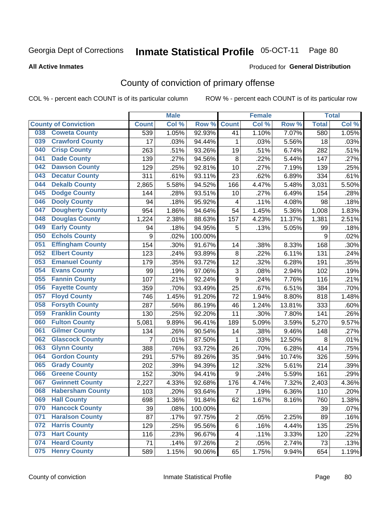**All Active Inmates**

#### Produced for **General Distribution**

### County of conviction of primary offense

|     |                             |                | <b>Male</b> |         |                           | <b>Female</b> |        |              | <b>Total</b> |
|-----|-----------------------------|----------------|-------------|---------|---------------------------|---------------|--------|--------------|--------------|
|     | <b>County of Conviction</b> | <b>Count</b>   | Col %       | Row %   | <b>Count</b>              | Col %         | Row %  | <b>Total</b> | Col %        |
| 038 | <b>Coweta County</b>        | 539            | 1.05%       | 92.93%  | 41                        | 1.10%         | 7.07%  | 580          | 1.05%        |
| 039 | <b>Crawford County</b>      | 17             | .03%        | 94.44%  | 1                         | .03%          | 5.56%  | 18           | .03%         |
| 040 | <b>Crisp County</b>         | 263            | .51%        | 93.26%  | 19                        | .51%          | 6.74%  | 282          | .51%         |
| 041 | <b>Dade County</b>          | 139            | .27%        | 94.56%  | 8                         | .22%          | 5.44%  | 147          | .27%         |
| 042 | <b>Dawson County</b>        | 129            | .25%        | 92.81%  | 10                        | .27%          | 7.19%  | 139          | .25%         |
| 043 | <b>Decatur County</b>       | 311            | .61%        | 93.11%  | 23                        | .62%          | 6.89%  | 334          | .61%         |
| 044 | <b>Dekalb County</b>        | 2,865          | 5.58%       | 94.52%  | 166                       | 4.47%         | 5.48%  | 3,031        | 5.50%        |
| 045 | <b>Dodge County</b>         | 144            | .28%        | 93.51%  | 10                        | .27%          | 6.49%  | 154          | .28%         |
| 046 | <b>Dooly County</b>         | 94             | .18%        | 95.92%  | 4                         | .11%          | 4.08%  | 98           | .18%         |
| 047 | <b>Dougherty County</b>     | 954            | 1.86%       | 94.64%  | 54                        | 1.45%         | 5.36%  | 1,008        | 1.83%        |
| 048 | <b>Douglas County</b>       | 1,224          | 2.38%       | 88.63%  | 157                       | 4.23%         | 11.37% | 1,381        | 2.51%        |
| 049 | <b>Early County</b>         | 94             | .18%        | 94.95%  | 5                         | .13%          | 5.05%  | 99           | .18%         |
| 050 | <b>Echols County</b>        | 9              | .02%        | 100.00% |                           |               |        | 9            | .02%         |
| 051 | <b>Effingham County</b>     | 154            | .30%        | 91.67%  | 14                        | .38%          | 8.33%  | 168          | .30%         |
| 052 | <b>Elbert County</b>        | 123            | .24%        | 93.89%  | 8                         | .22%          | 6.11%  | 131          | .24%         |
| 053 | <b>Emanuel County</b>       | 179            | .35%        | 93.72%  | 12                        | .32%          | 6.28%  | 191          | .35%         |
| 054 | <b>Evans County</b>         | 99             | .19%        | 97.06%  | $\ensuremath{\mathsf{3}}$ | .08%          | 2.94%  | 102          | .19%         |
| 055 | <b>Fannin County</b>        | 107            | .21%        | 92.24%  | $\boldsymbol{9}$          | .24%          | 7.76%  | 116          | .21%         |
| 056 | <b>Fayette County</b>       | 359            | .70%        | 93.49%  | 25                        | .67%          | 6.51%  | 384          | .70%         |
| 057 | <b>Floyd County</b>         | 746            | 1.45%       | 91.20%  | 72                        | 1.94%         | 8.80%  | 818          | 1.48%        |
| 058 | <b>Forsyth County</b>       | 287            | .56%        | 86.19%  | 46                        | 1.24%         | 13.81% | 333          | .60%         |
| 059 | <b>Franklin County</b>      | 130            | .25%        | 92.20%  | 11                        | .30%          | 7.80%  | 141          | .26%         |
| 060 | <b>Fulton County</b>        | 5,081          | 9.89%       | 96.41%  | 189                       | 5.09%         | 3.59%  | 5,270        | 9.57%        |
| 061 | <b>Gilmer County</b>        | 134            | .26%        | 90.54%  | 14                        | .38%          | 9.46%  | 148          | .27%         |
| 062 | <b>Glascock County</b>      | $\overline{7}$ | .01%        | 87.50%  | $\mathbf 1$               | .03%          | 12.50% | 8            | .01%         |
| 063 | <b>Glynn County</b>         | 388            | .76%        | 93.72%  | 26                        | .70%          | 6.28%  | 414          | .75%         |
| 064 | <b>Gordon County</b>        | 291            | .57%        | 89.26%  | 35                        | .94%          | 10.74% | 326          | .59%         |
| 065 | <b>Grady County</b>         | 202            | .39%        | 94.39%  | 12                        | .32%          | 5.61%  | 214          | .39%         |
| 066 | <b>Greene County</b>        | 152            | .30%        | 94.41%  | 9                         | .24%          | 5.59%  | 161          | .29%         |
| 067 | <b>Gwinnett County</b>      | 2,227          | 4.33%       | 92.68%  | 176                       | 4.74%         | 7.32%  | 2,403        | 4.36%        |
| 068 | <b>Habersham County</b>     | 103            | .20%        | 93.64%  | 7                         | .19%          | 6.36%  | 110          | .20%         |
| 069 | <b>Hall County</b>          | 698            | 1.36%       | 91.84%  | 62                        | 1.67%         | 8.16%  | 760          | 1.38%        |
| 070 | <b>Hancock County</b>       | 39             | .08%        | 100.00% |                           |               |        | 39           | .07%         |
| 071 | <b>Haralson County</b>      | 87             | .17%        | 97.75%  | $\overline{c}$            | .05%          | 2.25%  | 89           | .16%         |
| 072 | <b>Harris County</b>        | 129            | .25%        | 95.56%  | 6                         | .16%          | 4.44%  | 135          | .25%         |
| 073 | <b>Hart County</b>          | 116            | .23%        | 96.67%  | 4                         | .11%          | 3.33%  | 120          | .22%         |
| 074 | <b>Heard County</b>         | 71             | .14%        | 97.26%  | $\overline{2}$            | .05%          | 2.74%  | 73           | .13%         |
| 075 | <b>Henry County</b>         | 589            | 1.15%       | 90.06%  | 65                        | 1.75%         | 9.94%  | 654          | 1.19%        |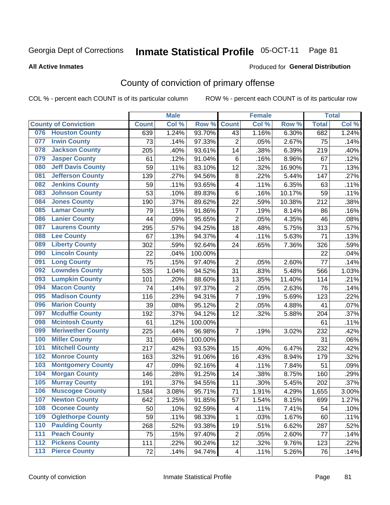Produced for **General Distribution**

#### **All Active Inmates**

### County of conviction of primary offense

|     |                             |              | <b>Male</b> |         | <b>Female</b>           |       |        | <b>Total</b> |       |  |
|-----|-----------------------------|--------------|-------------|---------|-------------------------|-------|--------|--------------|-------|--|
|     | <b>County of Conviction</b> | <b>Count</b> | Col %       | Row %   | <b>Count</b>            | Col % | Row %  | <b>Total</b> | Col % |  |
| 076 | <b>Houston County</b>       | 639          | 1.24%       | 93.70%  | 43                      | 1.16% | 6.30%  | 682          | 1.24% |  |
| 077 | <b>Irwin County</b>         | 73           | .14%        | 97.33%  | $\overline{2}$          | .05%  | 2.67%  | 75           | .14%  |  |
| 078 | <b>Jackson County</b>       | 205          | .40%        | 93.61%  | 14                      | .38%  | 6.39%  | 219          | .40%  |  |
| 079 | <b>Jasper County</b>        | 61           | .12%        | 91.04%  | 6                       | .16%  | 8.96%  | 67           | .12%  |  |
| 080 | <b>Jeff Davis County</b>    | 59           | .11%        | 83.10%  | 12                      | .32%  | 16.90% | 71           | .13%  |  |
| 081 | <b>Jefferson County</b>     | 139          | .27%        | 94.56%  | 8                       | .22%  | 5.44%  | 147          | .27%  |  |
| 082 | <b>Jenkins County</b>       | 59           | .11%        | 93.65%  | 4                       | .11%  | 6.35%  | 63           | .11%  |  |
| 083 | <b>Johnson County</b>       | 53           | .10%        | 89.83%  | 6                       | .16%  | 10.17% | 59           | .11%  |  |
| 084 | <b>Jones County</b>         | 190          | .37%        | 89.62%  | 22                      | .59%  | 10.38% | 212          | .38%  |  |
| 085 | <b>Lamar County</b>         | 79           | .15%        | 91.86%  | $\overline{7}$          | .19%  | 8.14%  | 86           | .16%  |  |
| 086 | <b>Lanier County</b>        | 44           | .09%        | 95.65%  | $\overline{2}$          | .05%  | 4.35%  | 46           | .08%  |  |
| 087 | <b>Laurens County</b>       | 295          | .57%        | 94.25%  | 18                      | .48%  | 5.75%  | 313          | .57%  |  |
| 088 | <b>Lee County</b>           | 67           | .13%        | 94.37%  | 4                       | .11%  | 5.63%  | 71           | .13%  |  |
| 089 | <b>Liberty County</b>       | 302          | .59%        | 92.64%  | 24                      | .65%  | 7.36%  | 326          | .59%  |  |
| 090 | <b>Lincoln County</b>       | 22           | .04%        | 100.00% |                         |       |        | 22           | .04%  |  |
| 091 | <b>Long County</b>          | 75           | .15%        | 97.40%  | $\overline{2}$          | .05%  | 2.60%  | 77           | .14%  |  |
| 092 | <b>Lowndes County</b>       | 535          | 1.04%       | 94.52%  | 31                      | .83%  | 5.48%  | 566          | 1.03% |  |
| 093 | <b>Lumpkin County</b>       | 101          | .20%        | 88.60%  | 13                      | .35%  | 11.40% | 114          | .21%  |  |
| 094 | <b>Macon County</b>         | 74           | .14%        | 97.37%  | $\overline{2}$          | .05%  | 2.63%  | 76           | .14%  |  |
| 095 | <b>Madison County</b>       | 116          | .23%        | 94.31%  | 7                       | .19%  | 5.69%  | 123          | .22%  |  |
| 096 | <b>Marion County</b>        | 39           | .08%        | 95.12%  | $\overline{2}$          | .05%  | 4.88%  | 41           | .07%  |  |
| 097 | <b>Mcduffie County</b>      | 192          | .37%        | 94.12%  | 12                      | .32%  | 5.88%  | 204          | .37%  |  |
| 098 | <b>Mcintosh County</b>      | 61           | .12%        | 100.00% |                         |       |        | 61           | .11%  |  |
| 099 | <b>Meriwether County</b>    | 225          | .44%        | 96.98%  | $\overline{7}$          | .19%  | 3.02%  | 232          | .42%  |  |
| 100 | <b>Miller County</b>        | 31           | .06%        | 100.00% |                         |       |        | 31           | .06%  |  |
| 101 | <b>Mitchell County</b>      | 217          | .42%        | 93.53%  | 15                      | .40%  | 6.47%  | 232          | .42%  |  |
| 102 | <b>Monroe County</b>        | 163          | .32%        | 91.06%  | 16                      | .43%  | 8.94%  | 179          | .32%  |  |
| 103 | <b>Montgomery County</b>    | 47           | .09%        | 92.16%  | $\overline{\mathbf{4}}$ | .11%  | 7.84%  | 51           | .09%  |  |
| 104 | <b>Morgan County</b>        | 146          | .28%        | 91.25%  | 14                      | .38%  | 8.75%  | 160          | .29%  |  |
| 105 | <b>Murray County</b>        | 191          | .37%        | 94.55%  | 11                      | .30%  | 5.45%  | 202          | .37%  |  |
| 106 | <b>Muscogee County</b>      | 1,584        | 3.08%       | 95.71%  | 71                      | 1.91% | 4.29%  | 1,655        | 3.00% |  |
| 107 | <b>Newton County</b>        | 642          | 1.25%       | 91.85%  | 57                      | 1.54% | 8.15%  | 699          | 1.27% |  |
| 108 | <b>Oconee County</b>        | 50           | .10%        | 92.59%  | 4                       | .11%  | 7.41%  | 54           | .10%  |  |
| 109 | <b>Oglethorpe County</b>    | 59           | .11%        | 98.33%  | 1                       | .03%  | 1.67%  | 60           | .11%  |  |
| 110 | <b>Paulding County</b>      | 268          | .52%        | 93.38%  | 19                      | .51%  | 6.62%  | 287          | .52%  |  |
| 111 | <b>Peach County</b>         | 75           | .15%        | 97.40%  | $\overline{2}$          | .05%  | 2.60%  | 77           | .14%  |  |
| 112 | <b>Pickens County</b>       | 111          | .22%        | 90.24%  | 12                      | .32%  | 9.76%  | 123          | .22%  |  |
| 113 | <b>Pierce County</b>        | 72           | .14%        | 94.74%  | 4                       | .11%  | 5.26%  | 76           | .14%  |  |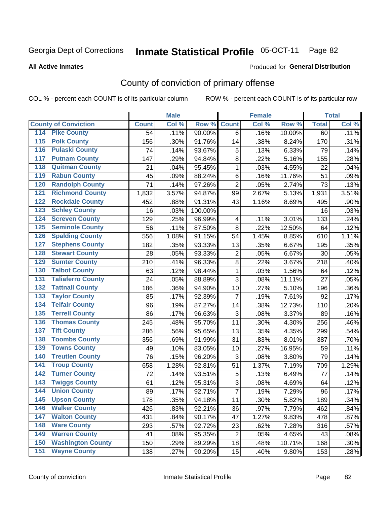**All Active Inmates**

#### Produced for **General Distribution**

### County of conviction of primary offense

|                                        |              | <b>Male</b> |         |                | <b>Female</b> |        |              | <b>Total</b> |
|----------------------------------------|--------------|-------------|---------|----------------|---------------|--------|--------------|--------------|
| <b>County of Conviction</b>            | <b>Count</b> | Col %       | Row %   | <b>Count</b>   | Col %         | Row %  | <b>Total</b> | Col %        |
| <b>Pike County</b><br>114              | 54           | .11%        | 90.00%  | 6              | .16%          | 10.00% | 60           | .11%         |
| <b>Polk County</b><br>$\overline{115}$ | 156          | .30%        | 91.76%  | 14             | .38%          | 8.24%  | 170          | .31%         |
| <b>Pulaski County</b><br>116           | 74           | .14%        | 93.67%  | $\mathbf 5$    | .13%          | 6.33%  | 79           | .14%         |
| <b>Putnam County</b><br>117            | 147          | .29%        | 94.84%  | 8              | .22%          | 5.16%  | 155          | .28%         |
| 118<br><b>Quitman County</b>           | 21           | .04%        | 95.45%  | $\mathbf{1}$   | .03%          | 4.55%  | 22           | .04%         |
| <b>Rabun County</b><br>119             | 45           | .09%        | 88.24%  | 6              | .16%          | 11.76% | 51           | .09%         |
| <b>Randolph County</b><br>120          | 71           | .14%        | 97.26%  | $\overline{2}$ | .05%          | 2.74%  | 73           | .13%         |
| <b>Richmond County</b><br>121          | 1,832        | 3.57%       | 94.87%  | 99             | 2.67%         | 5.13%  | 1,931        | 3.51%        |
| <b>Rockdale County</b><br>122          | 452          | .88%        | 91.31%  | 43             | 1.16%         | 8.69%  | 495          | .90%         |
| <b>Schley County</b><br>123            | 16           | .03%        | 100.00% |                |               |        | 16           | .03%         |
| <b>Screven County</b><br>124           | 129          | .25%        | 96.99%  | 4              | .11%          | 3.01%  | 133          | .24%         |
| <b>Seminole County</b><br>125          | 56           | .11%        | 87.50%  | 8              | .22%          | 12.50% | 64           | .12%         |
| 126<br><b>Spalding County</b>          | 556          | 1.08%       | 91.15%  | 54             | 1.45%         | 8.85%  | 610          | 1.11%        |
| 127<br><b>Stephens County</b>          | 182          | .35%        | 93.33%  | 13             | .35%          | 6.67%  | 195          | .35%         |
| <b>Stewart County</b><br>128           | 28           | .05%        | 93.33%  | $\overline{2}$ | .05%          | 6.67%  | 30           | .05%         |
| <b>Sumter County</b><br>129            | 210          | .41%        | 96.33%  | $\,8\,$        | .22%          | 3.67%  | 218          | .40%         |
| <b>Talbot County</b><br>130            | 63           | .12%        | 98.44%  | $\mathbf{1}$   | .03%          | 1.56%  | 64           | .12%         |
| <b>Taliaferro County</b><br>131        | 24           | .05%        | 88.89%  | 3              | .08%          | 11.11% | 27           | .05%         |
| <b>Tattnall County</b><br>132          | 186          | .36%        | 94.90%  | 10             | .27%          | 5.10%  | 196          | .36%         |
| <b>Taylor County</b><br>133            | 85           | .17%        | 92.39%  | $\overline{7}$ | .19%          | 7.61%  | 92           | .17%         |
| <b>Telfair County</b><br>134           | 96           | .19%        | 87.27%  | 14             | .38%          | 12.73% | 110          | .20%         |
| <b>Terrell County</b><br>135           | 86           | .17%        | 96.63%  | 3              | .08%          | 3.37%  | 89           | .16%         |
| <b>Thomas County</b><br>136            | 245          | .48%        | 95.70%  | 11             | .30%          | 4.30%  | 256          | .46%         |
| <b>Tift County</b><br>137              | 286          | .56%        | 95.65%  | 13             | .35%          | 4.35%  | 299          | .54%         |
| <b>Toombs County</b><br>138            | 356          | .69%        | 91.99%  | 31             | .83%          | 8.01%  | 387          | .70%         |
| <b>Towns County</b><br>139             | 49           | .10%        | 83.05%  | 10             | .27%          | 16.95% | 59           | .11%         |
| <b>Treutlen County</b><br>140          | 76           | .15%        | 96.20%  | 3              | .08%          | 3.80%  | 79           | .14%         |
| <b>Troup County</b><br>141             | 658          | 1.28%       | 92.81%  | 51             | 1.37%         | 7.19%  | 709          | 1.29%        |
| <b>Turner County</b><br>142            | 72           | .14%        | 93.51%  | 5              | .13%          | 6.49%  | 77           | .14%         |
| <b>Twiggs County</b><br>143            | 61           | .12%        | 95.31%  | $\mathsf 3$    | .08%          | 4.69%  | 64           | .12%         |
| <b>Union County</b><br>144             | 89           | .17%        | 92.71%  | $\overline{7}$ | .19%          | 7.29%  | 96           | .17%         |
| 145<br><b>Upson County</b>             | 178          | .35%        | 94.18%  | 11             | .30%          | 5.82%  | 189          | .34%         |
| <b>Walker County</b><br>146            | 426          | .83%        | 92.21%  | 36             | .97%          | 7.79%  | 462          | .84%         |
| <b>Walton County</b><br>147            | 431          | .84%        | 90.17%  | 47             | 1.27%         | 9.83%  | 478          | .87%         |
| <b>Ware County</b><br>148              | 293          | .57%        | 92.72%  | 23             | .62%          | 7.28%  | 316          | .57%         |
| <b>Warren County</b><br>149            | 41           | .08%        | 95.35%  | $\overline{2}$ | .05%          | 4.65%  | 43           | .08%         |
| <b>Washington County</b><br>150        | 150          | .29%        | 89.29%  | 18             | .48%          | 10.71% | 168          | .30%         |
| <b>Wayne County</b><br>151             | 138          | .27%        | 90.20%  | 15             | .40%          | 9.80%  | 153          | .28%         |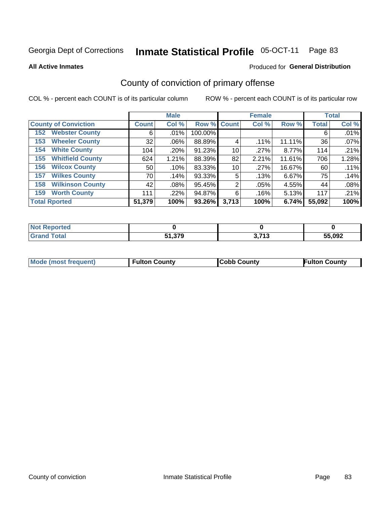**All Active Inmates**

### Produced for **General Distribution**

### County of conviction of primary offense

|                                |              | <b>Male</b> |             |       | <b>Female</b> |        |              | <b>Total</b> |
|--------------------------------|--------------|-------------|-------------|-------|---------------|--------|--------------|--------------|
| <b>County of Conviction</b>    | <b>Count</b> | Col %       | Row % Count |       | Col %         | Row %  | <b>Total</b> | Col %        |
| <b>Webster County</b><br>152   | 6            | .01%        | 100.00%     |       |               |        | 6            | .01%         |
| <b>Wheeler County</b><br>153   | 32           | $.06\%$     | 88.89%      | 4     | .11%          | 11.11% | 36           | .07%         |
| <b>White County</b><br>154     | 104          | .20%        | 91.23%      | 10    | .27%          | 8.77%  | 114          | .21%         |
| <b>Whitfield County</b><br>155 | 624          | 1.21%       | 88.39%      | 82    | 2.21%         | 11.61% | 706          | 1.28%        |
| <b>Wilcox County</b><br>156    | 50           | .10%        | 83.33%      | 10    | .27%          | 16.67% | 60           | .11%         |
| <b>Wilkes County</b><br>157    | 70           | .14%        | 93.33%      | 5     | .13%          | 6.67%  | 75           | .14%         |
| <b>Wilkinson County</b><br>158 | 42           | $.08\%$     | 95.45%      | 2     | .05%          | 4.55%  | 44           | .08%         |
| <b>Worth County</b><br>159     | 111          | $.22\%$     | 94.87%      | 6     | .16%          | 5.13%  | 117          | .21%         |
| <b>Total Rported</b>           | 51,379       | 100%        | 93.26%      | 3,713 | 100%          | 6.74%  | 55,092       | 100%         |

| <b>Not Reported</b> |        |                      |        |
|---------------------|--------|----------------------|--------|
| <b>Grand Total</b>  | 51,379 | 2742<br><b>J.IIJ</b> | 55,092 |

| Mode (most frequent) | <b>Fulton County</b> | <b>Cobb County</b> | <b>Fulton County</b> |
|----------------------|----------------------|--------------------|----------------------|
|                      |                      |                    |                      |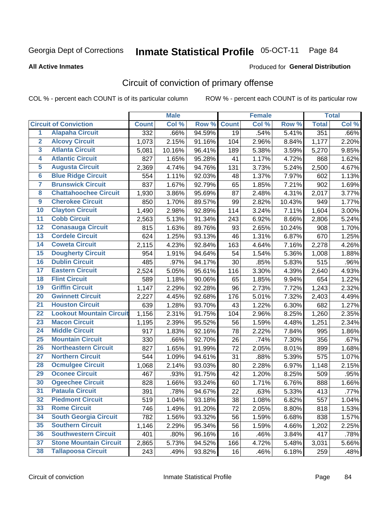Produced for **General Distribution**

#### **All Active Inmates**

### Circuit of conviction of primary offense

|                         |                                 |              | <b>Male</b> |        |              | <b>Female</b> |        |              | <b>Total</b> |
|-------------------------|---------------------------------|--------------|-------------|--------|--------------|---------------|--------|--------------|--------------|
|                         | <b>Circuit of Conviction</b>    | <b>Count</b> | Col %       | Row %  | <b>Count</b> | Col %         | Row %  | <b>Total</b> | Col %        |
| 1                       | <b>Alapaha Circuit</b>          | 332          | .66%        | 94.59% | 19           | .54%          | 5.41%  | 351          | $.66\%$      |
| $\overline{2}$          | <b>Alcovy Circuit</b>           | 1,073        | 2.15%       | 91.16% | 104          | 2.96%         | 8.84%  | 1,177        | 2.20%        |
| $\overline{\mathbf{3}}$ | <b>Atlanta Circuit</b>          | 5,081        | 10.16%      | 96.41% | 189          | 5.38%         | 3.59%  | 5,270        | 9.85%        |
| 4                       | <b>Atlantic Circuit</b>         | 827          | 1.65%       | 95.28% | 41           | 1.17%         | 4.72%  | 868          | 1.62%        |
| 5                       | <b>Augusta Circuit</b>          | 2,369        | 4.74%       | 94.76% | 131          | 3.73%         | 5.24%  | 2,500        | 4.67%        |
| $\overline{\mathbf{6}}$ | <b>Blue Ridge Circuit</b>       | 554          | 1.11%       | 92.03% | 48           | 1.37%         | 7.97%  | 602          | 1.13%        |
| $\overline{\mathbf{7}}$ | <b>Brunswick Circuit</b>        | 837          | 1.67%       | 92.79% | 65           | 1.85%         | 7.21%  | 902          | 1.69%        |
| 8                       | <b>Chattahoochee Circuit</b>    | 1,930        | 3.86%       | 95.69% | 87           | 2.48%         | 4.31%  | 2,017        | 3.77%        |
| $\overline{9}$          | <b>Cherokee Circuit</b>         | 850          | 1.70%       | 89.57% | 99           | 2.82%         | 10.43% | 949          | 1.77%        |
| 10                      | <b>Clayton Circuit</b>          | 1,490        | 2.98%       | 92.89% | 114          | 3.24%         | 7.11%  | 1,604        | 3.00%        |
| $\overline{11}$         | <b>Cobb Circuit</b>             | 2,563        | 5.13%       | 91.34% | 243          | 6.92%         | 8.66%  | 2,806        | 5.24%        |
| $\overline{12}$         | <b>Conasauga Circuit</b>        | 815          | 1.63%       | 89.76% | 93           | 2.65%         | 10.24% | 908          | 1.70%        |
| 13                      | <b>Cordele Circuit</b>          | 624          | 1.25%       | 93.13% | 46           | 1.31%         | 6.87%  | 670          | 1.25%        |
| 14                      | <b>Coweta Circuit</b>           | 2,115        | 4.23%       | 92.84% | 163          | 4.64%         | 7.16%  | 2,278        | 4.26%        |
| 15                      | <b>Dougherty Circuit</b>        | 954          | 1.91%       | 94.64% | 54           | 1.54%         | 5.36%  | 1,008        | 1.88%        |
| 16                      | <b>Dublin Circuit</b>           | 485          | .97%        | 94.17% | 30           | .85%          | 5.83%  | 515          | .96%         |
| 17                      | <b>Eastern Circuit</b>          | 2,524        | 5.05%       | 95.61% | 116          | 3.30%         | 4.39%  | 2,640        | 4.93%        |
| 18                      | <b>Flint Circuit</b>            | 589          | 1.18%       | 90.06% | 65           | 1.85%         | 9.94%  | 654          | 1.22%        |
| 19                      | <b>Griffin Circuit</b>          | 1,147        | 2.29%       | 92.28% | 96           | 2.73%         | 7.72%  | 1,243        | 2.32%        |
| 20                      | <b>Gwinnett Circuit</b>         | 2,227        | 4.45%       | 92.68% | 176          | 5.01%         | 7.32%  | 2,403        | 4.49%        |
| $\overline{21}$         | <b>Houston Circuit</b>          | 639          | 1.28%       | 93.70% | 43           | 1.22%         | 6.30%  | 682          | 1.27%        |
| $\overline{22}$         | <b>Lookout Mountain Circuit</b> | 1,156        | 2.31%       | 91.75% | 104          | 2.96%         | 8.25%  | 1,260        | 2.35%        |
| 23                      | <b>Macon Circuit</b>            | 1,195        | 2.39%       | 95.52% | 56           | 1.59%         | 4.48%  | 1,251        | 2.34%        |
| $\overline{24}$         | <b>Middle Circuit</b>           | 917          | 1.83%       | 92.16% | 78           | 2.22%         | 7.84%  | 995          | 1.86%        |
| 25                      | <b>Mountain Circuit</b>         | 330          | .66%        | 92.70% | 26           | .74%          | 7.30%  | 356          | .67%         |
| 26                      | <b>Northeastern Circuit</b>     | 827          | 1.65%       | 91.99% | 72           | 2.05%         | 8.01%  | 899          | 1.68%        |
| $\overline{27}$         | <b>Northern Circuit</b>         | 544          | 1.09%       | 94.61% | 31           | .88%          | 5.39%  | 575          | 1.07%        |
| 28                      | <b>Ocmulgee Circuit</b>         | 1,068        | 2.14%       | 93.03% | 80           | 2.28%         | 6.97%  | 1,148        | 2.15%        |
| 29                      | <b>Oconee Circuit</b>           | 467          | .93%        | 91.75% | 42           | 1.20%         | 8.25%  | 509          | .95%         |
| 30                      | <b>Ogeechee Circuit</b>         | 828          | 1.66%       | 93.24% | 60           | 1.71%         | 6.76%  | 888          | 1.66%        |
| $\overline{31}$         | <b>Pataula Circuit</b>          | 391          | .78%        | 94.67% | 22           | .63%          | 5.33%  | 413          | .77%         |
| 32                      | <b>Piedmont Circuit</b>         | 519          | 1.04%       | 93.18% | 38           | 1.08%         | 6.82%  | 557          | 1.04%        |
| 33                      | <b>Rome Circuit</b>             | 746          | 1.49%       | 91.20% | 72           | 2.05%         | 8.80%  | 818          | 1.53%        |
| 34                      | <b>South Georgia Circuit</b>    | 782          | 1.56%       | 93.32% | 56           | 1.59%         | 6.68%  | 838          | 1.57%        |
| 35                      | <b>Southern Circuit</b>         | 1,146        | 2.29%       | 95.34% | 56           | 1.59%         | 4.66%  | 1,202        | 2.25%        |
| 36                      | <b>Southwestern Circuit</b>     | 401          | .80%        | 96.16% | 16           | .46%          | 3.84%  | 417          | .78%         |
| 37                      | <b>Stone Mountain Circuit</b>   | 2,865        | 5.73%       | 94.52% | 166          | 4.72%         | 5.48%  | 3,031        | 5.66%        |
| 38                      | <b>Tallapoosa Circuit</b>       | 243          | .49%        | 93.82% | 16           | .46%          | 6.18%  | 259          | .48%         |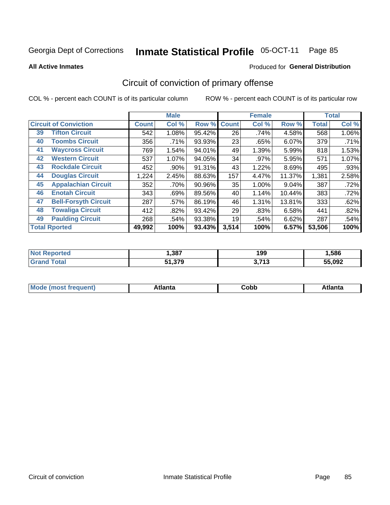Produced for **General Distribution**

#### **All Active Inmates**

### Circuit of conviction of primary offense

|                                   |              | <b>Male</b> |        |              | <b>Female</b> |        |              | <b>Total</b> |
|-----------------------------------|--------------|-------------|--------|--------------|---------------|--------|--------------|--------------|
| <b>Circuit of Conviction</b>      | <b>Count</b> | Col %       | Row %  | <b>Count</b> | Col %         | Row %  | <b>Total</b> | Col %        |
| <b>Tifton Circuit</b><br>39       | 542          | 1.08%       | 95.42% | 26           | .74%          | 4.58%  | 568          | 1.06%        |
| <b>Toombs Circuit</b><br>40       | 356          | .71%        | 93.93% | 23           | .65%          | 6.07%  | 379          | .71%         |
| <b>Waycross Circuit</b><br>41     | 769          | 1.54%       | 94.01% | 49           | 1.39%         | 5.99%  | 818          | 1.53%        |
| <b>Western Circuit</b><br>42      | 537          | 1.07%       | 94.05% | 34           | .97%          | 5.95%  | 571          | 1.07%        |
| <b>Rockdale Circuit</b><br>43     | 452          | .90%        | 91.31% | 43           | 1.22%         | 8.69%  | 495          | .93%         |
| <b>Douglas Circuit</b><br>44      | 1,224        | 2.45%       | 88.63% | 157          | 4.47%         | 11.37% | 1,381        | 2.58%        |
| <b>Appalachian Circuit</b><br>45  | 352          | .70%        | 90.96% | 35           | 1.00%         | 9.04%  | 387          | .72%         |
| <b>Enotah Circuit</b><br>46       | 343          | .69%        | 89.56% | 40           | 1.14%         | 10.44% | 383          | .72%         |
| 47<br><b>Bell-Forsyth Circuit</b> | 287          | .57%        | 86.19% | 46           | 1.31%         | 13.81% | 333          | .62%         |
| <b>Towaliga Circuit</b><br>48     | 412          | .82%        | 93.42% | 29           | .83%          | 6.58%  | 441          | .82%         |
| <b>Paulding Circuit</b><br>49     | 268          | .54%        | 93.38% | 19           | .54%          | 6.62%  | 287          | .54%         |
| <b>Total Rported</b>              | 49,992       | 100%        | 93.43% | 3,514        | 100%          | 6.57%  | 53,506       | 100%         |

| .387                          | 199                   | ,586   |
|-------------------------------|-----------------------|--------|
| <b>270</b><br>E4.<br>- 71,975 | 0.740<br>. I J<br>v., | 55,092 |

| M<br>- - -<br>.<br>.<br>⊂opp<br>нс |
|------------------------------------|
|------------------------------------|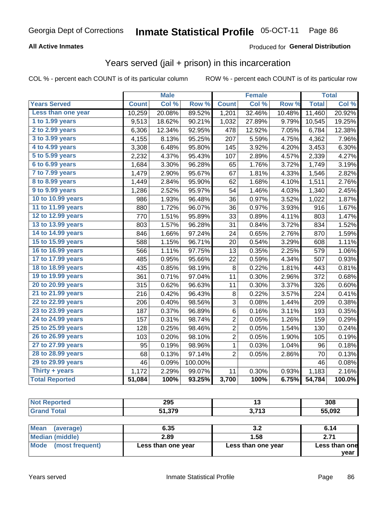### **All Active Inmates**

### Produced for **General Distribution**

### Years served (jail + prison) in this incarceration

|                       |              | <b>Male</b> |                  |                | <b>Female</b> |        |              | <b>Total</b> |
|-----------------------|--------------|-------------|------------------|----------------|---------------|--------|--------------|--------------|
| <b>Years Served</b>   | <b>Count</b> | Col %       | Row <sup>%</sup> | <b>Count</b>   | Col %         | Row %  | <b>Total</b> | Col %        |
| Less than one year    | 10,259       | 20.08%      | 89.52%           | 1,201          | 32.46%        | 10.48% | 11,460       | 20.92%       |
| 1 to 1.99 years       | 9,513        | 18.62%      | 90.21%           | 1,032          | 27.89%        | 9.79%  | 10,545       | 19.25%       |
| 2 to 2.99 years       | 6,306        | 12.34%      | 92.95%           | 478            | 12.92%        | 7.05%  | 6,784        | 12.38%       |
| 3 to 3.99 years       | 4,155        | 8.13%       | 95.25%           | 207            | 5.59%         | 4.75%  | 4,362        | 7.96%        |
| 4 to 4.99 years       | 3,308        | 6.48%       | 95.80%           | 145            | 3.92%         | 4.20%  | 3,453        | 6.30%        |
| 5 to 5.99 years       | 2,232        | 4.37%       | 95.43%           | 107            | 2.89%         | 4.57%  | 2,339        | 4.27%        |
| $6$ to $6.99$ years   | 1,684        | 3.30%       | 96.28%           | 65             | 1.76%         | 3.72%  | 1,749        | 3.19%        |
| 7 to 7.99 years       | 1,479        | 2.90%       | 95.67%           | 67             | 1.81%         | 4.33%  | 1,546        | 2.82%        |
| 8 to 8.99 years       | 1,449        | 2.84%       | 95.90%           | 62             | 1.68%         | 4.10%  | 1,511        | 2.76%        |
| 9 to 9.99 years       | 1,286        | 2.52%       | 95.97%           | 54             | 1.46%         | 4.03%  | 1,340        | 2.45%        |
| 10 to 10.99 years     | 986          | 1.93%       | 96.48%           | 36             | 0.97%         | 3.52%  | 1,022        | 1.87%        |
| 11 to 11.99 years     | 880          | 1.72%       | 96.07%           | 36             | 0.97%         | 3.93%  | 916          | 1.67%        |
| 12 to 12.99 years     | 770          | 1.51%       | 95.89%           | 33             | 0.89%         | 4.11%  | 803          | 1.47%        |
| 13 to 13.99 years     | 803          | 1.57%       | 96.28%           | 31             | 0.84%         | 3.72%  | 834          | 1.52%        |
| 14 to 14.99 years     | 846          | 1.66%       | 97.24%           | 24             | 0.65%         | 2.76%  | 870          | 1.59%        |
| 15 to 15.99 years     | 588          | 1.15%       | 96.71%           | 20             | 0.54%         | 3.29%  | 608          | 1.11%        |
| 16 to 16.99 years     | 566          | 1.11%       | 97.75%           | 13             | 0.35%         | 2.25%  | 579          | 1.06%        |
| 17 to 17.99 years     | 485          | 0.95%       | 95.66%           | 22             | 0.59%         | 4.34%  | 507          | 0.93%        |
| 18 to 18.99 years     | 435          | 0.85%       | 98.19%           | 8              | 0.22%         | 1.81%  | 443          | 0.81%        |
| 19 to 19.99 years     | 361          | 0.71%       | 97.04%           | 11             | 0.30%         | 2.96%  | 372          | 0.68%        |
| 20 to 20.99 years     | 315          | 0.62%       | 96.63%           | 11             | 0.30%         | 3.37%  | 326          | 0.60%        |
| 21 to 21.99 years     | 216          | 0.42%       | 96.43%           | 8              | 0.22%         | 3.57%  | 224          | 0.41%        |
| 22 to 22.99 years     | 206          | 0.40%       | 98.56%           | 3              | 0.08%         | 1.44%  | 209          | 0.38%        |
| 23 to 23.99 years     | 187          | 0.37%       | 96.89%           | 6              | 0.16%         | 3.11%  | 193          | 0.35%        |
| 24 to 24.99 years     | 157          | 0.31%       | 98.74%           | $\overline{2}$ | 0.05%         | 1.26%  | 159          | 0.29%        |
| 25 to 25.99 years     | 128          | 0.25%       | 98.46%           | 2              | 0.05%         | 1.54%  | 130          | 0.24%        |
| 26 to 26.99 years     | 103          | 0.20%       | 98.10%           | $\overline{2}$ | 0.05%         | 1.90%  | 105          | 0.19%        |
| 27 to 27.99 years     | 95           | 0.19%       | 98.96%           | $\mathbf{1}$   | 0.03%         | 1.04%  | 96           | 0.18%        |
| 28 to 28.99 years     | 68           | 0.13%       | 97.14%           | $\overline{2}$ | 0.05%         | 2.86%  | 70           | 0.13%        |
| 29 to 29.99 years     | 46           | 0.09%       | 100.00%          |                |               |        | 46           | 0.08%        |
| Thirty + years        | 1,172        | 2.29%       | 99.07%           | 11             | 0.30%         | 0.93%  | 1,183        | 2.16%        |
| <b>Total Reported</b> | 51,084       | 100%        | 93.25%           | 3,700          | 100%          | 6.75%  | 54,784       | 100.0%       |

| 295 | . .                | 308  |
|-----|--------------------|------|
| 270 | 2.742<br>. .<br>J. | .092 |

| ∣Mean<br>(average)   | 6.35               | J.Z                | 6.14          |
|----------------------|--------------------|--------------------|---------------|
| Median (middle)      | 2.89               | 1.58               | 2.71          |
| Mode (most frequent) | Less than one year | Less than one year | Less than one |
|                      |                    |                    | vear          |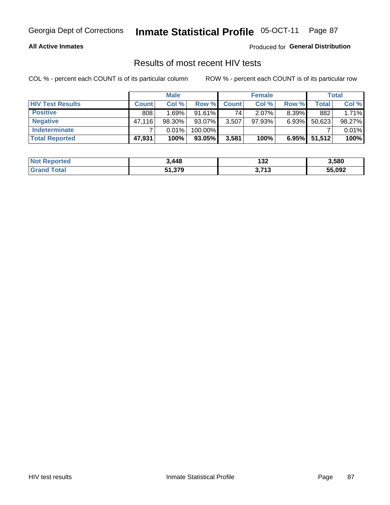#### **All Active Inmates**

Produced for **General Distribution**

### Results of most recent HIV tests

|                         |              | <b>Male</b> |           |              | <b>Female</b> |          |                 | Total  |
|-------------------------|--------------|-------------|-----------|--------------|---------------|----------|-----------------|--------|
| <b>HIV Test Results</b> | <b>Count</b> | Col%        | Row %I    | <b>Count</b> | Col %         | Row %    | Total           | Col %  |
| <b>Positive</b>         | 808          | 1.69%       | $91.61\%$ | 74           | $2.07\%$      | $8.39\%$ | 882             | 1.71%  |
| <b>Negative</b>         | 47,116       | 98.30%      | 93.07%    | 3,507        | $97.93\%$     | $6.93\%$ | 50,623          | 98.27% |
| <b>Indeterminate</b>    |              | 0.01%       | 100.00%   |              |               |          |                 | 0.01%  |
| <b>Total Reported</b>   | 47,931       | 100%        | 93.05%    | 3,581        | 100%          |          | $6.95\%$ 51,512 | 100%   |

| <b>Not Reported</b> | 3,448  | 132   | 3,580  |
|---------------------|--------|-------|--------|
| <b>Grand Total</b>  | 51,379 | 3,713 | 55,092 |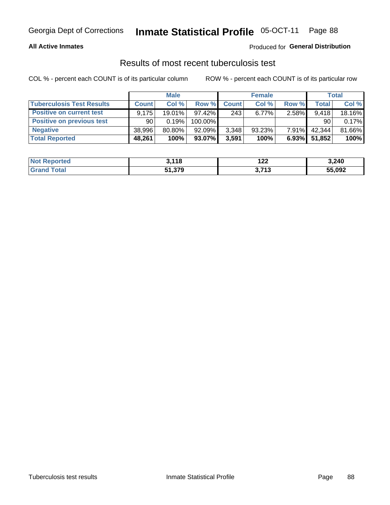#### **All Active Inmates**

#### Produced for **General Distribution**

### Results of most recent tuberculosis test

|                                  | <b>Male</b>  |        |           | <b>Female</b> |          |          | Total        |        |
|----------------------------------|--------------|--------|-----------|---------------|----------|----------|--------------|--------|
| <b>Tuberculosis Test Results</b> | <b>Count</b> | Col %  | Row %     | <b>Count</b>  | Col %    | Row %    | <b>Total</b> | Col %  |
| <b>Positive on current test</b>  | 9.175        | 19.01% | 97.42%    | 243           | $6.77\%$ | 2.58%    | 9,418        | 18.16% |
| <b>Positive on previous test</b> | 90           | 0.19%  | 100.00%   |               |          |          | 90           | 0.17%  |
| <b>Negative</b>                  | 38.996       | 80.80% | $92.09\%$ | 3,348         | 93.23%   | $7.91\%$ | 42.344       | 81.66% |
| <b>Total Reported</b>            | 48,261       | 100%   | 93.07%    | 3,591         | 100%     | $6.93\%$ | 51,852       | 100%   |

| <b>Not Reported</b>     | 3,118  | ימו<br>1 L L           | 3,240  |
|-------------------------|--------|------------------------|--------|
| <b>Total</b><br>' Grand | 51,379 | 2742<br><b>J</b> , 1 J | 55,092 |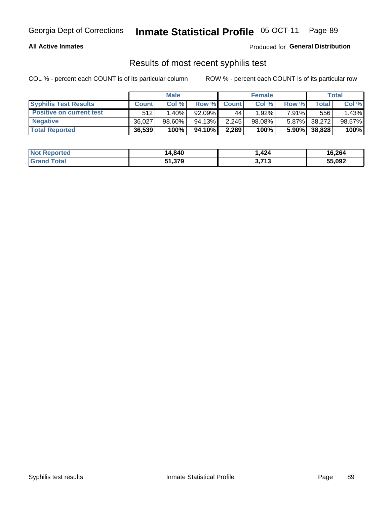#### **All Active Inmates**

Produced for **General Distribution**

### Results of most recent syphilis test

|                                 | <b>Male</b>  |           |           | <b>Female</b> |          |          | Total        |        |
|---------------------------------|--------------|-----------|-----------|---------------|----------|----------|--------------|--------|
| <b>Syphilis Test Results</b>    | <b>Count</b> | Col%      | Row %     | <b>Count</b>  | Col %    | Row %    | Total I      | Col %  |
| <b>Positive on current test</b> | 512          | $1.40\%$  | $92.09\%$ | 44            | $1.92\%$ | $7.91\%$ | 556          | 1.43%  |
| <b>Negative</b>                 | 36.027       | $98.60\%$ | 94.13%    | 2.245         | 98.08%   |          | 5.87% 38,272 | 98.57% |
| <b>Total Reported</b>           | 36,539       | 100%      | 94.10%    | 2,289         | 100%     | $5.90\%$ | 38,828       | 100%   |

| <b>Not Reported</b> | 14,840 | 424. ا | 16,264 |
|---------------------|--------|--------|--------|
| <b>Grand Total</b>  | 51,379 | 3,713  | 55,092 |